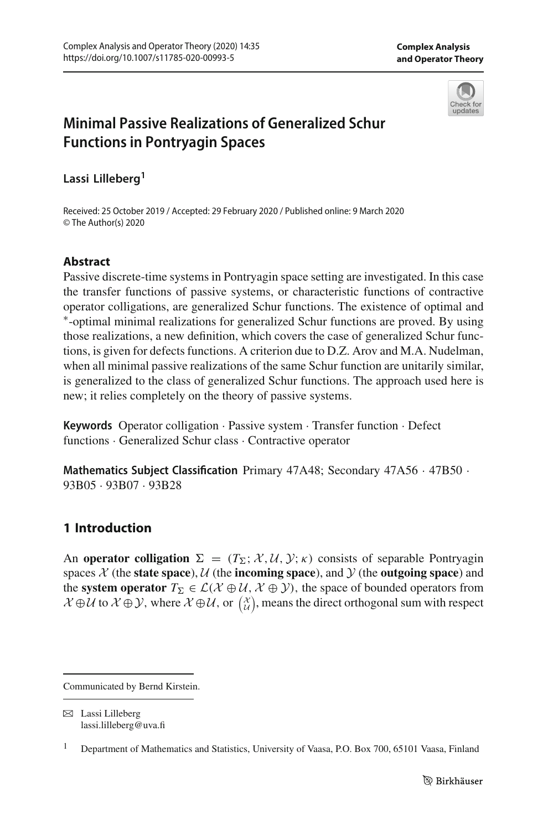

# **Minimal Passive Realizations of Generalized Schur Functions in Pontryagin Spaces**

**Lassi Lilleberg1**

Received: 25 October 2019 / Accepted: 29 February 2020 / Published online: 9 March 2020 © The Author(s) 2020

#### **Abstract**

Passive discrete-time systems in Pontryagin space setting are investigated. In this case the transfer functions of passive systems, or characteristic functions of contractive operator colligations, are generalized Schur functions. The existence of optimal and ∗-optimal minimal realizations for generalized Schur functions are proved. By using those realizations, a new definition, which covers the case of generalized Schur functions, is given for defects functions. A criterion due to D.Z. Arov and M.A. Nudelman, when all minimal passive realizations of the same Schur function are unitarily similar, is generalized to the class of generalized Schur functions. The approach used here is new; it relies completely on the theory of passive systems.

**Keywords** Operator colligation · Passive system · Transfer function · Defect functions · Generalized Schur class · Contractive operator

**Mathematics Subject Classification** Primary 47A48; Secondary 47A56 · 47B50 · 93B05 · 93B07 · 93B28

## **1 Introduction**

An **operator colligation**  $\Sigma = (T_{\Sigma}; \mathcal{X}, \mathcal{U}, \mathcal{Y}; \kappa)$  consists of separable Pontryagin spaces  $\mathcal X$  (the **state space**),  $\mathcal U$  (the **incoming space**), and  $\mathcal Y$  (the **outgoing space**) and the **system operator**  $T_{\Sigma} \in \mathcal{L}(\mathcal{X} \oplus \mathcal{U}, \mathcal{X} \oplus \mathcal{Y})$ , the space of bounded operators from  $\mathcal{X} \oplus \mathcal{U}$  to  $\mathcal{X} \oplus \mathcal{Y}$ , where  $\mathcal{X} \oplus \mathcal{U}$ , or  $\begin{pmatrix} \mathcal{X} \\ \mathcal{U} \end{pmatrix}$ , means the direct orthogonal sum with respect

Communicated by Bernd Kirstein.

 $\boxtimes$  Lassi Lilleberg lassi.lilleberg@uva.fi

<sup>&</sup>lt;sup>1</sup> Department of Mathematics and Statistics, University of Vaasa, P.O. Box 700, 65101 Vaasa, Finland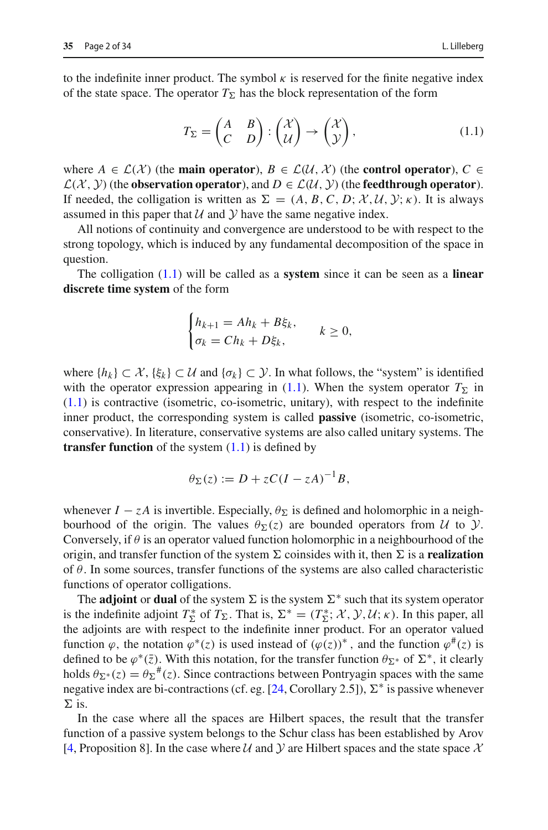to the indefinite inner product. The symbol  $\kappa$  is reserved for the finite negative index of the state space. The operator  $T_{\Sigma}$  has the block representation of the form

<span id="page-1-0"></span>
$$
T_{\Sigma} = \begin{pmatrix} A & B \\ C & D \end{pmatrix} : \begin{pmatrix} \mathcal{X} \\ \mathcal{U} \end{pmatrix} \to \begin{pmatrix} \mathcal{X} \\ \mathcal{Y} \end{pmatrix},
$$
(1.1)

where  $A \in \mathcal{L}(\mathcal{X})$  (the **main operator**),  $B \in \mathcal{L}(\mathcal{U}, \mathcal{X})$  (the **control operator**),  $C \in$  $\mathcal{L}(\mathcal{X}, \mathcal{Y})$  (the **observation operator**), and  $D \in \mathcal{L}(\mathcal{U}, \mathcal{Y})$  (the **feedthrough operator**). If needed, the colligation is written as  $\Sigma = (A, B, C, D; \mathcal{X}, \mathcal{U}, \mathcal{Y}; \kappa)$ . It is always assumed in this paper that  $U$  and  $Y$  have the same negative index.

All notions of continuity and convergence are understood to be with respect to the strong topology, which is induced by any fundamental decomposition of the space in question.

The colligation [\(1.1\)](#page-1-0) will be called as a **system** since it can be seen as a **linear discrete time system** of the form

$$
\begin{cases} h_{k+1} = Ah_k + B\xi_k, \\ \sigma_k = Ch_k + D\xi_k, \end{cases} k \ge 0,
$$

where  ${h_k} \subset \mathcal{X}, { {\xi_k} } \subset \mathcal{U}$  and  ${ {\sigma_k} } \subset \mathcal{Y}$ . In what follows, the "system" is identified with the operator expression appearing in  $(1.1)$ . When the system operator  $T_{\Sigma}$  in  $(1.1)$  is contractive (isometric, co-isometric, unitary), with respect to the indefinite inner product, the corresponding system is called **passive** (isometric, co-isometric, conservative). In literature, conservative systems are also called unitary systems. The **transfer function** of the system  $(1.1)$  is defined by

$$
\theta_{\Sigma}(z) := D + zC(I - zA)^{-1}B,
$$

whenever  $I - zA$  is invertible. Especially,  $\theta_{\Sigma}$  is defined and holomorphic in a neighbourhood of the origin. The values  $\theta_{\Sigma}(z)$  are bounded operators from *U* to *y*. Conversely, if  $\theta$  is an operator valued function holomorphic in a neighbourhood of the origin, and transfer function of the system  $\Sigma$  coinsides with it, then  $\Sigma$  is a **realization** of  $\theta$ . In some sources, transfer functions of the systems are also called characteristic functions of operator colligations.

The **adjoint** or **dual** of the system  $\Sigma$  is the system  $\Sigma^*$  such that its system operator is the indefinite adjoint  $T_{\Sigma}^*$  of  $T_{\Sigma}$ . That is,  $\Sigma^* = (T_{\Sigma}^*; \mathcal{X}, \mathcal{Y}, \mathcal{U}; \kappa)$ . In this paper, all the adjoints are with respect to the indefinite inner product. For an operator valued function  $\varphi$ , the notation  $\varphi^*(z)$  is used instead of  $(\varphi(z))^*$ , and the function  $\varphi^*(z)$  is defined to be  $\varphi^*(\bar{z})$ . With this notation, for the transfer function  $\theta_{\Sigma^*}$  of  $\Sigma^*$ , it clearly holds  $\theta_{\Sigma^*}(z) = \theta_{\Sigma}^{\#}(z)$ . Since contractions between Pontryagin spaces with the same negative index are bi-contractions (cf. eg. [\[24,](#page-32-0) Corollary 2.5]),  $\Sigma^*$  is passive whenever  $\Sigma$  is.

In the case where all the spaces are Hilbert spaces, the result that the transfer function of a passive system belongs to the Schur class has been established by Arov [\[4](#page-31-0), Proposition 8]. In the case where  $U$  and  $Y$  are Hilbert spaces and the state space  $X$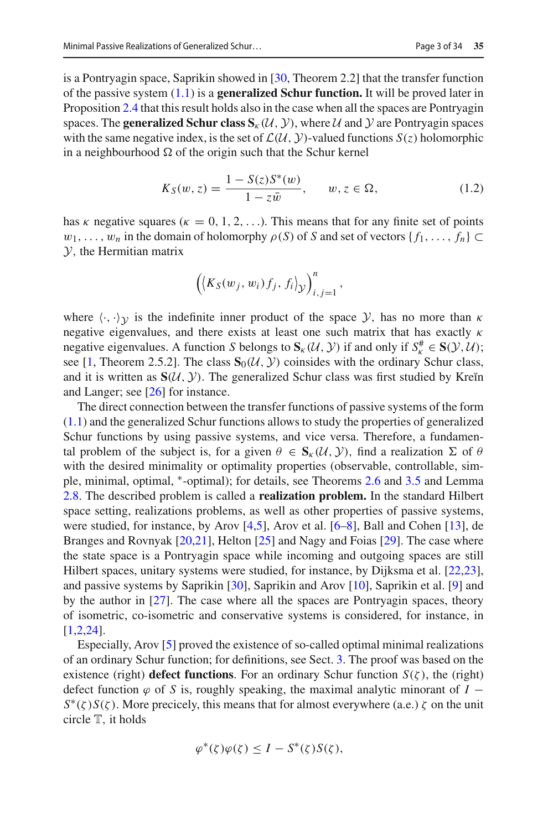is a Pontryagin space, Saprikin showed in [\[30](#page-33-0), Theorem 2.2] that the transfer function of the passive system [\(1.1\)](#page-1-0) is a **generalized Schur function.** It will be proved later in Proposition [2.4](#page-6-0) that this result holds also in the case when all the spaces are Pontryagin spaces. The **generalized Schur class**  $S_k(\mathcal{U}, \mathcal{Y})$ , where  $\mathcal{U}$  and  $\mathcal{Y}$  are Pontryagin spaces with the same negative index, is the set of  $\mathcal{L}(\mathcal{U}, \mathcal{Y})$ -valued functions  $S(z)$  holomorphic in a neighbourhood  $\Omega$  of the origin such that the Schur kernel

<span id="page-2-0"></span>
$$
K_S(w, z) = \frac{1 - S(z)S^*(w)}{1 - z\bar{w}}, \qquad w, z \in \Omega,
$$
 (1.2)

has κ negative squares ( $\kappa = 0, 1, 2, \ldots$ ). This means that for any finite set of points  $w_1, \ldots, w_n$  in the domain of holomorphy  $\rho(S)$  of *S* and set of vectors  $\{f_1, \ldots, f_n\} \subset$ *Y*, the Hermitian matrix

$$
\left(\langle K_S(w_j, w_i) f_j, f_i \rangle_{\mathcal{Y}}\right)_{i,j=1}^n,
$$

where  $\langle \cdot, \cdot \rangle_{\mathcal{V}}$  is the indefinite inner product of the space *Y*, has no more than  $\kappa$ negative eigenvalues, and there exists at least one such matrix that has exactly  $\kappa$ negative eigenvalues. A function *S* belongs to  $S_k$  (*U*, *Y*) if and only if  $S_k^{\#} \in S(\mathcal{Y}, \mathcal{U})$ ; see [\[1,](#page-31-1) Theorem 2.5.2]. The class  $\mathbf{S}_0(\mathcal{U}, \mathcal{Y})$  coinsides with the ordinary Schur class, and it is written as  $S(\mathcal{U}, \mathcal{Y})$ . The generalized Schur class was first studied by Kreĭn and Langer; see [\[26\]](#page-32-1) for instance.

The direct connection between the transfer functions of passive systems of the form [\(1.1\)](#page-1-0) and the generalized Schur functions allows to study the properties of generalized Schur functions by using passive systems, and vice versa. Therefore, a fundamental problem of the subject is, for a given  $\theta \in S_{k}(U, V)$ , find a realization  $\Sigma$  of  $\theta$ with the desired minimality or optimality properties (observable, controllable, simple, minimal, optimal, ∗-optimal); for details, see Theorems [2.6](#page-7-0) and [3.5](#page-15-0) and Lemma [2.8.](#page-8-0) The described problem is called a **realization problem.** In the standard Hilbert space setting, realizations problems, as well as other properties of passive systems, were studied, for instance, by Arov [\[4](#page-31-0)[,5\]](#page-31-2), Arov et al. [\[6](#page-31-3)[–8\]](#page-32-2), Ball and Cohen [\[13](#page-32-3)], de Branges and Rovnyak [\[20](#page-32-4)[,21](#page-32-5)], Helton [\[25\]](#page-32-6) and Nagy and Foias [\[29](#page-33-1)]. The case where the state space is a Pontryagin space while incoming and outgoing spaces are still Hilbert spaces, unitary systems were studied, for instance, by Dijksma et al. [\[22](#page-32-7)[,23](#page-32-8)], and passive systems by Saprikin [\[30](#page-33-0)], Saprikin and Arov [\[10\]](#page-32-9), Saprikin et al. [\[9\]](#page-32-10) and by the author in [\[27](#page-32-11)]. The case where all the spaces are Pontryagin spaces, theory of isometric, co-isometric and conservative systems is considered, for instance, in [\[1](#page-31-1)[,2](#page-31-4)[,24\]](#page-32-0).

Especially, Arov [\[5](#page-31-2)] proved the existence of so-called optimal minimal realizations of an ordinary Schur function; for definitions, see Sect. [3.](#page-11-0) The proof was based on the existence (right) **defect functions**. For an ordinary Schur function  $S(\zeta)$ , the (right) defect function  $\varphi$  of *S* is, roughly speaking, the maximal analytic minorant of *I* −  $S^*(\zeta)S(\zeta)$ . More precicely, this means that for almost everywhere (a.e.)  $\zeta$  on the unit circle T, it holds

$$
\varphi^*(\zeta)\varphi(\zeta) \leq I - S^*(\zeta)S(\zeta),
$$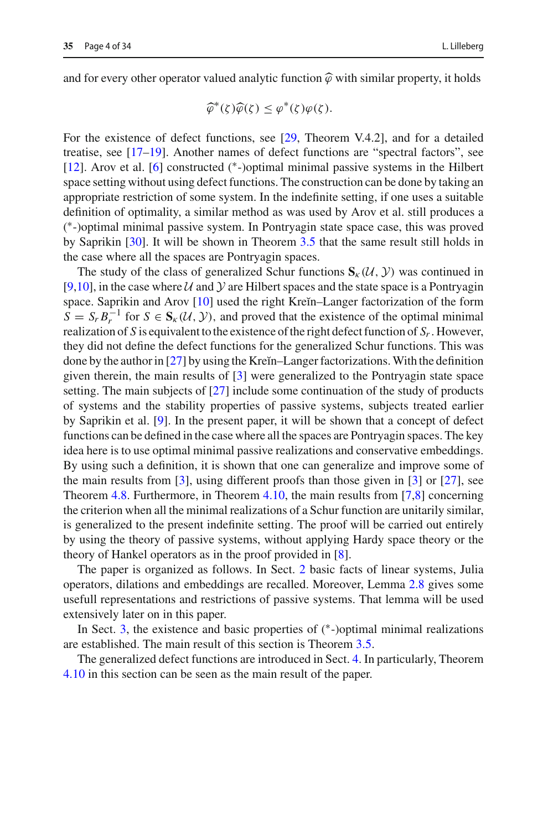and for every other operator valued analytic function  $\hat{\varphi}$  with similar property, it holds

$$
\widehat{\varphi}^*(\zeta)\widehat{\varphi}(\zeta) \leq \varphi^*(\zeta)\varphi(\zeta).
$$

For the existence of defect functions, see [\[29](#page-33-1), Theorem V.4.2], and for a detailed treatise, see [\[17](#page-32-12)[–19\]](#page-32-13). Another names of defect functions are "spectral factors", see [\[12](#page-32-14)]. Arov et al. [\[6\]](#page-31-3) constructed (∗-)optimal minimal passive systems in the Hilbert space setting without using defect functions. The construction can be done by taking an appropriate restriction of some system. In the indefinite setting, if one uses a suitable definition of optimality, a similar method as was used by Arov et al. still produces a ( ∗-)optimal minimal passive system. In Pontryagin state space case, this was proved by Saprikin [\[30\]](#page-33-0). It will be shown in Theorem [3.5](#page-15-0) that the same result still holds in the case where all the spaces are Pontryagin spaces.

The study of the class of generalized Schur functions  $S_k(\mathcal{U}, \mathcal{Y})$  was continued in [\[9](#page-32-10)[,10](#page-32-9)], in the case where  $U$  and  $Y$  are Hilbert spaces and the state space is a Pontryagin space. Saprikin and Arov  $[10]$  used the right Kreĭn–Langer factorization of the form  $S = S_r B_r^{-1}$  for  $S \in S_k(\mathcal{U}, \mathcal{Y})$ , and proved that the existence of the optimal minimal realization of *S* is equivalent to the existence of the right defect function of  $S_r$ . However, they did not define the defect functions for the generalized Schur functions. This was done by the author in  $[27]$  $[27]$  by using the Kreĭn–Langer factorizations. With the definition given therein, the main results of [\[3\]](#page-31-5) were generalized to the Pontryagin state space setting. The main subjects of [\[27\]](#page-32-11) include some continuation of the study of products of systems and the stability properties of passive systems, subjects treated earlier by Saprikin et al. [\[9](#page-32-10)]. In the present paper, it will be shown that a concept of defect functions can be defined in the case where all the spaces are Pontryagin spaces. The key idea here is to use optimal minimal passive realizations and conservative embeddings. By using such a definition, it is shown that one can generalize and improve some of the main results from [\[3\]](#page-31-5), using different proofs than those given in [\[3\]](#page-31-5) or [\[27\]](#page-32-11), see Theorem [4.8.](#page-26-0) Furthermore, in Theorem [4.10,](#page-29-0) the main results from [\[7](#page-32-15)[,8\]](#page-32-2) concerning the criterion when all the minimal realizations of a Schur function are unitarily similar, is generalized to the present indefinite setting. The proof will be carried out entirely by using the theory of passive systems, without applying Hardy space theory or the theory of Hankel operators as in the proof provided in [\[8](#page-32-2)].

The paper is organized as follows. In Sect. [2](#page-4-0) basic facts of linear systems, Julia operators, dilations and embeddings are recalled. Moreover, Lemma [2.8](#page-8-0) gives some usefull representations and restrictions of passive systems. That lemma will be used extensively later on in this paper.

In Sect. [3,](#page-11-0) the existence and basic properties of  $(*-)$ optimal minimal realizations are established. The main result of this section is Theorem [3.5.](#page-15-0)

The generalized defect functions are introduced in Sect. [4.](#page-19-0) In particularly, Theorem [4.10](#page-29-0) in this section can be seen as the main result of the paper.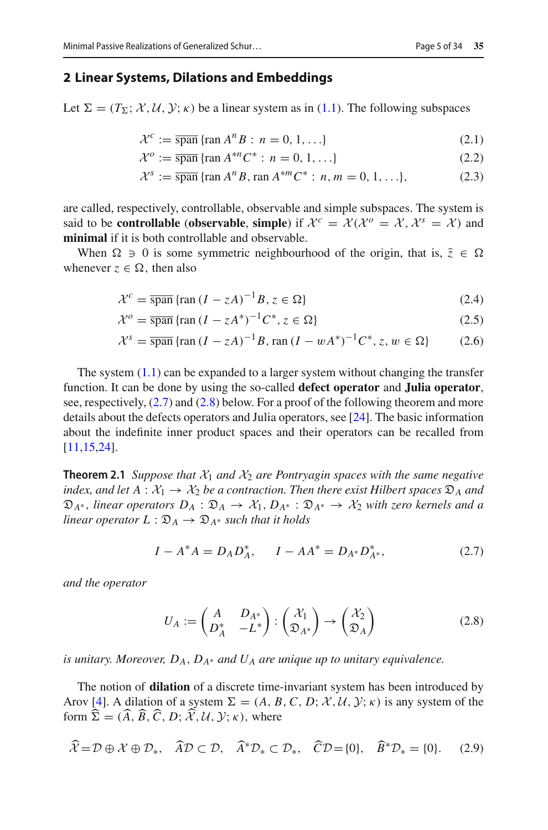#### <span id="page-4-0"></span>**2 Linear Systems, Dilations and Embeddings**

Let  $\Sigma = (T_{\Sigma}; \mathcal{X}, \mathcal{U}, \mathcal{Y}; \kappa)$  be a linear system as in [\(1.1\)](#page-1-0). The following subspaces

<span id="page-4-6"></span><span id="page-4-4"></span>
$$
\mathcal{X}^c := \overline{\text{span}} \left\{ \text{ran } A^n B : n = 0, 1, \ldots \right\} \tag{2.1}
$$

<span id="page-4-5"></span>
$$
\mathcal{X}^o := \overline{\text{span}} \left\{ \text{ran } A^{*n} C^* : n = 0, 1, \ldots \right\} \tag{2.2}
$$

<span id="page-4-8"></span>
$$
\mathcal{X}^s := \overline{\text{span}} \, \{ \text{ran } A^n B, \text{ran } A^{*m} C^* : n, m = 0, 1, \ldots \},\tag{2.3}
$$

are called, respectively, controllable, observable and simple subspaces. The system is said to be **controllable** (**observable**, **simple**) if  $\mathcal{X}^c = \mathcal{X}(\mathcal{X}^o = \mathcal{X}, \mathcal{X}^s = \mathcal{X})$  and **minimal** if it is both controllable and observable.

When  $\Omega \ni 0$  is some symmetric neighbourhood of the origin, that is,  $\overline{z} \in \Omega$ whenever  $z \in \Omega$ , then also

$$
\mathcal{X}^c = \overline{\text{span}} \left\{ \text{ran} \left( I - zA \right)^{-1} B, z \in \Omega \right\} \tag{2.4}
$$

$$
\mathcal{X}^o = \overline{\text{span}} \left\{ \text{ran} \left( I - zA^* \right)^{-1} C^*, z \in \Omega \right\} \tag{2.5}
$$

$$
\mathcal{X}^s = \overline{\text{span}} \left\{ \text{ran} \left( I - zA \right)^{-1} B, \text{ran} \left( I - wA^* \right)^{-1} C^*, z, w \in \Omega \right\} \tag{2.6}
$$

The system  $(1.1)$  can be expanded to a larger system without changing the transfer function. It can be done by using the so-called **defect operator** and **Julia operator**, see, respectively,  $(2.7)$  and  $(2.8)$  below. For a proof of the following theorem and more details about the defects operators and Julia operators, see [\[24](#page-32-0)]. The basic information about the indefinite inner product spaces and their operators can be recalled from [\[11](#page-32-16)[,15](#page-32-17)[,24\]](#page-32-0).

<span id="page-4-7"></span>**Theorem 2.1** *Suppose that*  $X_1$  *and*  $X_2$  *are Pontryagin spaces with the same negative index, and let*  $A : \mathcal{X}_1 \to \mathcal{X}_2$  *be a contraction. Then there exist Hilbert spaces*  $\mathcal{D}_A$  *and*  $\mathfrak{D}_{A^*}$ , *linear operators*  $D_A : \mathfrak{D}_A \to \mathcal{X}_1, D_{A^*} : \mathfrak{D}_{A^*} \to \mathcal{X}_2$  *with zero kernels and a linear operator*  $L : \mathfrak{D}_A \to \mathfrak{D}_{A^*}$  *such that it holds* 

<span id="page-4-1"></span>
$$
I - A^* A = D_A D_A^*, \qquad I - A A^* = D_{A^*} D_{A^*}^*, \tag{2.7}
$$

*and the operator*

<span id="page-4-2"></span>
$$
U_A := \begin{pmatrix} A & D_{A^*} \\ D_A^* & -L^* \end{pmatrix} : \begin{pmatrix} \mathcal{X}_1 \\ \mathfrak{D}_{A^*} \end{pmatrix} \to \begin{pmatrix} \mathcal{X}_2 \\ \mathfrak{D}_A \end{pmatrix}
$$
(2.8)

*is unitary. Moreover,*  $D_A$ ,  $D_{A^*}$  *and*  $U_A$  *are unique up to unitary equivalence.* 

The notion of **dilation** of a discrete time-invariant system has been introduced by Arov [\[4](#page-31-0)]. A dilation of a system  $\Sigma = (A, B, C, D; \mathcal{X}, \mathcal{U}, \mathcal{Y}; \kappa)$  is any system of the form  $\Sigma = (A, B, C, D; \mathcal{X}, \mathcal{U}, \mathcal{Y}; \kappa)$ , where

<span id="page-4-3"></span>
$$
\widehat{\mathcal{X}} = \mathcal{D} \oplus \mathcal{X} \oplus \mathcal{D}_*, \quad \widehat{A}\mathcal{D} \subset \mathcal{D}, \quad \widehat{A}^*\mathcal{D}_* \subset \mathcal{D}_*, \quad \widehat{C}\mathcal{D} = \{0\}, \quad \widehat{B}^*\mathcal{D}_* = \{0\}. \tag{2.9}
$$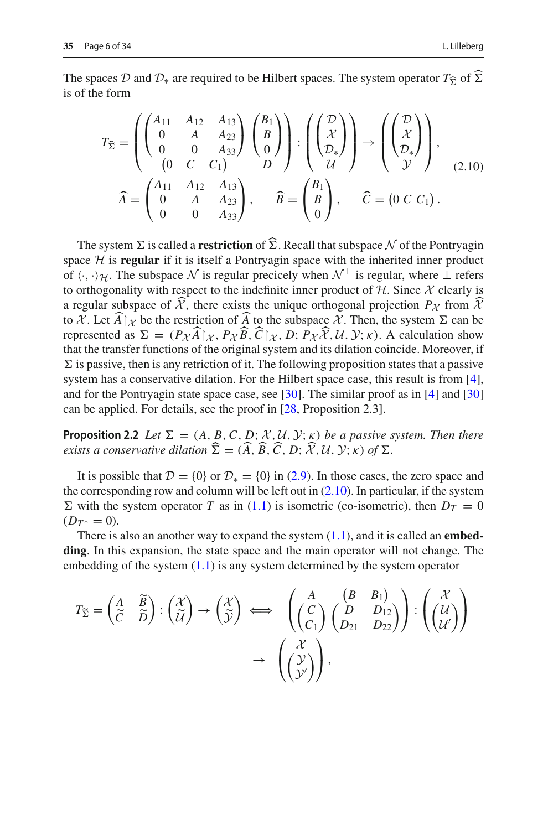The spaces *D* and  $\mathcal{D}_*$  are required to be Hilbert spaces. The system operator  $T_{\hat{\Sigma}}$  of  $\Sigma$ is of the form

<span id="page-5-0"></span>
$$
T_{\widehat{\Sigma}} = \begin{pmatrix} \begin{pmatrix} A_{11} & A_{12} & A_{13} \\ 0 & A & A_{23} \\ 0 & 0 & A_{33} \end{pmatrix} \begin{pmatrix} B_1 \\ B \\ 0 \end{pmatrix} \end{pmatrix} : \begin{pmatrix} \begin{pmatrix} \mathcal{D} \\ \mathcal{X} \\ \mathcal{D}_* \end{pmatrix} \end{pmatrix} \rightarrow \begin{pmatrix} \begin{pmatrix} \mathcal{D} \\ \mathcal{X} \\ \mathcal{D}_* \end{pmatrix},
$$
  
\n
$$
\widehat{A} = \begin{pmatrix} A_{11} & A_{12} & A_{13} \\ 0 & A & A_{23} \\ 0 & 0 & A_{33} \end{pmatrix}, \quad \widehat{B} = \begin{pmatrix} B_1 \\ B \\ 0 \end{pmatrix}, \quad \widehat{C} = (0 \ C C_1).
$$
\n(2.10)

The system  $\Sigma$  is called a **restriction** of  $\Sigma$ . Recall that subspace  $N$  of the Pontryagin<br>and  $\mathcal{H}$  is **required** if it is itself a Pontryagin grass with the inherited inner regular space  $H$  is **regular** if it is itself a Pontryagin space with the inherited inner product of  $\langle \cdot, \cdot \rangle_{\mathcal{H}}$ . The subspace N is regular precicely when  $\mathcal{N}^{\perp}$  is regular, where  $\perp$  refers to orthogonality with respect to the indefinite inner product of  $H$ . Since  $\mathcal X$  clearly is a regular subspace of *X*, there exists the unique orthogonal projection  $P_\chi$  from  $\lambda$ to *X*. Let  $\widehat{A} | \chi$  be the restriction of  $\widehat{A}$  to the subspace *X*. Then, the system  $\Sigma$  can be represented as  $\sum_{n=1}^{\infty} (R_n \widehat{A})^n R_n \widehat{B} \widehat{C}^n R_n R_n \widehat{X} M_n \chi(x)$  A selection obvious represented as  $\Sigma = (P_{\mathcal{X}}A|_{\mathcal{X}}, P_{\mathcal{X}}B, C|_{\mathcal{X}}, D; P_{\mathcal{X}}\mathcal{X}, \mathcal{U}, \mathcal{Y}; \kappa)$ . A calculation show that the transfer functions of the original system and its dilation coincide. Moreover, if  $\Sigma$  is passive, then is any retriction of it. The following proposition states that a passive system has a conservative dilation. For the Hilbert space case, this result is from [\[4](#page-31-0)], and for the Pontryagin state space case, see [\[30\]](#page-33-0). The similar proof as in [\[4\]](#page-31-0) and [\[30\]](#page-33-0) can be applied. For details, see the proof in [\[28,](#page-33-2) Proposition 2.3].

<span id="page-5-1"></span>**Proposition 2.2** *Let*  $\Sigma = (A, B, C, D; \mathcal{X}, \mathcal{U}, \mathcal{Y}; \kappa)$  *be a passive system. Then there*  $\alpha$  *exists a conservative dilation*  $\Sigma = (A, B, C, D; \mathcal{X}, \mathcal{U}, \mathcal{Y}; \kappa)$  of  $\Sigma$ .

It is possible that  $\mathcal{D} = \{0\}$  or  $\mathcal{D}_* = \{0\}$  in [\(2.9\)](#page-4-3). In those cases, the zero space and the corresponding row and column will be left out in  $(2.10)$ . In particular, if the system  $\Sigma$  with the system operator *T* as in [\(1.1\)](#page-1-0) is isometric (co-isometric), then  $D_T = 0$  $(D_{T^*}=0)$ .

There is also an another way to expand the system [\(1.1\)](#page-1-0), and it is called an **embedding**. In this expansion, the state space and the main operator will not change. The embedding of the system  $(1.1)$  is any system determined by the system operator

$$
T_{\widetilde{\Sigma}} = \begin{pmatrix} A & \widetilde{B} \\ \widetilde{C} & \widetilde{D} \end{pmatrix} : \begin{pmatrix} \mathcal{X} \\ \widetilde{U} \end{pmatrix} \rightarrow \begin{pmatrix} \mathcal{X} \\ \widetilde{Y} \end{pmatrix} \iff \begin{pmatrix} A & (B & B_1) \\ (C_1) & (D & D_{12}) \\ (C_1) & (D_{21} & D_{22}) \end{pmatrix} : \begin{pmatrix} \mathcal{X} \\ (U) \\ (U') \end{pmatrix}
$$

$$
\rightarrow \begin{pmatrix} \mathcal{X} \\ (\mathcal{Y} \\ \mathcal{Y} \end{pmatrix},
$$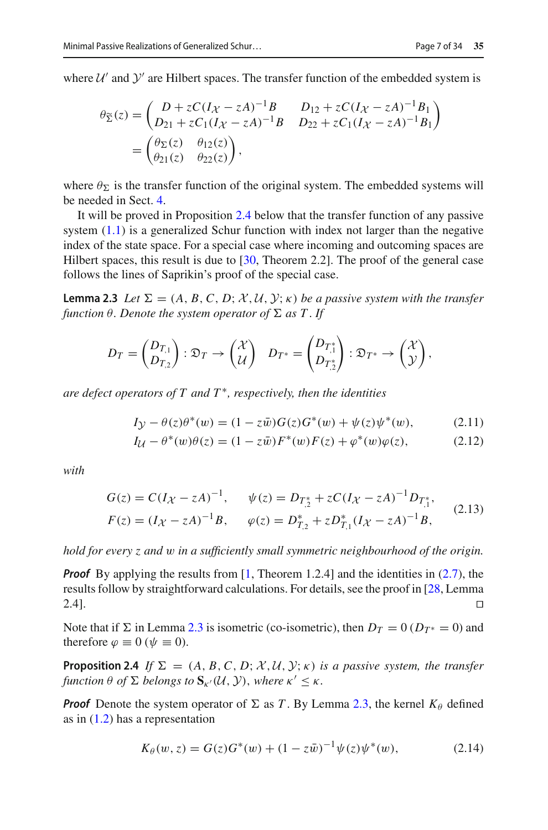where  $U'$  and  $Y'$  are Hilbert spaces. The transfer function of the embedded system is

$$
\theta_{\tilde{\Sigma}}(z) = \begin{pmatrix} D + zC(I_{\mathcal{X}} - zA)^{-1}B & D_{12} + zC(I_{\mathcal{X}} - zA)^{-1}B_1 \\ D_{21} + zC_1(I_{\mathcal{X}} - zA)^{-1}B & D_{22} + zC_1(I_{\mathcal{X}} - zA)^{-1}B_1 \end{pmatrix}
$$
  
=  $\begin{pmatrix} \theta_{\Sigma}(z) & \theta_{12}(z) \\ \theta_{21}(z) & \theta_{22}(z) \end{pmatrix}$ ,

where  $\theta_{\Sigma}$  is the transfer function of the original system. The embedded systems will be needed in Sect. [4.](#page-19-0)

It will be proved in Proposition [2.4](#page-6-0) below that the transfer function of any passive system  $(1.1)$  is a generalized Schur function with index not larger than the negative index of the state space. For a special case where incoming and outcoming spaces are Hilbert spaces, this result is due to [\[30](#page-33-0), Theorem 2.2]. The proof of the general case follows the lines of Saprikin's proof of the special case.

<span id="page-6-1"></span>**Lemma 2.3** *Let*  $\Sigma = (A, B, C, D; \mathcal{X}, \mathcal{U}, \mathcal{Y}; \kappa)$  *be a passive system with the transfer* function  $\theta.$  Denote the system operator of  $\Sigma$  as  $T.$  If

$$
D_T = \begin{pmatrix} D_{T,1} \\ D_{T,2} \end{pmatrix} : \mathfrak{D}_T \to \begin{pmatrix} \mathcal{X} \\ \mathcal{U} \end{pmatrix} \quad D_{T^*} = \begin{pmatrix} D_{T,1}^* \\ D_{T,2}^* \end{pmatrix} : \mathfrak{D}_{T^*} \to \begin{pmatrix} \mathcal{X} \\ \mathcal{Y} \end{pmatrix},
$$

*are defect operators of T and T* ∗*, respectively, then the identities*

<span id="page-6-5"></span><span id="page-6-4"></span>
$$
I_{\mathcal{Y}} - \theta(z)\theta^*(w) = (1 - z\bar{w})G(z)G^*(w) + \psi(z)\psi^*(w), \tag{2.11}
$$

$$
I_{\mathcal{U}} - \theta^*(w)\theta(z) = (1 - z\bar{w})F^*(w)F(z) + \varphi^*(w)\varphi(z), \tag{2.12}
$$

*with*

<span id="page-6-2"></span>
$$
G(z) = C(I\chi - zA)^{-1}, \quad \psi(z) = D_{T,2}^* + zC(I\chi - zA)^{-1}D_{T,1}^*,
$$
  
\n
$$
F(z) = (I\chi - zA)^{-1}B, \quad \varphi(z) = D_{T,2}^* + zD_{T,1}^*(I\chi - zA)^{-1}B,
$$
\n(2.13)

*hold for every z and* w *in a sufficiently small symmetric neighbourhood of the origin.*

*Proof* By applying the results from [\[1,](#page-31-1) Theorem 1.2.4] and the identities in [\(2.7\)](#page-4-1), the results follow by straightforward calculations. For details, see the proof in [\[28](#page-33-2), Lemma 2.4].

<span id="page-6-0"></span>Note that if  $\Sigma$  in Lemma [2.3](#page-6-1) is isometric (co-isometric), then  $D_T = 0$  ( $D_{T^*} = 0$ ) and therefore  $\varphi \equiv 0$  ( $\psi \equiv 0$ ).

**Proposition 2.4** *If*  $\Sigma = (A, B, C, D; \mathcal{X}, \mathcal{U}, \mathcal{Y}, \kappa)$  *is a passive system, the transfer*  $f$ *unction*  $\theta$  *of*  $\Sigma$  *belongs to*  $\mathbf{S}_{\kappa'}(\mathcal{U}, \mathcal{Y})$ *, where*  $\kappa' \leq \kappa$ *.* 

*Proof* Denote the system operator of  $\Sigma$  as *T*. By Lemma [2.3,](#page-6-1) the kernel  $K_{\theta}$  defined as in [\(1.2\)](#page-2-0) has a representation

<span id="page-6-3"></span>
$$
K_{\theta}(w, z) = G(z)G^{*}(w) + (1 - z\bar{w})^{-1}\psi(z)\psi^{*}(w),
$$
\n(2.14)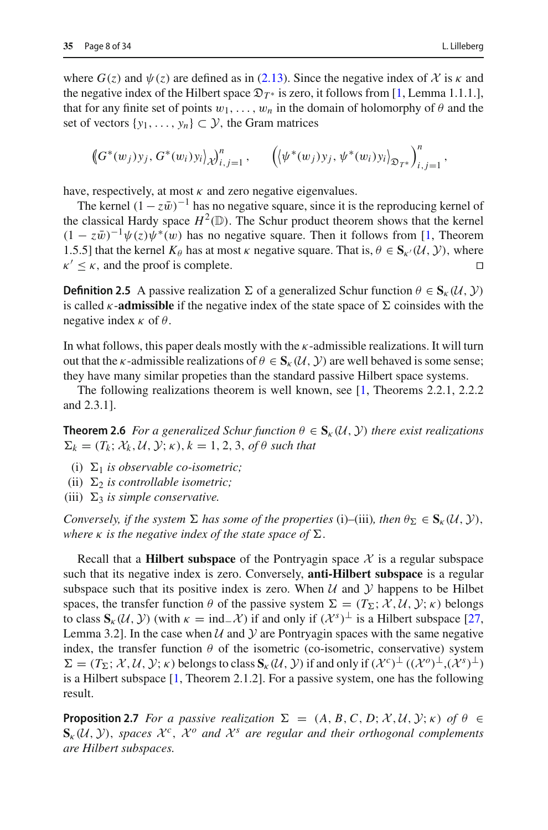where  $G(z)$  and  $\psi(z)$  are defined as in [\(2.13\)](#page-6-2). Since the negative index of  $\chi$  is  $\kappa$  and the negative index of the Hilbert space  $\mathfrak{D}_{T^*}$  is zero, it follows from [\[1,](#page-31-1) Lemma 1.1.1.], that for any finite set of points  $w_1, \ldots, w_n$  in the domain of holomorphy of  $\theta$  and the set of vectors  $\{y_1, \ldots, y_n\} \subset \mathcal{Y}$ , the Gram matrices

$$
\left(\!\left(G^*(w_j)\right)y_j, G^*(w_i)y_i\right)_{\mathcal{X}}\!\right)_{i,j=1}^n, \quad \left(\!\left(\psi^*(w_j)\right)y_j, \psi^*(w_i)y_i\right)_{\mathcal{D}_{T^*}}\!\right)_{i,j=1}^n,
$$

have, respectively, at most  $\kappa$  and zero negative eigenvalues.

The kernel  $(1 - z\bar{w})^{-1}$  has no negative square, since it is the reproducing kernel of the classical Hardy space  $H^2(\mathbb{D})$ . The Schur product theorem shows that the kernel  $(1 - z\bar{w})^{-1}\psi(z)\psi^*(w)$  has no negative square. Then it follows from [\[1](#page-31-1), Theorem 1.5.5] that the kernel  $K_{\theta}$  has at most  $\kappa$  negative square. That is,  $\theta \in S_{\kappa'}(\mathcal{U}, \mathcal{Y})$ , where  $\kappa' < \kappa$  and the proof is complete  $\kappa' < \kappa$ , and the proof is complete.

**Definition 2.5** A passive realization  $\Sigma$  of a generalized Schur function  $\theta \in S_{\kappa}(\mathcal{U}, \mathcal{Y})$ is called  $\kappa$ -**admissible** if the negative index of the state space of  $\Sigma$  coinsides with the negative index  $\kappa$  of  $\theta$ .

In what follows, this paper deals mostly with the  $\kappa$ -admissible realizations. It will turn out that the *κ*-admissible realizations of  $\theta \in S_{k}(U, Y)$  are well behaved is some sense; they have many similar propeties than the standard passive Hilbert space systems.

<span id="page-7-0"></span>The following realizations theorem is well known, see [\[1,](#page-31-1) Theorems 2.2.1, 2.2.2 and 2.3.1].

**Theorem 2.6** *For a generalized Schur function*  $\theta \in S_{\kappa}(\mathcal{U}, \mathcal{Y})$  *there exist realizations*  $\Sigma_k = (T_k; \mathcal{X}_k, \mathcal{U}, \mathcal{Y}; \kappa), k = 1, 2, 3, \text{ of } \theta \text{ such that}$ 

- (i)  $\Sigma_1$  *is observable co-isometric;*
- (ii)  $\Sigma_2$  *is controllable isometric;*
- (iii)  $\Sigma_3$  *is simple conservative.*

*Conversely, if the system*  $\Sigma$  *has some of the properties* (i)–(iii)*, then*  $\theta_{\Sigma} \in S_{\kappa}(\mathcal{U}, \mathcal{Y})$ *,* where  $\kappa$  is the negative index of the state space of  $\Sigma$ .

Recall that a **Hilbert subspace** of the Pontryagin space  $X$  is a regular subspace such that its negative index is zero. Conversely, **anti-Hilbert subspace** is a regular subspace such that its positive index is zero. When  $U$  and  $Y$  happens to be Hilbet spaces, the transfer function  $\theta$  of the passive system  $\Sigma = (T_{\Sigma}; \mathcal{X}, \mathcal{U}, \mathcal{Y}; \kappa)$  belongs to class  $S_k(\mathcal{U}, \mathcal{Y})$  (with  $\kappa = \text{ind}_\mathcal{U}(\mathcal{X})$ ) if and only if  $(\mathcal{X}^s)^\perp$  is a Hilbert subspace [\[27,](#page-32-11) Lemma 3.2]. In the case when  $U$  and  $Y$  are Pontryagin spaces with the same negative index, the transfer function  $\theta$  of the isometric (co-isometric, conservative) system  $\Sigma = (T_{\Sigma}; \mathcal{X}, \mathcal{U}, \mathcal{Y}; \kappa)$  belongs to class  $\mathbf{S}_{\kappa}(\mathcal{U}, \mathcal{Y})$  if and only if  $(\mathcal{X}^c)^{\perp}((\mathcal{X}^o)^{\perp}, (\mathcal{X}^s)^{\perp})$ is a Hilbert subspace [\[1](#page-31-1), Theorem 2.1.2]. For a passive system, one has the following result.

<span id="page-7-1"></span>**Proposition 2.7** *For a passive realization*  $\Sigma = (A, B, C, D; \mathcal{X}, \mathcal{U}, \mathcal{Y}; \kappa)$  *of*  $\theta \in$  $\mathbf{S}_{k}(\mathcal{U}, \mathcal{Y})$ , *spaces*  $\mathcal{X}^{c}$ ,  $\mathcal{X}^{o}$  *and*  $\mathcal{X}^{s}$  *are regular and their orthogonal complements are Hilbert subspaces.*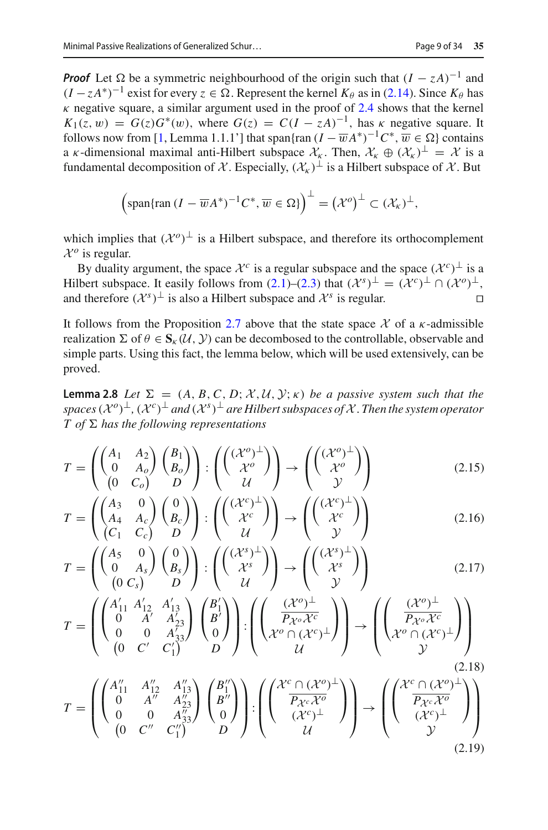*Proof* Let  $\Omega$  be a symmetric neighbourhood of the origin such that  $(I - zA)^{-1}$  and  $(I - zA^*)^{-1}$  exist for every  $z \in \Omega$ . Represent the kernel  $K_{\theta}$  as in [\(2.14\)](#page-6-3). Since  $K_{\theta}$  has  $\kappa$  negative square, a similar argument used in the proof of [2.4](#page-6-0) shows that the kernel  $K_1(z, w) = G(z)G^*(w)$ , where  $G(z) = C(I - zA)^{-1}$ , has  $\kappa$  negative square. It follows now from [\[1,](#page-31-1) Lemma 1.1.1'] that span{ran  $(I - \overline{w}A^*)^{-1}C^*, \overline{w} \in \Omega$ } contains a *κ*-dimensional maximal anti-Hilbert subspace  $\mathcal{X}_k$ . Then,  $\mathcal{X}_k \oplus (\mathcal{X}_k)^\perp = \mathcal{X}$  is a fundamental decomposition of *X*. Especially,  $(\mathcal{X}_{k})^{\perp}$  is a Hilbert subspace of *X*. But

$$
\left(\text{span}\{\text{ran } (I - \overline{w}A^*)^{-1}C^*, \overline{w} \in \Omega\}\right)^{\perp} = \left(\mathcal{X}^o\right)^{\perp} \subset (\mathcal{X}_\kappa)^{\perp},
$$

which implies that  $({\cal X}^o)^{\perp}$  is a Hilbert subspace, and therefore its orthocomplement  $\mathcal{X}^o$  is regular.

By duality argument, the space  $\mathcal{X}^c$  is a regular subspace and the space  $(\mathcal{X}^c)^\perp$  is a Hilbert subspace. It easily follows from  $(2.1)$ – $(2.3)$  that  $({\cal X}^s)^{\perp} = ({\cal X}^c)^{\perp} \cap ({\cal X}^o)^{\perp}$ , and therefore  $(\mathcal{X}^s)^\perp$  is also a Hilbert subspace and  $\mathcal{X}^s$  is regular.

It follows from the Proposition [2.7](#page-7-1) above that the state space  $\chi$  of a  $\kappa$ -admissible realization  $\Sigma$  of  $\theta \in S_{k}(U, V)$  can be decombosed to the controllable, observable and simple parts. Using this fact, the lemma below, which will be used extensively, can be proved.

<span id="page-8-0"></span>**Lemma 2.8** *Let*  $\Sigma = (A, B, C, D; \mathcal{X}, \mathcal{U}, \mathcal{Y}; \kappa)$  *be a passive system such that the*  $\Delta$ *spaces* ( $\mathcal{X}^o$ )<sup>⊥</sup>, ( $\mathcal{X}^c$ )<sup>⊥</sup> *and* ( $\mathcal{X}^s$ )<sup>⊥</sup> *are Hilbert subspaces of*  $\mathcal{X}$ *. Then the system operator*  $T$  *of*  $\Sigma$  *has the following representations* 

<span id="page-8-1"></span>
$$
T = \begin{pmatrix} \begin{pmatrix} A_1 & A_2 \\ 0 & A_o \end{pmatrix} \begin{pmatrix} B_1 \\ B_o \end{pmatrix} \end{pmatrix} : \begin{pmatrix} (\mathcal{X}^o)^{\perp} \\ \mathcal{X}^o \end{pmatrix} \rightarrow \begin{pmatrix} (\mathcal{X}^o)^{\perp} \\ \mathcal{X}^o \end{pmatrix}
$$
(2.15)

$$
T = \begin{pmatrix} \begin{pmatrix} A_3 & 0 \\ A_4 & A_c \end{pmatrix} \begin{pmatrix} 0 \\ B_c \end{pmatrix} \end{pmatrix} : \begin{pmatrix} (\mathcal{X}^c)^{\perp} \\ \mathcal{X}^c \end{pmatrix} \rightarrow \begin{pmatrix} (\mathcal{X}^c)^{\perp} \\ \mathcal{X}^c \end{pmatrix}
$$
  

$$
(\begin{pmatrix} A_2 & 0 \end{pmatrix} \times (\begin{pmatrix} 0 \\ 0 \end{pmatrix}) = \begin{pmatrix} (\mathcal{X}^s)^{\perp} \\ (\mathcal{X}^s)^{\perp} \end{pmatrix} \rightarrow (\begin{pmatrix} (\mathcal{X}^s)^{\perp} \\ \mathcal{Y} \end{pmatrix})
$$
 (2.16)

$$
T = \begin{pmatrix} \begin{pmatrix} A_5 & 0 \\ 0 & A_s \end{pmatrix} \begin{pmatrix} 0 \\ B_s \end{pmatrix} \\ \begin{pmatrix} 0 \\ C_s \end{pmatrix} & D \end{pmatrix} : \begin{pmatrix} \begin{pmatrix} (\mathcal{X}^s)^{\perp} \\ \mathcal{X}^s \end{pmatrix} \end{pmatrix} \rightarrow \begin{pmatrix} \begin{pmatrix} (\mathcal{X}^s)^{\perp} \\ \mathcal{X}^s \end{pmatrix} \end{pmatrix}
$$
(2.17)

$$
T = \left( \begin{pmatrix} A'_{11} & A'_{12} & A'_{13} \\ 0 & A' & A'_{23} \\ 0 & 0 & A'_{33} \\ 0 & C' & C'_1 \end{pmatrix} \begin{pmatrix} B'_1 \\ B'_2 \\ 0 \end{pmatrix} \right) : \left( \begin{pmatrix} (\mathcal{X}^o)^{\perp} \\ P_{\mathcal{X}^o} \mathcal{X}^c \\ \mathcal{X}^o \cap (\mathcal{X}^c)^{\perp} \end{pmatrix} \right) \rightarrow \left( \begin{pmatrix} (\mathcal{X}^o)^{\perp} \\ P_{\mathcal{X}^o} \mathcal{X}^c \\ \mathcal{X}^o \cap (\mathcal{X}^c)^{\perp} \end{pmatrix} \right) \tag{2.18}
$$

$$
T = \left( \begin{pmatrix} A_{11}^{\prime\prime} & A_{12}^{\prime\prime} & A_{13}^{\prime\prime} \\ 0 & A^{\prime\prime} & A_{23}^{\prime\prime} \\ 0 & 0 & A_{33}^{\prime\prime} \end{pmatrix} \begin{pmatrix} B_{1}^{\prime\prime} \\ B^{\prime\prime} \\ 0 \end{pmatrix} \right) : \left( \begin{pmatrix} \mathcal{X}^{c} \cap (\mathcal{X}^{o})^{\perp} \\ \overline{P_{\mathcal{X}^{c}} \mathcal{X}^{o}} \\ (\mathcal{X}^{c})^{\perp} \\ \mathcal{U} \end{pmatrix} \right) \rightarrow \left( \begin{pmatrix} \mathcal{X}^{c} \cap (\mathcal{X}^{o})^{\perp} \\ \overline{P_{\mathcal{X}^{c}} \mathcal{X}^{o}} \\ (\mathcal{X}^{c})^{\perp} \\ \mathcal{Y} \end{pmatrix} \right) \tag{2.19}
$$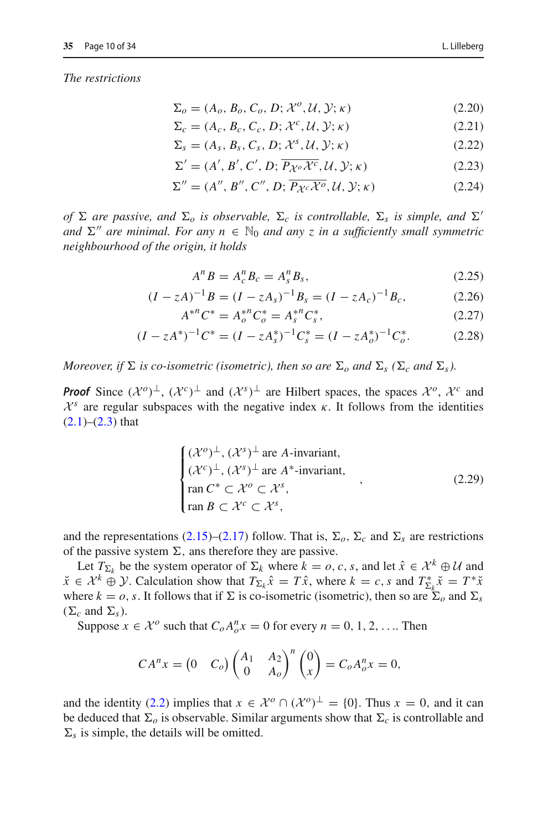*The restrictions*

<span id="page-9-6"></span>
$$
\Sigma_o = (A_o, B_o, C_o, D; \mathcal{X}^o, \mathcal{U}, \mathcal{Y}; \kappa)
$$
\n(2.20)

$$
\Sigma_c = (A_c, B_c, C_c, D; \mathcal{X}^c, \mathcal{U}, \mathcal{Y}; \kappa)
$$
\n(2.21)

$$
\Sigma_s = (A_s, B_s, C_s, D; \mathcal{X}^s, \mathcal{U}, \mathcal{Y}; \kappa) \tag{2.22}
$$

<span id="page-9-5"></span>
$$
\Sigma' = (A', B', C', D; \overline{P_{\mathcal{X}^o} \mathcal{X}^c}, \mathcal{U}, \mathcal{Y}; \kappa)
$$
\n(2.23)

$$
\Sigma'' = (A'', B'', C'', D; \overline{P_{\mathcal{X}^c} \mathcal{X}^o}, \mathcal{U}, \mathcal{Y}; \kappa)
$$
\n(2.24)

*of*  $\Sigma$  are passive, and  $\Sigma_o$  is observable,  $\Sigma_c$  is controllable,  $\Sigma_s$  is simple, and  $\Sigma'$ *and*  $\Sigma''$  *are minimal. For any*  $n \in \mathbb{N}_0$  *and any z in a sufficiently small symmetric neighbourhood of the origin, it holds*

<span id="page-9-3"></span><span id="page-9-2"></span><span id="page-9-1"></span><span id="page-9-0"></span>
$$
A^n B = A_c^n B_c = A_s^n B_s,
$$
\n(2.25)

$$
(I - zA)^{-1}B = (I - zAs)^{-1}Bs = (I - zAc)^{-1}Bc, \t(2.26)
$$

$$
A^{*n}C^* = A_o^{*n}C_o^* = A_s^{*n}C_s^*,
$$
\n(2.27)

$$
(I - zA^*)^{-1}C^* = (I - zA_s^*)^{-1}C_s^* = (I - zA_o^*)^{-1}C_o^*.
$$
 (2.28)

*Moreover, if*  $\Sigma$  *is co-isometric (isometric), then so are*  $\Sigma_o$  *and*  $\Sigma_s$  ( $\Sigma_c$  *and*  $\Sigma_s$ *).* 

*Proof* Since  $({\cal X}^o)^\perp$ ,  $({\cal X}^c)^\perp$  and  $({\cal X}^s)^\perp$  are Hilbert spaces, the spaces  ${\cal X}^o$ ,  ${\cal X}^c$  and  $X^s$  are regular subspaces with the negative index  $\kappa$ . It follows from the identities  $(2.1)–(2.3)$  $(2.1)–(2.3)$  $(2.1)–(2.3)$  that

<span id="page-9-4"></span>
$$
\begin{cases}\n(\mathcal{X}^o)^{\perp}, (\mathcal{X}^s)^{\perp} \text{ are } A\text{-invariant,} \\
(\mathcal{X}^c)^{\perp}, (\mathcal{X}^s)^{\perp} \text{ are } A^*\text{-invariant,} \\
\text{ran } C^* \subset \mathcal{X}^o \subset \mathcal{X}^s, \\
\text{ran } B \subset \mathcal{X}^c \subset \mathcal{X}^s,\n\end{cases} (2.29)
$$

and the representations  $(2.15)$ – $(2.17)$  follow. That is,  $\Sigma_o$ ,  $\Sigma_c$  and  $\Sigma_s$  are restrictions of the passive system  $\Sigma$ , ans therefore they are passive.

Let  $T_{\Sigma_k}$  be the system operator of  $\Sigma_k$  where  $k = 0, c, s$ , and let  $\hat{x} \in \mathcal{X}^k \oplus \mathcal{U}$  and  $\tilde{x} \in \mathcal{X}^k \oplus \mathcal{Y}$ . Calculation show that  $T_{\Sigma_k} \hat{x} = T \hat{x}$ , where  $k = c$ , *s* and  $T_{\Sigma_k}^* \check{x} = T^* \check{x}$ where  $k = 0$ , *s*. It follows that if  $\Sigma$  is co-isometric (isometric), then so are  $\Sigma_o$  and  $\Sigma_s$  $(\Sigma_c \text{ and } \Sigma_s).$ 

Suppose  $x \in \mathcal{X}^o$  such that  $C_o A_o^n x = 0$  for every  $n = 0, 1, 2, \dots$  Then

$$
CA^{n}x = \begin{pmatrix} 0 & C_o \end{pmatrix} \begin{pmatrix} A_1 & A_2 \\ 0 & A_o \end{pmatrix}^{n} \begin{pmatrix} 0 \\ x \end{pmatrix} = C_o A_o^n x = 0,
$$

and the identity [\(2.2\)](#page-4-6) implies that  $x \in \mathcal{X}^{\circ} \cap (\mathcal{X}^{\circ})^{\perp} = \{0\}$ . Thus  $x = 0$ , and it can be deduced that  $\Sigma_o$  is observable. Similar arguments show that  $\Sigma_c$  is controllable and  $\Sigma_s$  is simple, the details will be omitted.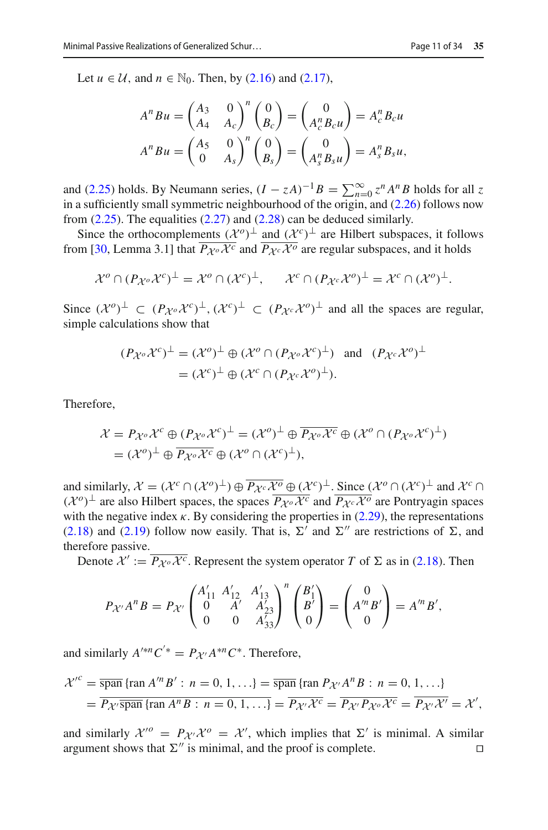Let  $u \in \mathcal{U}$ , and  $n \in \mathbb{N}_0$ . Then, by [\(2.16\)](#page-8-1) and [\(2.17\)](#page-8-1),

$$
A^n B u = \begin{pmatrix} A_3 & 0 \\ A_4 & A_c \end{pmatrix}^n \begin{pmatrix} 0 \\ B_c \end{pmatrix} = \begin{pmatrix} 0 \\ A_c^n B_c u \end{pmatrix} = A_c^n B_c u
$$
  

$$
A^n B u = \begin{pmatrix} A_5 & 0 \\ 0 & A_s \end{pmatrix}^n \begin{pmatrix} 0 \\ B_s \end{pmatrix} = \begin{pmatrix} 0 \\ A_s^n B_s u \end{pmatrix} = A_s^n B_s u,
$$

and [\(2.25\)](#page-9-0) holds. By Neumann series,  $(I - zA)^{-1}B = \sum_{n=0}^{\infty} z^n A^n B$  holds for all *z*<br>*i.e. n s*<sup>*n*</sup> *C* 200 *f*<sup>1</sup> in a sufficiently small symmetric neighbourhood of the origin, and [\(2.26\)](#page-9-1) follows now from [\(2.25\)](#page-9-0). The equalities [\(2.27\)](#page-9-2) and [\(2.28\)](#page-9-3) can be deduced similarly.

Since the orthocomplements  $({\cal X}^o)^\perp$  and  $({\cal X}^c)^\perp$  are Hilbert subspaces, it follows from [\[30,](#page-33-0) Lemma 3.1] that  $\overline{P_{\mathcal{X}^o} \mathcal{X}^c}$  and  $\overline{P_{\mathcal{X}^c} \mathcal{X}^o}$  are regular subspaces, and it holds

$$
\mathcal{X}^o \cap (P_{\mathcal{X}^o} \mathcal{X}^c)^\perp = \mathcal{X}^o \cap (\mathcal{X}^c)^\perp, \qquad \mathcal{X}^c \cap (P_{\mathcal{X}^c} \mathcal{X}^o)^\perp = \mathcal{X}^c \cap (\mathcal{X}^o)^\perp.
$$

Since  $({\cal X}^o)^\perp$  ⊂  $(P_{{\cal X}^o} {\cal X}^c)^\perp$ ,  $({\cal X}^c)^\perp$  ⊂  $(P_{{\cal X}^c} {\cal X}^o)^\perp$  and all the spaces are regular, simple calculations show that

$$
(P_{\mathcal{X}^o} \mathcal{X}^c)^\perp = (\mathcal{X}^o)^\perp \oplus (\mathcal{X}^o \cap (P_{\mathcal{X}^o} \mathcal{X}^c)^\perp) \text{ and } (P_{\mathcal{X}^c} \mathcal{X}^o)^\perp
$$
  
=  $(\mathcal{X}^c)^\perp \oplus (\mathcal{X}^c \cap (P_{\mathcal{X}^c} \mathcal{X}^o)^\perp).$ 

Therefore,

$$
\mathcal{X} = P_{\mathcal{X}^o} \mathcal{X}^c \oplus (P_{\mathcal{X}^o} \mathcal{X}^c)^{\perp} = (\mathcal{X}^o)^{\perp} \oplus \overline{P_{\mathcal{X}^o} \mathcal{X}^c} \oplus (\mathcal{X}^o \cap (P_{\mathcal{X}^o} \mathcal{X}^c)^{\perp})
$$
  
=  $(\mathcal{X}^o)^{\perp} \oplus \overline{P_{\mathcal{X}^o} \mathcal{X}^c} \oplus (\mathcal{X}^o \cap (\mathcal{X}^c)^{\perp}),$ 

and similarly,  $\mathcal{X} = (\mathcal{X}^c \cap (\mathcal{X}^o)^{\perp}) \oplus \overline{P_{\mathcal{X}^c} \mathcal{X}^o} \oplus (\mathcal{X}^c)^{\perp}$ . Since  $(\mathcal{X}^o \cap (\mathcal{X}^c)^{\perp}$  and  $\mathcal{X}^c \cap$  $(\mathcal{X}^o)$ <sup>⊥</sup> are also Hilbert spaces, the spaces  $\overline{P_{\mathcal{X}^o}\mathcal{X}^c}$  and  $\overline{P_{\mathcal{X}^c}\mathcal{X}^o}$  are Pontryagin spaces with the negative index  $\kappa$ . By considering the properties in [\(2.29\)](#page-9-4), the representations  $(2.18)$  and  $(2.19)$  follow now easily. That is,  $\Sigma'$  and  $\Sigma''$  are restrictions of  $\Sigma$ , and therefore passive.

Denote  $\mathcal{X}' := \overline{P_{\mathcal{X}^o} \mathcal{X}^c}$ . Represent the system operator *T* of  $\Sigma$  as in [\(2.18\)](#page-8-1). Then

$$
P_{\mathcal{X}'}A^nB=P_{\mathcal{X}'}\begin{pmatrix}A'_{11} & A'_{12} & A'_{13} \ 0 & A' & A'_{23} \ 0 & 0 & A'_{33}\end{pmatrix}^n\begin{pmatrix}B'_1 \ B' \ 0\end{pmatrix}=\begin{pmatrix}0 \ A^mB' \ 0\end{pmatrix}=A'^nB',
$$

and similarly  $A^{\prime\ast n}C^{\prime\ast} = P_{\mathcal{X}'}A^{\ast n}C^{\ast}$ . Therefore,

$$
\mathcal{X}^{\prime c} = \overline{\text{span}} \left\{ \text{ran } A^{\prime n} B' : n = 0, 1, \ldots \right\} = \overline{\text{span}} \left\{ \text{ran } P_{\mathcal{X}^{\prime}} A^{n} B : n = 0, 1, \ldots \right\}
$$

$$
= \overline{P_{\mathcal{X}^{\prime}} \overline{\text{span}} \left\{ \text{ran } A^{n} B : n = 0, 1, \ldots \right\}} = \overline{P_{\mathcal{X}^{\prime}} \mathcal{X}^{c}} = \overline{P_{\mathcal{X}^{\prime}} P_{\mathcal{X}^{o}} \mathcal{X}^{c}} = \overline{P_{\mathcal{X}^{\prime}} \mathcal{X}^{\prime}} = \mathcal{X}^{\prime},
$$

and similarly  $\mathcal{X}^{\prime o} = P_{\mathcal{X}'} \mathcal{X}^{\prime o} = \mathcal{X}'$ , which implies that  $\Sigma'$  is minimal. A similar argument shows that  $\Sigma''$  is minimal, and the proof is complete.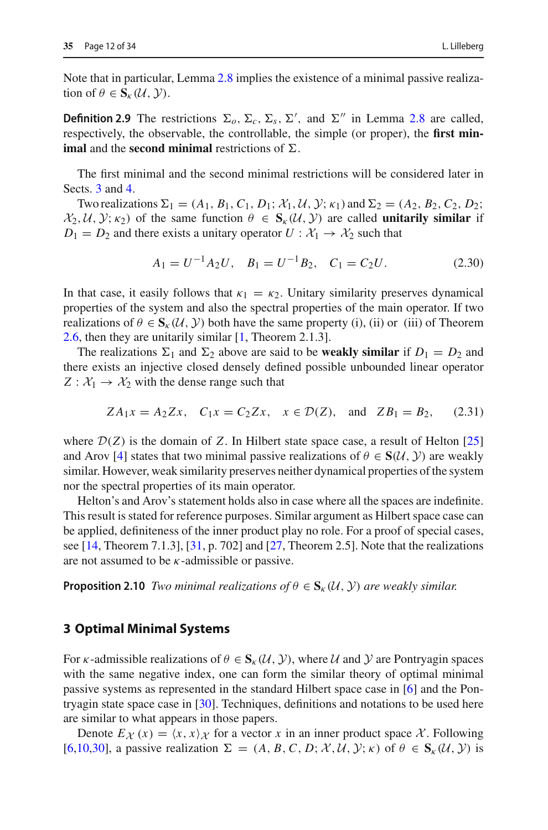<span id="page-11-1"></span>tion of  $\theta \in S_{\kappa}(\mathcal{U}, \mathcal{Y})$ .

**Definition 2.9** The restrictions  $\Sigma_o$ ,  $\Sigma_c$ ,  $\Sigma_s$ ,  $\Sigma'$ , and  $\Sigma''$  in Lemma [2.8](#page-8-0) are called, respectively, the observable, the controllable, the simple (or proper), the **first minimal** and the **second minimal** restrictions of  $\Sigma$ .

The first minimal and the second minimal restrictions will be considered later in Sects. [3](#page-11-0) and [4.](#page-19-0)

Two realizations  $\Sigma_1 = (A_1, B_1, C_1, D_1; \mathcal{X}_1, \mathcal{U}, \mathcal{Y}; \kappa_1)$  and  $\Sigma_2 = (A_2, B_2, C_2, D_2;$  $\mathcal{X}_2, \mathcal{U}, \mathcal{Y}; \kappa_2$  of the same function  $\theta \in \mathbf{S}_{\kappa}(\mathcal{U}, \mathcal{Y})$  are called **unitarily similar** if  $D_1 = D_2$  and there exists a unitary operator  $U : \mathcal{X}_1 \to \mathcal{X}_2$  such that

<span id="page-11-2"></span>
$$
A_1 = U^{-1} A_2 U, \quad B_1 = U^{-1} B_2, \quad C_1 = C_2 U. \tag{2.30}
$$

In that case, it easily follows that  $\kappa_1 = \kappa_2$ . Unitary similarity preserves dynamical properties of the system and also the spectral properties of the main operator. If two realizations of  $\theta \in S_{k}(U, Y)$  both have the same property (i), (ii) or (iii) of Theorem [2.6,](#page-7-0) then they are unitarily similar [\[1,](#page-31-1) Theorem 2.1.3].

The realizations  $\Sigma_1$  and  $\Sigma_2$  above are said to be **weakly similar** if  $D_1 = D_2$  and there exists an injective closed densely defined possible unbounded linear operator  $Z: \mathcal{X}_1 \rightarrow \mathcal{X}_2$  with the dense range such that

<span id="page-11-3"></span>
$$
ZA_1x = A_2Zx, \quad C_1x = C_2Zx, \quad x \in \mathcal{D}(Z), \quad \text{and} \quad ZB_1 = B_2, \tag{2.31}
$$

where  $\mathcal{D}(Z)$  is the domain of Z. In Hilbert state space case, a result of Helton [\[25\]](#page-32-6) and Arov [\[4](#page-31-0)] states that two minimal passive realizations of  $\theta \in S(\mathcal{U}, \mathcal{Y})$  are weakly similar. However, weak similarity preserves neither dynamical properties of the system nor the spectral properties of its main operator.

Helton's and Arov's statement holds also in case where all the spaces are indefinite. This result is stated for reference purposes. Similar argument as Hilbert space case can be applied, definiteness of the inner product play no role. For a proof of special cases, see [\[14,](#page-32-18) Theorem 7.1.3], [\[31](#page-33-3), p. 702] and [\[27,](#page-32-11) Theorem 2.5]. Note that the realizations are not assumed to be  $\kappa$ -admissible or passive.

**Proposition 2.10** *Two minimal realizations of*  $\theta \in S_{\kappa}(\mathcal{U}, \mathcal{Y})$  *are weakly similar.* 

## <span id="page-11-0"></span>**3 Optimal Minimal Systems**

For *κ*-admissible realizations of  $\theta \in S_{\kappa}(U, Y)$ , where *U* and *Y* are Pontryagin spaces with the same negative index, one can form the similar theory of optimal minimal passive systems as represented in the standard Hilbert space case in [\[6](#page-31-3)] and the Pontryagin state space case in [\[30\]](#page-33-0). Techniques, definitions and notations to be used here are similar to what appears in those papers.

Denote  $E_{\mathcal{X}}(x) = \langle x, x \rangle_{\mathcal{X}}$  for a vector *x* in an inner product space *X*. Following [\[6](#page-31-3)[,10](#page-32-9)[,30\]](#page-33-0), a passive realization  $\Sigma = (A, B, C, D; \mathcal{X}, \mathcal{U}, \mathcal{Y}; \kappa)$  of  $\theta \in S_{\kappa}(\mathcal{U}, \mathcal{Y})$  is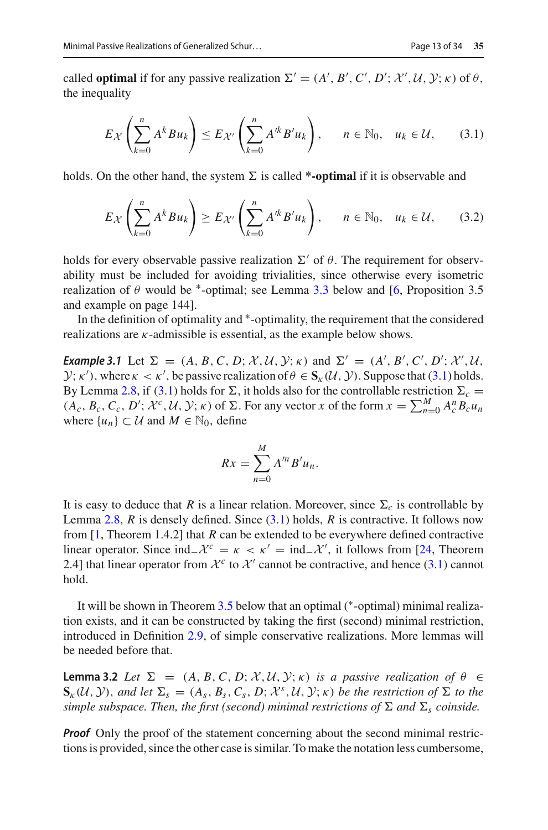called **optimal** if for any passive realization  $\Sigma' = (A', B', C', D'; \mathcal{X}', \mathcal{U}, \mathcal{Y}; \kappa)$  of  $\theta$ , the inequality

<span id="page-12-0"></span>
$$
E_{\mathcal{X}}\left(\sum_{k=0}^{n} A^{k} B u_{k}\right) \leq E_{\mathcal{X}'}\left(\sum_{k=0}^{n} A'^{k} B' u_{k}\right), \quad n \in \mathbb{N}_{0}, \quad u_{k} \in \mathcal{U}, \qquad (3.1)
$$

holds. On the other hand, the system  $\Sigma$  is called **\*-optimal** if it is observable and

$$
E_{\mathcal{X}}\left(\sum_{k=0}^{n} A^{k} B u_{k}\right) \geq E_{\mathcal{X}'}\left(\sum_{k=0}^{n} A'^{k} B' u_{k}\right), \quad n \in \mathbb{N}_{0}, \quad u_{k} \in \mathcal{U}, \qquad (3.2)
$$

holds for every observable passive realization  $\Sigma'$  of  $\theta$ . The requirement for observability must be included for avoiding trivialities, since otherwise every isometric realization of  $\theta$  would be <sup>\*</sup>-optimal; see Lemma [3.3](#page-13-0) below and [\[6,](#page-31-3) Proposition 3.5 and example on page 144].

In the definition of optimality and ∗-optimality, the requirement that the considered realizations are  $\kappa$ -admissible is essential, as the example below shows.

*Example 3.1* Let  $\Sigma = (A, B, C, D; \mathcal{X}, \mathcal{U}, \mathcal{Y}; \kappa)$  and  $\Sigma' = (A', B', C', D'; \mathcal{X}', \mathcal{U}, \mathcal{Y}; \kappa)$ *Y*;  $\kappa'$ ), where  $\kappa < \kappa'$ , be passive realization of  $\theta \in S_{\kappa}(\mathcal{U}, \mathcal{Y})$ . Suppose that [\(3.1\)](#page-12-0) holds. By Lemma [2.8,](#page-8-0) if [\(3.1\)](#page-12-0) holds for  $\Sigma$ , it holds also for the controllable restriction  $\Sigma_c =$  $(A_c, B_c, C_c, D'; \mathcal{X}^c, \mathcal{U}, \mathcal{Y}; \kappa)$  of  $\Sigma$ . For any vector *x* of the form  $x = \sum_{n=0}^{M} A_c^n B_c u_n$ where  $\{u_n\} \subset \mathcal{U}$  and  $M \in \mathbb{N}_0$ , define

$$
Rx = \sum_{n=0}^{M} A^{\prime n} B^{\prime} u_n.
$$

It is easy to deduce that *R* is a linear relation. Moreover, since  $\Sigma_c$  is controllable by Lemma [2.8,](#page-8-0) *R* is densely defined. Since [\(3.1\)](#page-12-0) holds, *R* is contractive. It follows now from [\[1,](#page-31-1) Theorem 1.4.2] that *R* can be extended to be everywhere defined contractive linear operator. Since  $\text{ind}_-\mathcal{X}^c = \kappa < \kappa' = \text{ind}_-\mathcal{X}'$ , it follows from [\[24](#page-32-0), Theorem 2.4] that linear operator from  $\mathcal{X}^c$  to  $\mathcal{X}'$  cannot be contractive, and hence [\(3.1\)](#page-12-0) cannot hold.

It will be shown in Theorem [3.5](#page-15-0) below that an optimal (∗-optimal) minimal realization exists, and it can be constructed by taking the first (second) minimal restriction, introduced in Definition [2.9,](#page-11-1) of simple conservative realizations. More lemmas will be needed before that.

<span id="page-12-1"></span>**Lemma 3.2** *Let*  $\Sigma = (A, B, C, D; \mathcal{X}, \mathcal{U}, \mathcal{Y}; \kappa)$  *is a passive realization of*  $\theta \in$  $\mathbf{S}_{\kappa}(\mathcal{U}, \mathcal{Y})$ , and let  $\Sigma_{s} = (A_{s}, B_{s}, C_{s}, D; \mathcal{X}^{s}, \mathcal{U}, \mathcal{Y}; \kappa)$  be the restriction of  $\Sigma$  to the  $s$ *imple subspace. Then, the first (second) minimal restrictions of*  $\Sigma$  *and*  $\Sigma$ <sub>*s</sub> coinside.*</sub>

*Proof* Only the proof of the statement concerning about the second minimal restrictions is provided, since the other case is similar. To make the notation less cumbersome,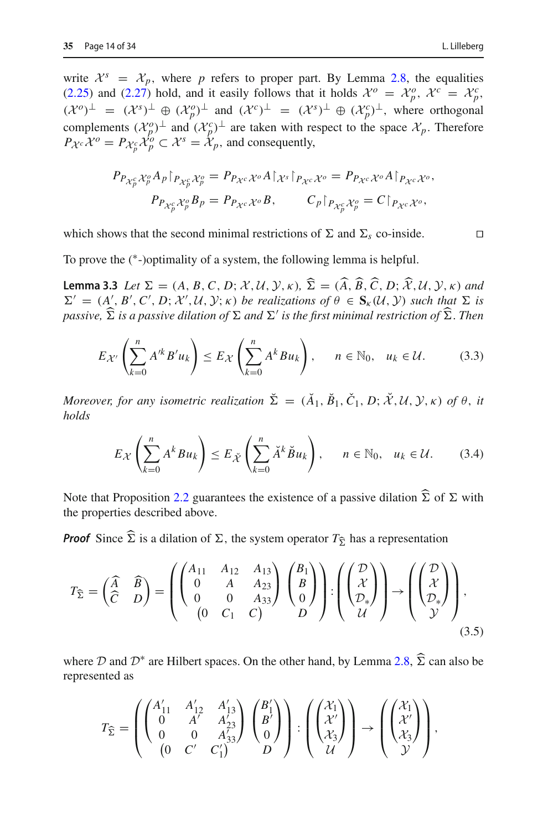write  $\mathcal{X}^s = \mathcal{X}_p$ , where p refers to proper part. By Lemma [2.8,](#page-8-0) the equalities [\(2.25\)](#page-9-0) and [\(2.27\)](#page-9-2) hold, and it easily follows that it holds  $\mathcal{X}^o = \mathcal{X}^o_p$ ,  $\mathcal{X}^c = \mathcal{X}^c_p$ ,  $({\cal X}^o)^\perp = ({\cal X}^s)^\perp \oplus ({\cal X}^o_p)^\perp$  and  $({\cal X}^c)^\perp = ({\cal X}^s)^\perp \oplus ({\cal X}^c_p)^\perp$ , where orthogonal complements  $({\cal X}_{p}^{o})^{\perp}$  and  $({\cal X}_{p}^{c})^{\perp}$  are taken with respect to the space  ${\cal X}_{p}$ . Therefore  $P_{\mathcal{X}^c} \mathcal{X}^o = P_{\mathcal{X}^c_p} \mathcal{X}^o_p \subset \mathcal{X}^s = \mathcal{X}_p$ , and consequently,

$$
P_{P_{\mathcal{X}_p^c} \mathcal{X}_p^o} A_p \upharpoonright_{P_{\mathcal{X}_p^c} \mathcal{X}_p^o} = P_{P_{\mathcal{X}^c} \mathcal{X}^o} A \upharpoonright_{\mathcal{X}^s} \upharpoonright_{P_{\mathcal{X}^c} \mathcal{X}^o} = P_{P_{\mathcal{X}^c} \mathcal{X}^o} A \upharpoonright_{P_{\mathcal{X}^c} \mathcal{X}^o},
$$

$$
P_{P_{\mathcal{X}_p^c} \mathcal{X}_p^o} B_p = P_{P_{\mathcal{X}^c} \mathcal{X}^o} B, \qquad C_p \upharpoonright_{P_{\mathcal{X}_p^c} \mathcal{X}_p^o} = C \upharpoonright_{P_{\mathcal{X}^c} \mathcal{X}^o},
$$

which shows that the second minimal restrictions of  $\Sigma$  and  $\Sigma_s$  co-inside.

<span id="page-13-0"></span>To prove the (∗-)optimality of a system, the following lemma is helpful.

**Lemma 3.3** *Let*  $\Sigma = (A, B, C, D; \mathcal{X}, \mathcal{U}, \mathcal{Y}, \kappa)$ ,  $\Sigma = (A, B, C, D; \mathcal{X}, \mathcal{U}, \mathcal{Y}, \kappa)$  and  $\Sigma' = (A', B', C', D, \mathcal{Y}', \mathcal{U}, \mathcal{Y}, \omega)$  be regligations of  $\theta \in S$ ,  $(\mathcal{U}, \mathcal{Y})$  with that  $\Sigma$  is  $\Sigma' = (A', B', C', D; \mathcal{X}', \mathcal{U}, \mathcal{Y}; \kappa)$  *be realizations of*  $\theta \in S_{\kappa}(\mathcal{U}, \mathcal{Y})$  *such that*  $\Sigma$  *is*  $p$ assive,  $\Sigma$  is a passive dilation of  $\Sigma$  and  $\Sigma'$  is the first minimal restriction of  $\Sigma$  . Then

$$
E_{\mathcal{X}'}\left(\sum_{k=0}^{n} A'^{k} B' u_{k}\right) \leq E_{\mathcal{X}}\left(\sum_{k=0}^{n} A^{k} B u_{k}\right), \quad n \in \mathbb{N}_{0}, \quad u_{k} \in \mathcal{U}.
$$
 (3.3)

 $M$ *oreover, for any isometric realization*  $\Sigma = (A_1, B_1, C_1, D; \mathcal{X}, \mathcal{U}, \mathcal{Y}, \kappa)$  *of*  $\theta$ *, it holds*

$$
E_{\mathcal{X}}\left(\sum_{k=0}^{n} A^{k} B u_{k}\right) \leq E_{\tilde{\mathcal{X}}}\left(\sum_{k=0}^{n} \tilde{A}^{k} \tilde{B} u_{k}\right), \quad n \in \mathbb{N}_{0}, \quad u_{k} \in \mathcal{U}.
$$
 (3.4)

Note that Proposition [2.2](#page-5-1) guarantees the existence of a passive dilation  $\Sigma$  of  $\Sigma$  with the proportion described above. the properties described above.

**Proof** Since  $\widehat{\Sigma}$  is a dilation of  $\Sigma$ , the system operator  $T_{\widehat{\Sigma}}$  has a representation

<span id="page-13-1"></span>
$$
T_{\widehat{\Sigma}} = \begin{pmatrix} \widehat{A} & \widehat{B} \\ \widehat{C} & D \end{pmatrix} = \begin{pmatrix} \begin{pmatrix} A_{11} & A_{12} & A_{13} \\ 0 & A & A_{23} \\ 0 & 0 & A_{33} \end{pmatrix} \begin{pmatrix} B_1 \\ B \\ 0 \end{pmatrix} \end{pmatrix} : \begin{pmatrix} \begin{pmatrix} \mathcal{D} \\ \mathcal{X} \\ \mathcal{D}_* \end{pmatrix} \end{pmatrix} \rightarrow \begin{pmatrix} \begin{pmatrix} \mathcal{D} \\ \mathcal{X} \\ \mathcal{D}_* \end{pmatrix} \end{pmatrix},
$$
\n(3.5)

where  $D$  and  $D^*$  are Hilbert spaces. On the other hand, by Lemma [2.8,](#page-8-0)  $\Sigma$  can also be represented as

$$
T_{\widehat{\Sigma}} = \left( \begin{pmatrix} A'_{11} & A'_{12} & A'_{13} \\ 0 & A' & A'_{23} \\ 0 & 0 & A'_{33} \end{pmatrix} \begin{pmatrix} B'_{1} \\ B' \\ 0 \end{pmatrix} \right) : \left( \begin{pmatrix} \mathcal{X}_{1} \\ \mathcal{X}' \\ \mathcal{X}_{3} \end{pmatrix} \right) \rightarrow \left( \begin{pmatrix} \mathcal{X}_{1} \\ \mathcal{X}' \\ \mathcal{X}_{3} \end{pmatrix} \right),
$$

<span id="page-13-3"></span><span id="page-13-2"></span>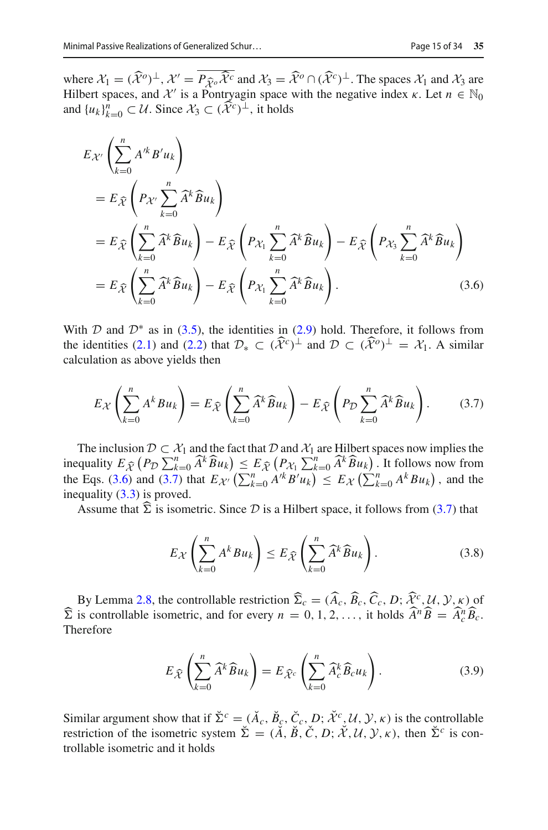where  $\mathcal{X}_1 = (\hat{\mathcal{X}}^o)^\perp$ ,  $\mathcal{X}' = P_{\hat{\mathcal{X}}^o} \hat{\mathcal{X}}^c$  and  $\mathcal{X}_3 = \hat{\mathcal{X}}^o \cap (\hat{\mathcal{X}}^c)^\perp$ . The spaces  $\mathcal{X}_1$  and  $\mathcal{X}_3$  are Hilbert spaces and  $\mathcal{X}'$  is a Pontryggin space with the peoptive index Hilbert spaces, and  $\mathcal{X}'$  is a Pontryagin space with the negative index  $\kappa$ . Let  $n \in \mathbb{N}_0$ and  $\{u_k\}_{k=0}^n \subset \mathcal{U}$ . Since  $\mathcal{X}_3 \subset (\widehat{\mathcal{X}}^c)^{\perp}$ , it holds

$$
E_{\mathcal{X}'}\left(\sum_{k=0}^{n} A'^{k} B' u_{k}\right)
$$
  
\n
$$
= E_{\widehat{\mathcal{X}}}\left(P_{\mathcal{X}'}\sum_{k=0}^{n} \widehat{A}^{k} \widehat{B} u_{k}\right)
$$
  
\n
$$
= E_{\widehat{\mathcal{X}}}\left(\sum_{k=0}^{n} \widehat{A}^{k} \widehat{B} u_{k}\right) - E_{\widehat{\mathcal{X}}}\left(P_{\mathcal{X}_{1}}\sum_{k=0}^{n} \widehat{A}^{k} \widehat{B} u_{k}\right) - E_{\widehat{\mathcal{X}}}\left(P_{\mathcal{X}_{3}}\sum_{k=0}^{n} \widehat{A}^{k} \widehat{B} u_{k}\right)
$$
  
\n
$$
= E_{\widehat{\mathcal{X}}}\left(\sum_{k=0}^{n} \widehat{A}^{k} \widehat{B} u_{k}\right) - E_{\widehat{\mathcal{X}}}\left(P_{\mathcal{X}_{1}}\sum_{k=0}^{n} \widehat{A}^{k} \widehat{B} u_{k}\right).
$$
 (3.6)

With  $D$  and  $D^*$  as in [\(3.5\)](#page-13-1), the identities in [\(2.9\)](#page-4-3) hold. Therefore, it follows from the identities [\(2.1\)](#page-4-4) and [\(2.2\)](#page-4-6) that  $\mathcal{D}_* \subset (\widehat{\mathcal{X}}^c)^{\perp}$  and  $\mathcal{D} \subset (\widehat{\mathcal{X}}^o)^{\perp} = \mathcal{X}_1$ . A similar calculation as above yields then

<span id="page-14-0"></span>
$$
E_{\mathcal{X}}\left(\sum_{k=0}^{n} A^{k} B u_{k}\right) = E_{\widehat{\mathcal{X}}}\left(\sum_{k=0}^{n} \widehat{A}^{k} \widehat{B} u_{k}\right) - E_{\widehat{\mathcal{X}}}\left(P_{\mathcal{D}} \sum_{k=0}^{n} \widehat{A}^{k} \widehat{B} u_{k}\right).
$$
 (3.7)

The inclusion  $D \subset \mathcal{X}_1$  and the fact that  $D$  and  $\mathcal{X}_1$  are Hilbert spaces now implies the inequality  $E_{\widehat{\mathcal{X}}}$   $(P_{\mathcal{D}} \sum_{k=0}^{n} \widehat{A}^k \widehat{B} u_k) \leq E_{\widehat{\mathcal{X}}}$   $(P_{\mathcal{X}_1} \sum_{k=0}^{n} \widehat{A}^k \widehat{B} u_k)$ . It follows now from the Eqs. [\(3.6\)](#page-14-0) and [\(3.7\)](#page-14-1) that  $E_{\mathcal{X}}(\sum_{k=0}^{n} A^{k} B^{k} u_{k}) \leq E_{\mathcal{X}}(\sum_{k=0}^{n} A^{k} B u_{k})$ , and the inequality [\(3.3\)](#page-13-2) is proved.

Assume that  $\Sigma$  is isometric. Since  $D$  is a Hilbert space, it follows from [\(3.7\)](#page-14-1) that

<span id="page-14-2"></span><span id="page-14-1"></span>
$$
E_{\mathcal{X}}\left(\sum_{k=0}^{n} A^{k} B u_{k}\right) \leq E_{\widehat{\mathcal{X}}}\left(\sum_{k=0}^{n} \widehat{A}^{k} \widehat{B} u_{k}\right).
$$
 (3.8)

By Lemma [2.8,](#page-8-0) the controllable restriction  $\hat{\Sigma}_c = (\hat{A}_c, \hat{B}_c, \hat{C}_c, D; \hat{\mathcal{X}}^c, \mathcal{U}, \mathcal{Y}, \kappa)$  of  $\widehat{\Sigma}$  is controllable isometric, and for every  $n = 0, 1, 2, \ldots$ , it holds  $\widehat{A}^n \widehat{B} = \widehat{A}_c^n \widehat{B}_c$ . Therefore

$$
E_{\widehat{\mathcal{X}}}\left(\sum_{k=0}^{n}\widehat{A}^{k}\widehat{B}u_{k}\right)=E_{\widehat{\mathcal{X}}^{c}}\left(\sum_{k=0}^{n}\widehat{A}_{c}^{k}\widehat{B}_{c}u_{k}\right).
$$
 (3.9)

Similar argument show that if  $\Sigma^c = (A_c, B_c, C_c, D; X^c, U, Y, \kappa)$  is the controllable restriction of the isometric system  $\check{\Sigma} = (\check{A}, \check{B}, \check{C}, D; \check{\mathcal{X}}, \mathcal{U}, \mathcal{Y}, \kappa)$ , then  $\check{\Sigma}^c$  is controllable isometric and it holds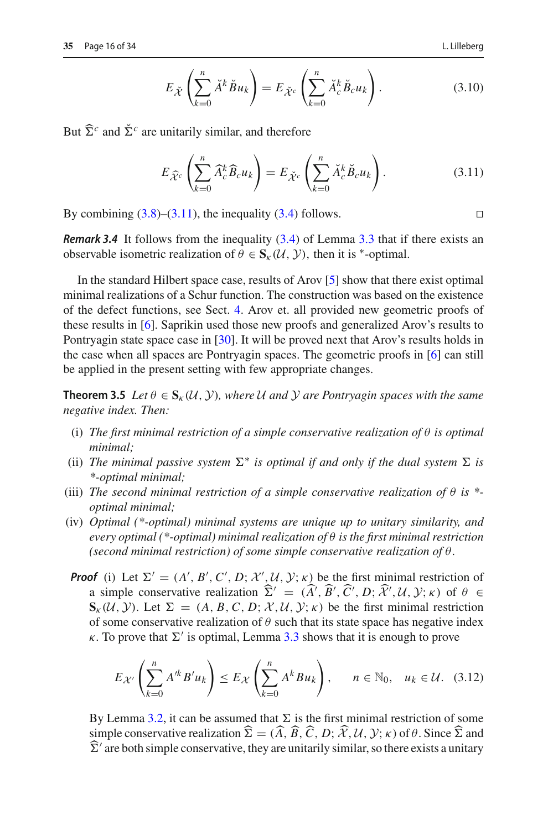$$
E_{\check{\mathcal{X}}}\left(\sum_{k=0}^{n}\check{A}^{k}\check{B}u_{k}\right) = E_{\check{\mathcal{X}}^{c}}\left(\sum_{k=0}^{n}\check{A}_{c}^{k}\check{B}_{c}u_{k}\right).
$$
 (3.10)

But  $\hat{\Sigma}^c$  and  $\check{\Sigma}^c$  are unitarily similar, and therefore

$$
E_{\widehat{\mathcal{X}}^c} \left( \sum_{k=0}^n \widehat{A}_c^k \widehat{B}_c u_k \right) = E_{\breve{\mathcal{X}}^c} \left( \sum_{k=0}^n \breve{A}_c^k \breve{B}_c u_k \right). \tag{3.11}
$$

By combining  $(3.8)$ – $(3.11)$ , the inequality  $(3.4)$  follows.

*Remark 3.4* It follows from the inequality [\(3.4\)](#page-13-3) of Lemma [3.3](#page-13-0) that if there exists an observable isometric realization of  $\theta \in S_{k}(U, V)$ , then it is <sup>\*</sup>-optimal.

In the standard Hilbert space case, results of Arov [\[5](#page-31-2)] show that there exist optimal minimal realizations of a Schur function. The construction was based on the existence of the defect functions, see Sect. [4.](#page-19-0) Arov et. all provided new geometric proofs of these results in [\[6\]](#page-31-3). Saprikin used those new proofs and generalized Arov's results to Pontryagin state space case in [\[30](#page-33-0)]. It will be proved next that Arov's results holds in the case when all spaces are Pontryagin spaces. The geometric proofs in [\[6\]](#page-31-3) can still be applied in the present setting with few appropriate changes.

<span id="page-15-0"></span>**Theorem 3.5** *Let*  $\theta \in S_{k}(U, Y)$ *, where U and Y are Pontryagin spaces with the same negative index. Then:*

- (i) *The first minimal restriction of a simple conservative realization of* θ *is optimal minimal;*
- (ii) The minimal passive system  $\Sigma^*$  is optimal if and only if the dual system  $\Sigma$  is *\*-optimal minimal;*
- (iii) *The second minimal restriction of a simple conservative realization of* θ *is \* optimal minimal;*
- (iv) *Optimal (\*-optimal) minimal systems are unique up to unitary similarity, and every optimal (\*-optimal) minimal realization of* θ *is the first minimal restriction (second minimal restriction) of some simple conservative realization of* θ.
- *Proof* (i) Let  $\Sigma' = (A', B', C', D; \mathcal{X}', \mathcal{U}, \mathcal{Y}; \kappa)$  be the first minimal restriction of a simple conservative realization  $\Sigma' = (A', B', C', D; \mathcal{X}', \mathcal{U}, \mathcal{Y}; \kappa)$  of  $\theta \in \mathbb{S}$ ,  $(\mathcal{U}, \mathcal{Y})$ , Let  $\Sigma$ ,  $(A, B, C, D, \mathcal{Y}, \mathcal{U}, \mathcal{Y}; \omega)$  be the first minimal nativities  $\mathbf{S}_{\kappa}(\mathcal{U}, \mathcal{Y})$ . Let  $\Sigma = (A, B, C, D, \mathcal{X}, \mathcal{U}, \mathcal{Y}; \kappa)$  be the first minimal restriction of some conservative realization of  $\theta$  such that its state space has negative index  $\kappa$ . To prove that  $\Sigma'$  is optimal, Lemma [3.3](#page-13-0) shows that it is enough to prove

<span id="page-15-2"></span>
$$
E_{\mathcal{X}'}\left(\sum_{k=0}^{n} A'^{k} B' u_{k}\right) \leq E_{\mathcal{X}}\left(\sum_{k=0}^{n} A^{k} B u_{k}\right), \quad n \in \mathbb{N}_{0}, \quad u_{k} \in \mathcal{U}. \quad (3.12)
$$

By Lemma [3.2,](#page-12-1) it can be assumed that  $\Sigma$  is the first minimal restriction of some simple conservative realization  $\Sigma = (A, B, C, D; \mathcal{X}, \mathcal{U}, \mathcal{Y}; \kappa)$  of  $\theta$ . Since  $\Sigma$  and  $\widehat{\Sigma}$  / are heth simple conservative, there exists in its partition of the second state of the second state of the second sta  $\bar{\Sigma}'$  are both simple conservative, they are unitarily similar, so there exists a unitary

<span id="page-15-1"></span>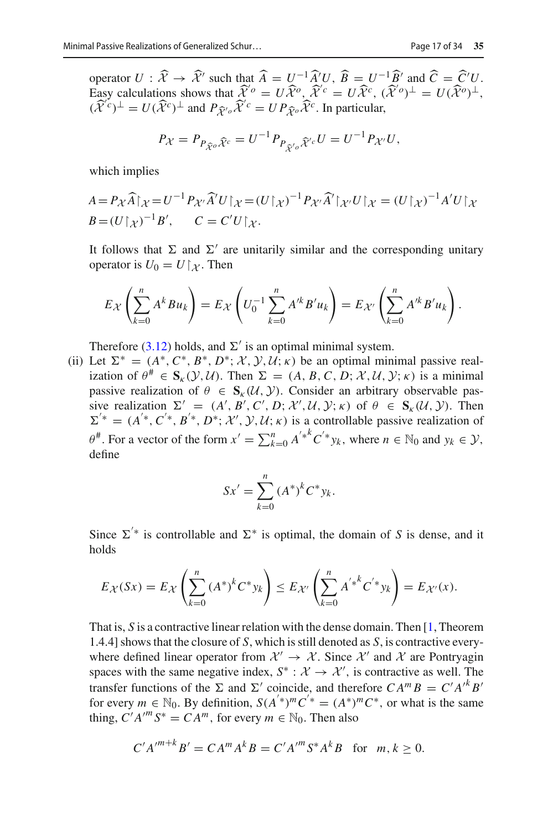operator  $U : \hat{\mathcal{X}} \to \hat{\mathcal{X}}'$  such that  $\hat{A} = U^{-1} \hat{A}' U$ ,  $\hat{B} = U^{-1} \hat{B}'$  and  $\hat{C} = \hat{C}' U$ . Easy calculations shows that  $\widehat{\mathcal{X}}^{\prime o} = U\widehat{\mathcal{X}}^o$ ,  $\widehat{\mathcal{X}}^{\prime c} = U\widehat{\mathcal{X}}^c$ ,  $(\widehat{\mathcal{X}}^{\prime o})^{\perp} = U(\widehat{\mathcal{X}}^o)^{\perp}$ ,  $(\hat{\mathcal{X}}^c)^{\perp} = U(\hat{\mathcal{X}}^c)^{\perp}$  and  $P_{\hat{\mathcal{X}}^o} \hat{\mathcal{X}}^c = U P_{\hat{\mathcal{X}}^o} \hat{\mathcal{X}}^c$ . In particular,

$$
P_{\mathcal{X}} = P_{P_{\widehat{\mathcal{X}}^o}\widehat{\mathcal{X}}^c} = U^{-1} P_{P_{\widehat{\mathcal{X}}^o}\widehat{\mathcal{X}}^c} U = U^{-1} P_{\mathcal{X}'} U,
$$

which implies

$$
A = P_{\mathcal{X}}\widehat{A}\big|_{\mathcal{X}} = U^{-1}P_{\mathcal{X}'}\widehat{A}'U\big|_{\mathcal{X}} = (U\big|_{\mathcal{X}})^{-1}P_{\mathcal{X}'}\widehat{A}'\big|_{\mathcal{X}'}U\big|_{\mathcal{X}} = (U\big|_{\mathcal{X}})^{-1}A'U\big|_{\mathcal{X}}
$$
  

$$
B = (U\big|_{\mathcal{X}})^{-1}B', \qquad C = C'U\big|_{\mathcal{X}}.
$$

It follows that  $\Sigma$  and  $\Sigma'$  are unitarily similar and the corresponding unitary operator is  $U_0 = U\vert_{\mathcal{X}}$ . Then

$$
E_{\mathcal{X}}\left(\sum_{k=0}^{n} A^{k} B u_{k}\right) = E_{\mathcal{X}}\left(U_{0}^{-1} \sum_{k=0}^{n} A^{\prime k} B^{\prime} u_{k}\right) = E_{\mathcal{X}'}\left(\sum_{k=0}^{n} A^{\prime k} B^{\prime} u_{k}\right).
$$

Therefore [\(3.12\)](#page-15-2) holds, and  $\Sigma'$  is an optimal minimal system.

(ii) Let  $\Sigma^* = (A^*, C^*, B^*, D^*; \mathcal{X}, \mathcal{Y}, \mathcal{U}; \kappa)$  be an optimal minimal passive realization of  $\theta^* \in S_K(\mathcal{Y}, \mathcal{U})$ . Then  $\Sigma = (A, B, C, D; \mathcal{X}, \mathcal{U}, \mathcal{Y}; \kappa)$  is a minimal passive realization of  $\theta \in S_{k}(U, V)$ . Consider an arbitrary observable passive realization  $\Sigma' = (A', B', C', D; \mathcal{X}', \mathcal{U}, \mathcal{Y}; \kappa)$  of  $\theta \in S_{\kappa}(\mathcal{U}, \mathcal{Y})$ . Then  $\Sigma^{\prime *} = (A^{\prime *}, C^{\prime *}, B^{\prime *}, D^*; \mathcal{X}', \mathcal{Y}, \mathcal{U}; \kappa)$  is a controllable passive realization of  $\theta^{\#}$ . For a vector of the form  $x' = \sum_{k=0}^{n} A^{k} (x')^k y_k$ , where  $n \in \mathbb{N}_0$  and  $y_k \in \mathcal{Y}$ , define

$$
Sx' = \sum_{k=0}^{n} (A^*)^k C^* y_k.
$$

Since  $\Sigma^*$  is controllable and  $\Sigma^*$  is optimal, the domain of *S* is dense, and it holds

$$
E_{\mathcal{X}}(Sx) = E_{\mathcal{X}}\left(\sum_{k=0}^{n} (A^*)^{k} C^* y_k\right) \leq E_{\mathcal{X}'}\left(\sum_{k=0}^{n} {A'}^{*k} C^{'*} y_k\right) = E_{\mathcal{X}'}(x).
$$

That is, *S* is a contractive linear relation with the dense domain. Then [\[1,](#page-31-1) Theorem 1.4.4] shows that the closure of *S*, which is still denoted as *S*, is contractive everywhere defined linear operator from  $\mathcal{X}' \to \mathcal{X}$ . Since  $\mathcal{X}'$  and  $\mathcal{X}$  are Pontryagin spaces with the same negative index,  $S^* : \mathcal{X} \to \mathcal{X}'$ , is contractive as well. The transfer functions of the  $\Sigma$  and  $\Sigma'$  coincide, and therefore  $CA^mB = C'A'^kB'$ for every  $m \in \mathbb{N}_0$ . By definition,  $S(A^{'*})^m C^{'*} = (A^*)^m C^*$ , or what is the same thing,  $C'A^{\prime m} S^* = CA^m$ , for every  $m \in \mathbb{N}_0$ . Then also

$$
C'A'^{m+k}B' = CA^{m}A^{k}B = C'A'^{m}S^{*}A^{k}B \text{ for } m, k \ge 0.
$$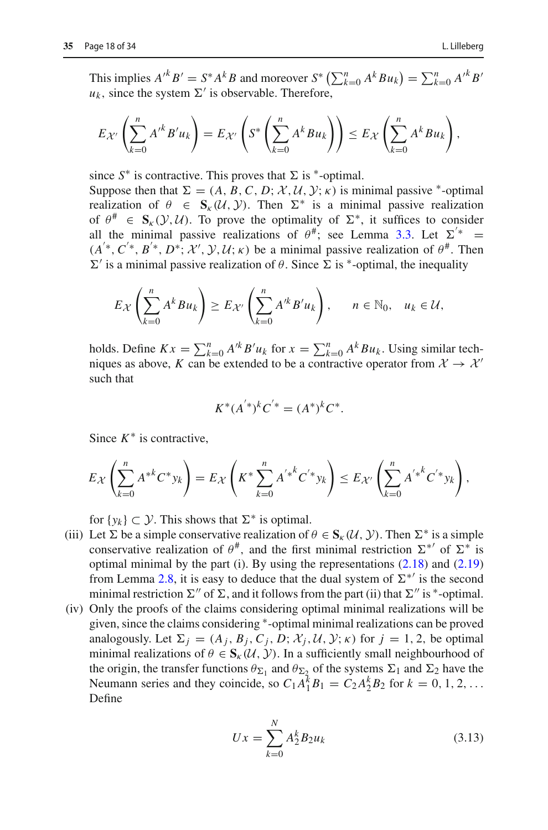$$
E_{\mathcal{X}'}\left(\sum_{k=0}^n A'^k B' u_k\right) = E_{\mathcal{X}'}\left(S^*\left(\sum_{k=0}^n A^k B u_k\right)\right) \leq E_{\mathcal{X}}\left(\sum_{k=0}^n A^k B u_k\right),
$$

since  $S^*$  is contractive. This proves that  $\Sigma$  is <sup>\*</sup>-optimal.

Suppose then that  $\Sigma = (A, B, C, D; \mathcal{X}, \mathcal{U}, \mathcal{Y}; \kappa)$  is minimal passive \*-optimal realization of  $\theta \in \mathbf{S}_{k}(\mathcal{U}, \mathcal{Y})$ . Then  $\Sigma^*$  is a minimal passive realization of  $\theta^{\#} \in S_{\kappa}(\mathcal{Y}, \mathcal{U})$ . To prove the optimality of  $\Sigma^*$ , it suffices to consider all the minimal passive realizations of  $\theta^{\#}$ ; see Lemma [3.3.](#page-13-0) Let  $\Sigma^{\prime *}$  =  $(A^*, C^*, B^*, D^*, \mathcal{X}', \mathcal{Y}, \mathcal{U}; \kappa)$  be a minimal passive realization of  $\theta^*$ . Then  $\Sigma'$  is a minimal passive realization of θ. Since  $\Sigma$  is \*-optimal, the inequality

$$
E_{\mathcal{X}}\left(\sum_{k=0}^n A^k B u_k\right) \geq E_{\mathcal{X}'}\left(\sum_{k=0}^n A'^k B' u_k\right), \qquad n \in \mathbb{N}_0, \quad u_k \in \mathcal{U},
$$

holds. Define  $Kx = \sum_{k=0}^{n} A^k B^k u_k$  for  $x = \sum_{k=0}^{n} A^k B u_k$ . Using similar techniques as above, *K* can be extended to be a contractive operator from  $\mathcal{X} \to \mathcal{X}'$ such that

$$
K^*(A^{'*})^k C^{'*} = (A^*)^k C^*.
$$

Since  $K^*$  is contractive,

$$
E_{\mathcal{X}}\left(\sum_{k=0}^{n} A^{*k} C^{*} y_{k}\right) = E_{\mathcal{X}}\left(K^{*} \sum_{k=0}^{n} A^{'*k} C^{'*} y_{k}\right) \leq E_{\mathcal{X}'}\left(\sum_{k=0}^{n} A^{'*k} C^{'*} y_{k}\right),
$$

for  $\{y_k\} \subset \mathcal{Y}$ . This shows that  $\Sigma^*$  is optimal.

- (iii) Let  $\Sigma$  be a simple conservative realization of  $\theta \in S_{\kappa}(\mathcal{U}, \mathcal{Y})$ . Then  $\Sigma^*$  is a simple conservative realization of  $\theta^{\#}$ , and the first minimal restriction  $\Sigma^{*'}$  of  $\Sigma^{*}$  is optimal minimal by the part (i). By using the representations  $(2.18)$  and  $(2.19)$ from Lemma [2.8,](#page-8-0) it is easy to deduce that the dual system of  $\Sigma^{*'}$  is the second minimal restriction  $\Sigma''$  of  $\Sigma$ , and it follows from the part (ii) that  $\Sigma''$  is  $^*$ -optimal.
- (iv) Only the proofs of the claims considering optimal minimal realizations will be given, since the claims considering ∗-optimal minimal realizations can be proved analogously. Let  $\Sigma_j = (A_j, B_j, C_j, D; \mathcal{X}_j, \mathcal{U}, \mathcal{Y}; \kappa)$  for  $j = 1, 2$ , be optimal minimal realizations of  $\theta \in S_{k}(U, V)$ . In a sufficiently small neighbourhood of the origin, the transfer functions  $\theta_{\Sigma_1}$  and  $\theta_{\Sigma_2}$  of the systems  $\Sigma_1$  and  $\Sigma_2$  have the Neumann series and they coincide, so  $C_1 A_1^{\overline{k}} B_1 = C_2 A_2^k B_2$  for  $k = 0, 1, 2, \ldots$ Define

<span id="page-17-0"></span>
$$
Ux = \sum_{k=0}^{N} A_2^k B_2 u_k
$$
 (3.13)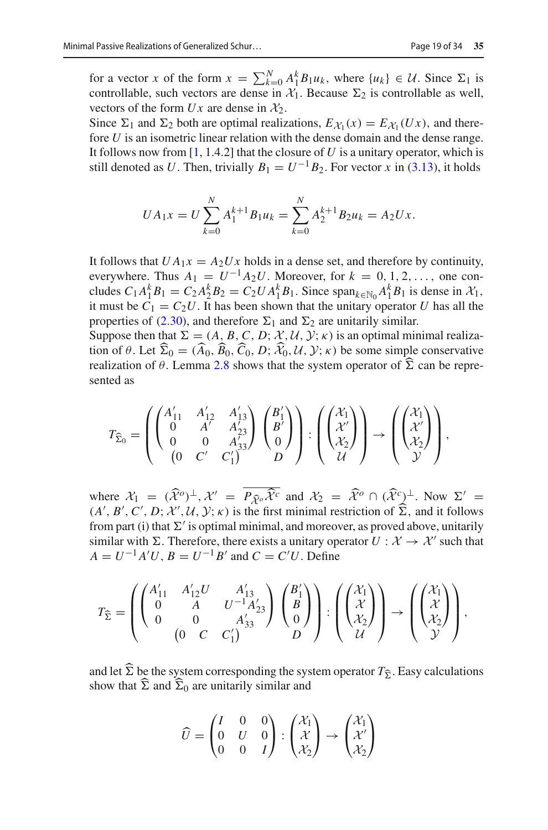for a vector *x* of the form  $x = \sum_{k=0}^{N} A_{1}^{k} B_{1} u_{k}$ , where  $\{u_{k}\}\in \mathcal{U}$ . Since  $\Sigma_{1}$  is controllable, such vectors are dense in  $X_1$ . Because  $\Sigma_2$  is controllable as well, vectors of the form  $Ux$  are dense in  $\mathcal{X}_2$ .

Since  $\Sigma_1$  and  $\Sigma_2$  both are optimal realizations,  $E_{\mathcal{X}_1}(x) = E_{\mathcal{X}_1}(Ux)$ , and therefore *U* is an isometric linear relation with the dense domain and the dense range. It follows now from  $[1, 1.4.2]$  $[1, 1.4.2]$  that the closure of  $U$  is a unitary operator, which is still denoted as *U*. Then, trivially  $B_1 = U^{-1}B_2$ . For vector *x* in [\(3.13\)](#page-17-0), it holds

$$
UA_1x = U\sum_{k=0}^{N} A_1^{k+1}B_1u_k = \sum_{k=0}^{N} A_2^{k+1}B_2u_k = A_2Ux.
$$

It follows that  $UA_1x = A_2Ux$  holds in a dense set, and therefore by continuity, everywhere. Thus  $A_1 = U^{-1}A_2U$ . Moreover, for  $k = 0, 1, 2, \ldots$ , one concludes  $C_1 A_1^k B_1 = C_2 A_2^k B_2 = C_2 U A_1^k B_1$ . Since  $\text{span}_{k \in \mathbb{N}_0} A_1^k B_1$  is dense in  $\mathcal{X}_1$ , it must be  $C_1 = C_2 U$ . It has been shown that the unitary operator *U* has all the properties of [\(2.30\)](#page-11-2), and therefore  $\Sigma_1$  and  $\Sigma_2$  are unitarily similar.

Suppose then that  $\Sigma = (A, B, C, D; \mathcal{X}, \mathcal{U}, \mathcal{Y}; \kappa)$  is an optimal minimal realization of  $\theta$ . Let  $\Sigma_0 = (A_0, B_0, C_0, D; \mathcal{X}_0, \mathcal{U}, \mathcal{Y}; \kappa)$  be some simple conservative<br>realization of  $\theta$ . Larges 2.8 shows that the system appentix of  $\widehat{\mathcal{X}}$  some he rappe realization of  $\theta$ . Lemma [2.8](#page-8-0) shows that the system operator of  $\Sigma$  can be represented as

$$
T_{\widehat{\Sigma}_0} = \left( \begin{pmatrix} A'_{11} & A'_{12} & A'_{13} \\ 0 & A' & A'_{23} \\ 0 & 0 & A'_{33} \\ 0 & C' & C'_1 \end{pmatrix} \begin{pmatrix} B'_1 \\ B' \\ 0 \end{pmatrix} \right) : \left( \begin{pmatrix} \mathcal{X}_1 \\ \mathcal{X}' \\ \mathcal{X}_2 \end{pmatrix} \right) \rightarrow \left( \begin{pmatrix} \mathcal{X}_1 \\ \mathcal{X}' \\ \mathcal{X}_2 \end{pmatrix} \right),
$$

where  $\mathcal{X}_1 = (\hat{\mathcal{X}}^o)^\perp, \mathcal{X}' = P_{\hat{\mathcal{X}}^o} \hat{\mathcal{X}}^c$  and  $\mathcal{X}_2 = \hat{\mathcal{X}}^o \cap (\hat{\mathcal{X}}^c)^\perp$ . Now  $\Sigma' = (\Lambda' \cap P \cap \mathcal{X}' \cap \mathcal{Y} \cap \mathcal{Y} \cap \mathcal{Y})$  is the first minimal restriction of  $\hat{\Sigma}$  and it follows  $(A', B', C', D; \mathcal{X}', \mathcal{U}, \mathcal{Y}; \kappa)$  is the first minimal restriction of  $\Sigma$ , and it follows from part (i) that  $\Sigma'$  is optimal minimal, and moreover, as proved above, unitarily similar with  $\Sigma$ . Therefore, there exists a unitary operator  $U : \mathcal{X} \to \mathcal{X}'$  such that  $A = U^{-1}A'U$ ,  $B = U^{-1}B'$  and  $C = C'U$ . Define

$$
T_{\widehat{\Sigma}} = \left( \begin{pmatrix} A'_{11} & A'_{12}U & A'_{13} \\ 0 & A & U^{-1}A'_{23} \\ 0 & 0 & A'_{33} \\ 0 & C & C'_1 \end{pmatrix} \begin{pmatrix} B'_1 \\ B \\ 0 \end{pmatrix} \right) : \left( \begin{pmatrix} \mathcal{X}_1 \\ \mathcal{X} \\ \mathcal{X}_2 \end{pmatrix} \right) \rightarrow \left( \begin{pmatrix} \mathcal{X}_1 \\ \mathcal{X} \\ \mathcal{X}_2 \end{pmatrix} \right),
$$

and let  $\Sigma$  be the system corresponding the system operator  $T_{\hat{\Sigma}}$ . Easy calculations show that  $\hat{\Sigma}$  and  $\hat{\Sigma}$  are unitarily similar and show that  $\Sigma$  and  $\Sigma_0$  are unitarily similar and

$$
\widehat{U} = \begin{pmatrix} I & 0 & 0 \\ 0 & U & 0 \\ 0 & 0 & I \end{pmatrix} : \begin{pmatrix} \mathcal{X}_1 \\ \mathcal{X} \\ \mathcal{X}_2 \end{pmatrix} \rightarrow \begin{pmatrix} \mathcal{X}_1 \\ \mathcal{X}' \\ \mathcal{X}_2 \end{pmatrix}
$$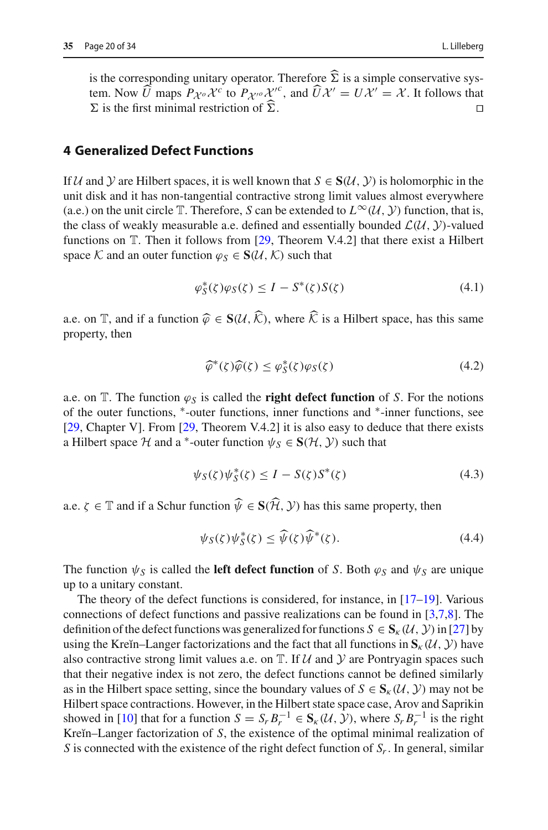### <span id="page-19-0"></span>**4 Generalized Defect Functions**

If  $U$  and  $Y$  are Hilbert spaces, it is well known that  $S \in S(U, Y)$  is holomorphic in the unit disk and it has non-tangential contractive strong limit values almost everywhere (a.e.) on the unit circle  $\mathbb T$ . Therefore, *S* can be extended to  $L^{\infty}(\mathcal{U}, \mathcal{Y})$  function, that is, the class of weakly measurable a.e. defined and essentially bounded  $\mathcal{L}(\mathcal{U}, \mathcal{Y})$ -valued functions on T. Then it follows from [\[29](#page-33-1), Theorem V.4.2] that there exist a Hilbert space *K* and an outer function  $\varphi_S \in S(\mathcal{U}, \mathcal{K})$  such that

<span id="page-19-1"></span>
$$
\varphi_S^*(\zeta)\varphi_S(\zeta) \le I - S^*(\zeta)S(\zeta) \tag{4.1}
$$

a.e. on  $\mathbb{T}$ , and if a function  $\widehat{\varphi} \in S(\mathcal{U}, \widehat{\mathcal{K}})$ , where  $\widehat{\mathcal{K}}$  is a Hilbert space, has this same property, then

<span id="page-19-2"></span>
$$
\widehat{\varphi}^*(\zeta)\widehat{\varphi}(\zeta) \le \varphi_S^*(\zeta)\varphi_S(\zeta) \tag{4.2}
$$

a.e. on  $\mathbb{T}$ . The function  $\varphi_S$  is called the **right defect function** of *S*. For the notions of the outer functions, ∗-outer functions, inner functions and ∗-inner functions, see [\[29](#page-33-1), Chapter V]. From [\[29,](#page-33-1) Theorem V.4.2] it is also easy to deduce that there exists a Hilbert space  $H$  and a <sup>\*</sup>-outer function  $\psi_S \in S(H, Y)$  such that

<span id="page-19-3"></span>
$$
\psi_S(\zeta)\psi_S^*(\zeta) \le I - S(\zeta)S^*(\zeta) \tag{4.3}
$$

a.e.  $\zeta \in \mathbb{T}$  and if a Schur function  $\widehat{\psi} \in S(\widehat{\mathcal{H}}, \mathcal{Y})$  has this same property, then

<span id="page-19-4"></span>
$$
\psi_S(\zeta)\psi_S^*(\zeta) \le \widehat{\psi}(\zeta)\widehat{\psi}^*(\zeta). \tag{4.4}
$$

The function  $\psi_s$  is called the **left defect function** of *S*. Both  $\varphi_s$  and  $\psi_s$  are unique up to a unitary constant.

The theory of the defect functions is considered, for instance, in  $[17-19]$  $[17-19]$ . Various connections of defect functions and passive realizations can be found in [\[3](#page-31-5)[,7](#page-32-15)[,8](#page-32-2)]. The definition of the defect functions was generalized for functions  $S \in S_{k}(U, Y)$  in [\[27](#page-32-11)] by using the Kreĭn–Langer factorizations and the fact that all functions in  $\mathbf{S}_{k}(\mathcal{U}, \mathcal{Y})$  have also contractive strong limit values a.e. on  $T$ . If  $U$  and  $Y$  are Pontryagin spaces such that their negative index is not zero, the defect functions cannot be defined similarly as in the Hilbert space setting, since the boundary values of  $S \in S_{k}(U, Y)$  may not be Hilbert space contractions. However, in the Hilbert state space case, Arov and Saprikin showed in [\[10](#page-32-9)] that for a function  $S = S_r B_r^{-1} \in S_k(\mathcal{U}, \mathcal{Y})$ , where  $S_r B_r^{-1}$  is the right Kreĭn–Langer factorization of *S*, the existence of the optimal minimal realization of *S* is connected with the existence of the right defect function of  $S_r$ . In general, similar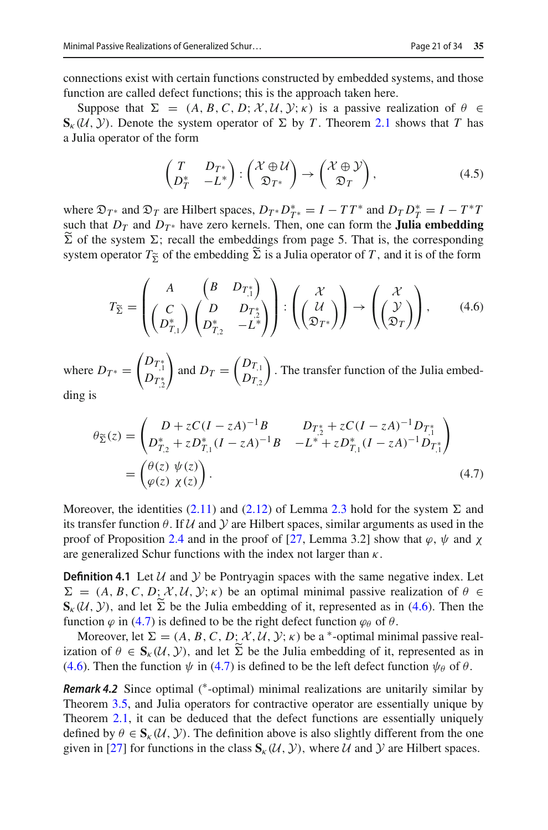connections exist with certain functions constructed by embedded systems, and those function are called defect functions; this is the approach taken here.

Suppose that  $\Sigma = (A, B, C, D; \mathcal{X}, \mathcal{U}, \mathcal{Y}; \kappa)$  is a passive realization of  $\theta \in \mathcal{U}$ **S**<sub>κ</sub>(*U*, *Y*). Denote the system operator of  $\Sigma$  by *T*. Theorem [2.1](#page-4-7) shows that *T* has a Julia operator of the form

<span id="page-20-3"></span>
$$
\begin{pmatrix} T & D_{T^*} \\ D_T^* & -L^* \end{pmatrix} : \begin{pmatrix} \mathcal{X} \oplus \mathcal{U} \\ \mathfrak{D}_{T^*} \end{pmatrix} \to \begin{pmatrix} \mathcal{X} \oplus \mathcal{Y} \\ \mathfrak{D}_T \end{pmatrix},
$$
(4.5)

where  $\mathfrak{D}_{T^*}$  and  $\mathfrak{D}_T$  are Hilbert spaces,  $D_{T^*}D_{T^*}^* = I - TT^*$  and  $D_T D_T^* = I - T^*T$ such that  $D_T$  and  $D_{T^*}$  have zero kernels. Then, one can form the **Julia embedding**  $\Sigma$  of the system  $\Sigma$ ; recall the embeddings from page 5. That is, the corresponding<br>system operator  $T_{\rm tot}$  of the embedding  $\tilde{\Sigma}$  is a little operator of  $T_{\rm cut}$  it is of the form system operator  $T_{\tilde{\Sigma}}$  of the embedding  $\Sigma$  is a Julia operator of *T*, and it is of the form

<span id="page-20-0"></span>
$$
T_{\widetilde{\Sigma}} = \begin{pmatrix} A & \begin{pmatrix} B & D_{T_1^*} \\ C & D & D_{T_2^*} \\ D_{T_1}^* \end{pmatrix} \end{pmatrix} : \begin{pmatrix} \mathcal{X} \\ \begin{pmatrix} \mathcal{U} \\ \mathfrak{D}_{T^*} \end{pmatrix} \end{pmatrix} \rightarrow \begin{pmatrix} \mathcal{X} \\ \begin{pmatrix} \mathcal{Y} \\ \mathfrak{D}_T \end{pmatrix} \end{pmatrix}, \qquad (4.6)
$$

where  $D_{T^*} =$  $\begin{pmatrix} D_{T,1}^* & 0 \ D_{T,2}^* & 0 & 0 \end{pmatrix}$  $\setminus$ and  $D_T = \begin{pmatrix} D_{T,1} \\ D_{T,2} \end{pmatrix}$  $D_{T_{,2}}$  . The transfer function of the Julia embedding is

<span id="page-20-1"></span>
$$
\theta_{\tilde{\Sigma}}(z) = \begin{pmatrix} D + zC(I - zA)^{-1}B & D_{T_2^*} + zC(I - zA)^{-1}D_{T_1^*} \\ D_{T_2}^* + zD_{T_1}^*(I - zA)^{-1}B & -L^* + zD_{T_1}^*(I - zA)^{-1}D_{T_1^*} \\ = \begin{pmatrix} \theta(z) & \psi(z) \\ \varphi(z) & \chi(z) \end{pmatrix} . \end{pmatrix}
$$
\n(4.7)

Moreover, the identities  $(2.11)$  and  $(2.12)$  of Lemma [2.3](#page-6-1) hold for the system  $\Sigma$  and its transfer function θ. If *U* and *Y* are Hilbert spaces, similar arguments as used in the proof of Proposition [2.4](#page-6-0) and in the proof of [\[27,](#page-32-11) Lemma 3.2] show that  $\varphi$ ,  $\psi$  and  $\chi$ are generalized Schur functions with the index not larger than  $\kappa$ .

<span id="page-20-2"></span>**Definition 4.1** Let  $U$  and  $Y$  be Pontryagin spaces with the same negative index. Let  $\Sigma = (A, B, C, D; \mathcal{X}, \mathcal{U}, \mathcal{Y}; \kappa)$  be an optimal minimal passive realization of  $\theta \in$  $\mathbf{S}_{\kappa}(\mathcal{U}, \mathcal{Y})$ , and let  $\Sigma$  be the Julia embedding of it, represented as in [\(4.6\)](#page-20-0). Then the function  $\varphi$  in [\(4.7\)](#page-20-1) is defined to be the right defect function  $\varphi_{\theta}$  of  $\theta$ .

Moreover, let  $\Sigma = (A, B, C, D; \mathcal{X}, \mathcal{U}, \mathcal{Y}; \kappa)$  be a <sup>\*</sup>-optimal minimal passive realization of  $\theta \in \mathbf{S}_{\kappa}(\mathcal{U}, \mathcal{Y})$ , and let  $\Sigma$  be the Julia embedding of it, represented as in [\(4.6\)](#page-20-0). Then the function  $\psi$  in [\(4.7\)](#page-20-1) is defined to be the left defect function  $\psi_{\theta}$  of  $\theta$ .

*Remark 4.2* Since optimal (\*-optimal) minimal realizations are unitarily similar by Theorem [3.5,](#page-15-0) and Julia operators for contractive operator are essentially unique by Theorem [2.1,](#page-4-7) it can be deduced that the defect functions are essentially uniquely defined by  $\theta \in S_{\kappa}(\mathcal{U}, \mathcal{Y})$ . The definition above is also slightly different from the one given in [\[27](#page-32-11)] for functions in the class  $S_k(\mathcal{U}, \mathcal{Y})$ , where  $\mathcal{U}$  and  $\mathcal{Y}$  are Hilbert spaces.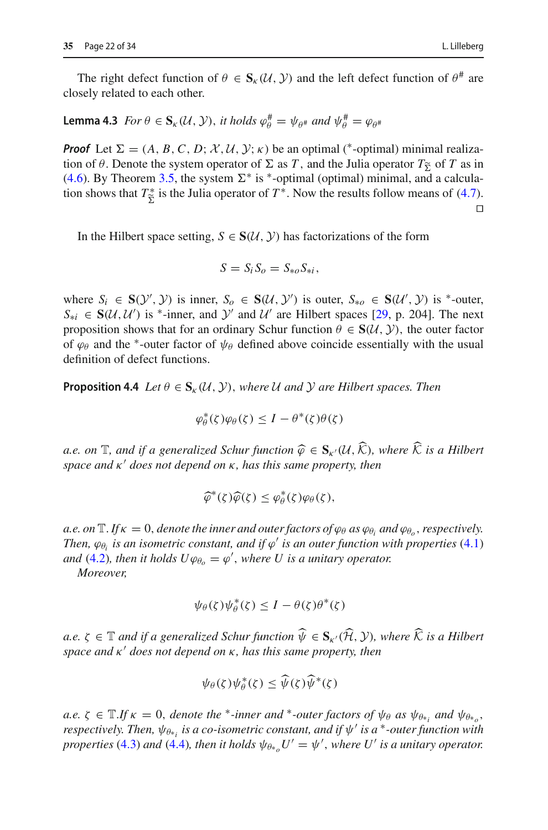# <span id="page-21-0"></span>**Lemma 4.3** *For*  $\theta \in \mathbf{S}_{\kappa}(\mathcal{U}, \mathcal{Y})$ , *it holds*  $\varphi_{\theta}^{\#} = \psi_{\theta^{\#}}$  *and*  $\psi_{\theta}^{\#} = \varphi_{\theta^{\#}}$

*Proof* Let  $\Sigma = (A, B, C, D; \mathcal{X}, \mathcal{U}, \mathcal{Y}; \kappa)$  be an optimal (\*-optimal) minimal realization of  $\theta$ . Denote the system operator of  $\Sigma$  as *T*, and the Julia operator  $T_{\Sigma}$  of *T* as in (4.6). By Theorem 3.5, the system  $\Sigma^*$  is  $*$  optimal (optimal) minimal, and a calcula [\(4.6\)](#page-20-0). By Theorem [3.5,](#page-15-0) the system  $\Sigma^*$  is  $*$ -optimal (optimal) minimal, and a calculation shows that  $T_{\tilde{\Sigma}}^*$  is the Julia operator of  $T^*$ . Now the results follow means of [\(4.7\)](#page-20-1).  $\Box$ 

In the Hilbert space setting,  $S \in S(\mathcal{U}, \mathcal{Y})$  has factorizations of the form

$$
S=S_i S_o=S_{*o} S_{*i},
$$

where  $S_i \in \mathbf{S}(\mathcal{Y}', \mathcal{Y})$  is inner,  $S_o \in \mathbf{S}(\mathcal{U}, \mathcal{Y}')$  is outer,  $S_{*o} \in \mathbf{S}(\mathcal{U}', \mathcal{Y})$  is <sup>\*</sup>-outer,  $S_{*i} \in S(U, U')$  is <sup>\*</sup>-inner, and *Y*' and *U*' are Hilbert spaces [\[29,](#page-33-1) p. 204]. The next proposition shows that for an ordinary Schur function  $\theta \in S(\mathcal{U}, \mathcal{Y})$ , the outer factor of  $\varphi_{\theta}$  and the <sup>\*</sup>-outer factor of  $\psi_{\theta}$  defined above coincide essentially with the usual definition of defect functions.

**Proposition 4.4** *Let*  $\theta \in S_{\kappa}(\mathcal{U}, \mathcal{Y})$ , *where U and Y are Hilbert spaces. Then* 

$$
\varphi_{\theta}^*(\zeta)\varphi_{\theta}(\zeta) \leq I - \theta^*(\zeta)\theta(\zeta)
$$

*a.e. on*  $\mathbb{T}$ *, and if a generalized Schur function*  $\widehat{\varphi} \in S_{\kappa'}(\mathcal{U}, \widehat{\mathcal{K}})$ *, where*  $\widehat{\mathcal{K}}$  *is a Hilbert space and* κ' does not depend on κ, has this same property, then

$$
\widehat{\varphi}^*(\zeta)\widehat{\varphi}(\zeta) \leq \varphi_{\theta}^*(\zeta)\varphi_{\theta}(\zeta),
$$

*a.e.* on  $\mathbb{T}$ *.If*  $\kappa = 0$ *, denote the inner and outer factors of*  $\varphi_{\theta}$  *as*  $\varphi_{\theta}$ *, and*  $\varphi_{\theta}$ *, respectively. Then,*  $\varphi_{\theta i}$  *is an isometric constant, and if*  $\varphi'$  *is an outer function with properties* [\(4.1\)](#page-19-1) *and* [\(4.2\)](#page-19-2), then it holds  $U\varphi_{\theta_o} = \varphi'$ , where U is a unitary operator.

*Moreover,*

$$
\psi_{\theta}(\zeta)\psi_{\theta}^*(\zeta) \leq I - \theta(\zeta)\theta^*(\zeta)
$$

 $a.e. \zeta \in \mathbb{T}$  *and if a generalized Schur function*  $\widehat{\psi} \in \mathbf{S}_{\kappa'}(\widehat{\mathcal{H}}, \mathcal{Y})$ *, where*  $\widehat{\mathcal{K}}$  *is a Hilbert space and* κ' does not depend on κ, has this same property, then

$$
\psi_{\theta}(\zeta)\psi_{\theta}^*(\zeta) \leq \widehat{\psi}(\zeta)\widehat{\psi}^*(\zeta)
$$

 $a.e. \zeta \in \mathbb{T}.$  If  $\kappa = 0$ , *denote the* \**-inner and* \**-outer factors of*  $\psi_{\theta}$  *as*  $\psi_{\theta*_{i}}$  *and*  $\psi_{\theta*_{o}}$ *, respectively. Then,*  $ψ_{θ∗*i*}$  *is a co-isometric constant, and if*  $ψ'$  *is a* <sup>∗</sup>*-outer function with properties* [\(4.3\)](#page-19-3) *and* [\(4.4\)](#page-19-4)*, then it holds*  $\psi_{\theta*_{o}}U' = \psi'$ *, where U' is a unitary operator.*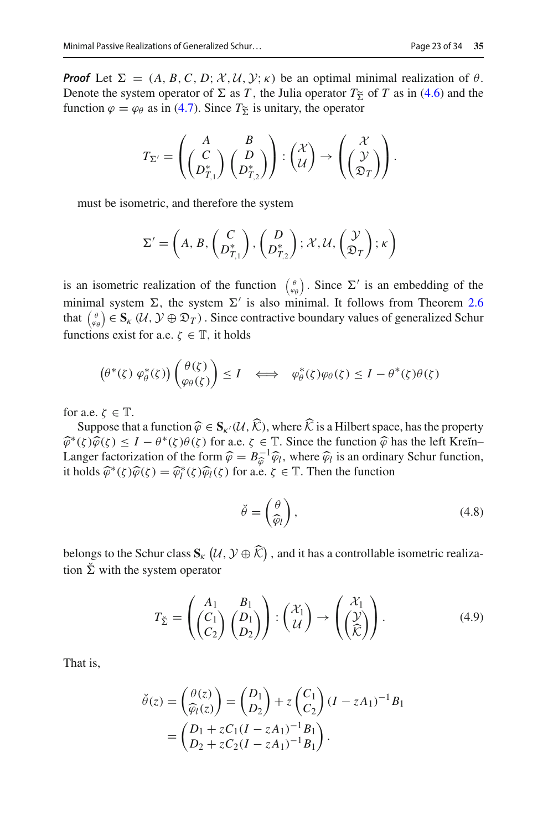*Proof* Let  $\Sigma = (A, B, C, D; \mathcal{X}, \mathcal{U}, \mathcal{Y}; \kappa)$  be an optimal minimal realization of  $\theta$ . Denote the system operator of  $\Sigma$  as *T*, the Julia operator  $T_{\tilde{\Sigma}}$  of *T* as in [\(4.6\)](#page-20-0) and the function  $\varphi = \varphi_0$  as in (4.7). Since  $T_{\tilde{\Sigma}}$  is unitary the operator function  $\varphi = \varphi_\theta$  as in [\(4.7\)](#page-20-1). Since  $T_{\tilde{\Sigma}}$  is unitary, the operator

$$
T_{\Sigma'}=\left(\begin{pmatrix}A&B\\C\\D_{T,1}^*\end{pmatrix}\begin{pmatrix}B\\D_{T,2}^*\end{pmatrix}\right):\begin{pmatrix}\mathcal{X}\\ \mathcal{U}\end{pmatrix}\to\begin{pmatrix}\mathcal{X}\\ \begin{pmatrix}\mathcal{Y}\\ \mathfrak{D}_T\end{pmatrix}\end{pmatrix}.
$$

must be isometric, and therefore the system

$$
\Sigma' = \left(A, B, \begin{pmatrix} C \\ D_{T,1}^* \end{pmatrix}, \begin{pmatrix} D \\ D_{T,2}^* \end{pmatrix}; \mathcal{X}, \mathcal{U}, \begin{pmatrix} \mathcal{Y} \\ \mathfrak{D}_T \end{pmatrix}; \kappa \right)
$$

is an isometric realization of the function  $\begin{pmatrix} \theta \\ \varphi \theta \end{pmatrix}$ . Since  $\Sigma'$  is an embedding of the minimal system  $\Sigma$ , the system  $\Sigma'$  is also minimal. It follows from Theorem [2.6](#page-7-0) that  $\begin{pmatrix} \theta \\ \varphi_\theta \end{pmatrix} \in S_{\kappa} (\mathcal{U}, \mathcal{Y} \oplus \mathfrak{D}_T)$ . Since contractive boundary values of generalized Schur functions exist for a.e.  $\zeta \in \mathbb{T}$ , it holds

$$
\left(\theta^*(\zeta)\,\varphi^*_{\theta}(\zeta)\right)\left(\frac{\theta(\zeta)}{\varphi_{\theta}(\zeta)}\right) \leq I \quad \Longleftrightarrow \quad \varphi^*_{\theta}(\zeta)\varphi_{\theta}(\zeta) \leq I - \theta^*(\zeta)\theta(\zeta)
$$

for a.e.  $\zeta \in \mathbb{T}$ .

Suppose that a function  $\widehat{\varphi} \in S_{K'}(\mathcal{U}, \widehat{\mathcal{K}})$ , where  $\widehat{\mathcal{K}}$  is a Hilbert space, has the property  $\hat{\varphi}^*(\zeta)\hat{\varphi}(\zeta) \leq I - \theta^*(\zeta)\theta(\zeta)$  for a.e.  $\zeta \in \mathbb{T}$ . Since the function  $\hat{\varphi}$  has the left Kreĭn– Langer factorization of the form  $\hat{\varphi} = B_{\varphi}^{-1} \hat{\varphi}_l$ , where  $\hat{\varphi}_l$  is an ordinary Schur function, it holds  $\hat{\varphi}^*(\zeta) \hat{\varphi}(\zeta) = \hat{\varphi}^*(\zeta) \hat{\varphi}_l(\zeta)$  for a e  $\zeta \in \mathbb{T}$ . Then the function it holds  $\widehat{\varphi}^*(\zeta)\widehat{\varphi}(\zeta) = \widehat{\varphi}_l^*(\zeta)\widehat{\varphi}_l(\zeta)$  for a.e.  $\zeta \in \mathbb{T}$ . Then the function

<span id="page-22-0"></span>
$$
\breve{\theta} = \left(\frac{\theta}{\widehat{\varphi}_l}\right),\tag{4.8}
$$

belongs to the Schur class  $\mathbf{S}_{k}$   $(\mathcal{U}, \mathcal{Y} \oplus \mathcal{K})$ , and it has a controllable isometric realization  $\Sigma$  with the system operator

<span id="page-22-1"></span>
$$
T_{\check{\Sigma}} = \begin{pmatrix} A_1 & B_1 \\ C_1 \\ C_2 \end{pmatrix} \begin{pmatrix} D_1 \\ D_2 \end{pmatrix} : \begin{pmatrix} \mathcal{X}_1 \\ \mathcal{U} \end{pmatrix} \to \begin{pmatrix} \mathcal{X}_1 \\ \begin{pmatrix} \mathcal{Y} \\ \hat{\mathcal{K}} \end{pmatrix} . \tag{4.9}
$$

That is,

$$
\check{\theta}(z) = \begin{pmatrix} \theta(z) \\ \widehat{\varphi}_l(z) \end{pmatrix} = \begin{pmatrix} D_1 \\ D_2 \end{pmatrix} + z \begin{pmatrix} C_1 \\ C_2 \end{pmatrix} (I - zA_1)^{-1} B_1
$$

$$
= \begin{pmatrix} D_1 + zC_1(I - zA_1)^{-1}B_1 \\ D_2 + zC_2(I - zA_1)^{-1}B_1 \end{pmatrix}.
$$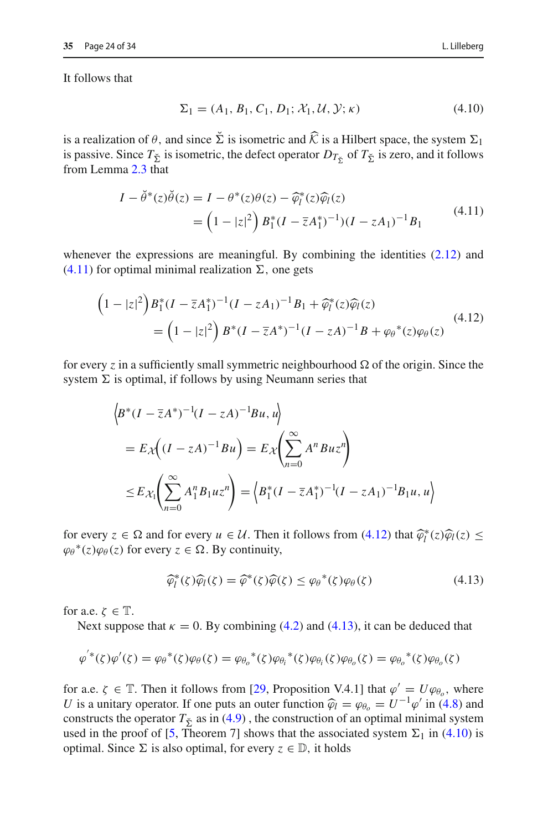It follows that

<span id="page-23-3"></span>
$$
\Sigma_1 = (A_1, B_1, C_1, D_1; \mathcal{X}_1, \mathcal{U}, \mathcal{Y}; \kappa) \tag{4.10}
$$

is a realization of  $\theta$ , and since  $\Sigma$  is isometric and  $\mathcal K$  is a Hilbert space, the system  $\Sigma_1$ is passive. Since  $T_{\Sigma}$  is isometric, the defect operator  $D_{T_{\Sigma}}$  of  $T_{\Sigma}$  is zero, and it follows from Lemma [2.3](#page-6-1) that

<span id="page-23-0"></span>
$$
I - \tilde{\theta}^*(z)\tilde{\theta}(z) = I - \theta^*(z)\theta(z) - \widehat{\varphi}_l^*(z)\widehat{\varphi}_l(z)
$$
  
= 
$$
\left(1 - |z|^2\right)B_1^*(I - \overline{z}A_1^*)^{-1}(I - zA_1)^{-1}B_1
$$
 (4.11)

whenever the expressions are meaningful. By combining the identities [\(2.12\)](#page-6-5) and  $(4.11)$  for optimal minimal realization  $\Sigma$ , one gets

<span id="page-23-1"></span>
$$
\begin{aligned} \left(1-|z|^2\right) & B_1^*(I-\overline{z}A_1^*)^{-1}(I-zA_1)^{-1}B_1+\widehat{\varphi}_l^*(z)\widehat{\varphi}_l(z) \\ &= \left(1-|z|^2\right)B^*(I-\overline{z}A^*)^{-1}(I-zA)^{-1}B+\varphi_\theta^*(z)\varphi_\theta(z) \end{aligned} \tag{4.12}
$$

for every *z* in a sufficiently small symmetric neighbourhood  $\Omega$  of the origin. Since the system  $\Sigma$  is optimal, if follows by using Neumann series that

$$
\begin{aligned} &\left\langle B^*(I - \bar{z}A^*)^{-1}(I - zA)^{-1}Bu, u \right\rangle \\ &= E_{\mathcal{X}}\Big((I - zA)^{-1}Bu\Big) = E_{\mathcal{X}}\Big(\sum_{n=0}^{\infty} A^n Buz^n\Big) \\ &\leq E_{\mathcal{X}_1}\Big(\sum_{n=0}^{\infty} A_1^n B_1uz^n\Big) = \Big\langle B_1^*(I - \bar{z}A_1^*)^{-1}(I - zA_1)^{-1}B_1u, u \Big\rangle \end{aligned}
$$

for every  $z \in \Omega$  and for every  $u \in \mathcal{U}$ . Then it follows from [\(4.12\)](#page-23-1) that  $\widehat{\varphi}_l^*(z)\widehat{\varphi}_l(z) \leq$  $\varphi_{\theta}^{*}(z)\varphi_{\theta}(z)$  for every  $z \in \Omega$ . By continuity,

<span id="page-23-2"></span>
$$
\widehat{\varphi}_l^*(\zeta)\widehat{\varphi}_l(\zeta) = \widehat{\varphi}^*(\zeta)\widehat{\varphi}(\zeta) \le {\varphi_\theta}^*(\zeta)\varphi_\theta(\zeta) \tag{4.13}
$$

for a.e.  $\zeta \in \mathbb{T}$ .

Next suppose that  $\kappa = 0$ . By combining [\(4.2\)](#page-19-2) and [\(4.13\)](#page-23-2), it can be deduced that

$$
\varphi^{*}(\zeta)\varphi'(\zeta) = \varphi_{\theta}^{*}(\zeta)\varphi_{\theta}(\zeta) = \varphi_{\theta_{\theta}}^{*}(\zeta)\varphi_{\theta_{i}}^{*}(\zeta)\varphi_{\theta_{i}}(\zeta)\varphi_{\theta_{\theta}}(\zeta) = \varphi_{\theta_{\theta}}^{*}(\zeta)\varphi_{\theta_{\theta}}(\zeta)
$$

for a.e.  $\zeta \in \mathbb{T}$ . Then it follows from [\[29](#page-33-1), Proposition V.4.1] that  $\varphi' = U\varphi_{\theta_o}$ , where *U* is a unitary operator. If one puts an outer function  $\hat{\varphi}_l = \varphi_{\theta_o} = U^{-1}\varphi'$  in [\(4.8\)](#page-22-0) and constructs the operator  $T_{\Sigma}$  as in [\(4.9\)](#page-22-1), the construction of an optimal minimal system used in the proof of [\[5,](#page-31-2) Theorem 7] shows that the associated system  $\Sigma_1$  in [\(4.10\)](#page-23-3) is optimal. Since  $\Sigma$  is also optimal, for every  $z \in \mathbb{D}$ , it holds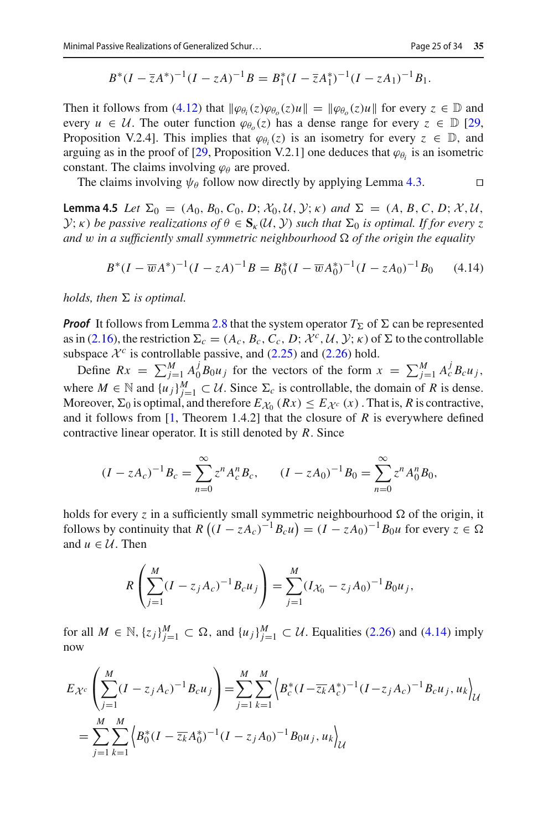$$
B^*(I - \overline{z}A^*)^{-1}(I - zA)^{-1}B = B_1^*(I - \overline{z}A_1^*)^{-1}(I - zA_1)^{-1}B_1.
$$

Then it follows from [\(4.12\)](#page-23-1) that  $\|\varphi_{\theta_i}(z)\varphi_{\theta_0}(z)u\| = \|\varphi_{\theta_0}(z)u\|$  for every  $z \in \mathbb{D}$  and every  $u \in \mathcal{U}$ . The outer function  $\varphi_{\theta}(\zeta)$  has a dense range for every  $\zeta \in \mathbb{D}$  [\[29,](#page-33-1) Proposition V.2.4]. This implies that  $\varphi_{\theta_i}(z)$  is an isometry for every  $z \in \mathbb{D}$ , and arguing as in the proof of [\[29,](#page-33-1) Proposition V.2.1] one deduces that  $\varphi_{\theta_i}$  is an isometric constant. The claims involving  $\varphi_{\theta}$  are proved.

The claims involving  $\psi_{\theta}$  follow now directly by applying Lemma [4.3.](#page-21-0)

<span id="page-24-1"></span>**Lemma 4.5** *Let*  $\Sigma_0 = (A_0, B_0, C_0, D; \mathcal{X}_0, \mathcal{U}, \mathcal{Y}; \kappa)$  *and*  $\Sigma = (A, B, C, D; \mathcal{X}, \mathcal{U}, \mathcal{Y}; \kappa)$ *Y*; *κ*) *be passive realizations of*  $\theta \in S_{\kappa}(\mathcal{U}, \mathcal{Y})$  *such that*  $\Sigma_0$  *is optimal. If for every z and* w in a sufficiently small symmetric neighbourhood  $\Omega$  of the origin the equality

<span id="page-24-0"></span>
$$
B^*(I - \overline{w}A^*)^{-1}(I - zA)^{-1}B = B_0^*(I - \overline{w}A_0^*)^{-1}(I - zA_0)^{-1}B_0 \qquad (4.14)
$$

 $holds,$  then  $\Sigma$  is optimal.

**Proof** It follows from Lemma [2.8](#page-8-0) that the system operator  $T_{\Sigma}$  of  $\Sigma$  can be represented as in [\(2.16\)](#page-8-1), the restriction  $\Sigma_c = (A_c, B_c, C_c, D; \mathcal{X}^c, \mathcal{U}, \mathcal{Y}; \kappa)$  of  $\Sigma$  to the controllable subspace  $\mathcal{X}^c$  is controllable passive, and  $(2.25)$  and  $(2.26)$  hold.

Define  $Rx = \sum_{j=1}^{M} A_0^j B_0 u_j$  for the vectors of the form  $x = \sum_{j=1}^{M} A_c^j B_c u_j$ , where  $M \in \mathbb{N}$  and  $\{u_j\}_{j=1}^M \subset \mathcal{U}$ . Since  $\Sigma_c$  is controllable, the domain of *R* is dense. Moreover,  $\Sigma_0$  is optimal, and therefore  $E_{\mathcal{X}_0}(Rx) \leq E_{\mathcal{X}^c}(x)$ . That is, *R* is contractive, and it follows from [\[1,](#page-31-1) Theorem 1.4.2] that the closure of *R* is everywhere defined contractive linear operator. It is still denoted by *R*. Since

$$
(I - zA_c)^{-1}B_c = \sum_{n=0}^{\infty} z^n A_c^n B_c, \qquad (I - zA_0)^{-1}B_0 = \sum_{n=0}^{\infty} z^n A_0^n B_0,
$$

holds for every *z* in a sufficiently small symmetric neighbourhood  $\Omega$  of the origin, it follows by continuity that  $R((I - zA_c)^{-1}B_c u) = (I - zA_0)^{-1}B_0 u$  for every  $z \in \Omega$ and  $u \in U$ . Then

$$
R\left(\sum_{j=1}^{M}(I-z_jA_c)^{-1}B_cu_j\right)=\sum_{j=1}^{M}(I_{\mathcal{X}_0}-z_jA_0)^{-1}B_0u_j,
$$

for all  $M \in \mathbb{N}$ ,  $\{z_j\}_{j=1}^M \subset \Omega$ , and  $\{u_j\}_{j=1}^M \subset \mathcal{U}$ . Equalities [\(2.26\)](#page-9-1) and [\(4.14\)](#page-24-0) imply now

$$
E_{\mathcal{X}^c} \left( \sum_{j=1}^M (I - z_j A_c)^{-1} B_c u_j \right) = \sum_{j=1}^M \sum_{k=1}^M \left\langle B_c^* (I - \overline{z_k} A_c^*)^{-1} (I - z_j A_c)^{-1} B_c u_j, u_k \right\rangle_{\mathcal{U}}
$$
  
= 
$$
\sum_{j=1}^M \sum_{k=1}^M \left\langle B_0^* (I - \overline{z_k} A_0^*)^{-1} (I - z_j A_0)^{-1} B_0 u_j, u_k \right\rangle_{\mathcal{U}}
$$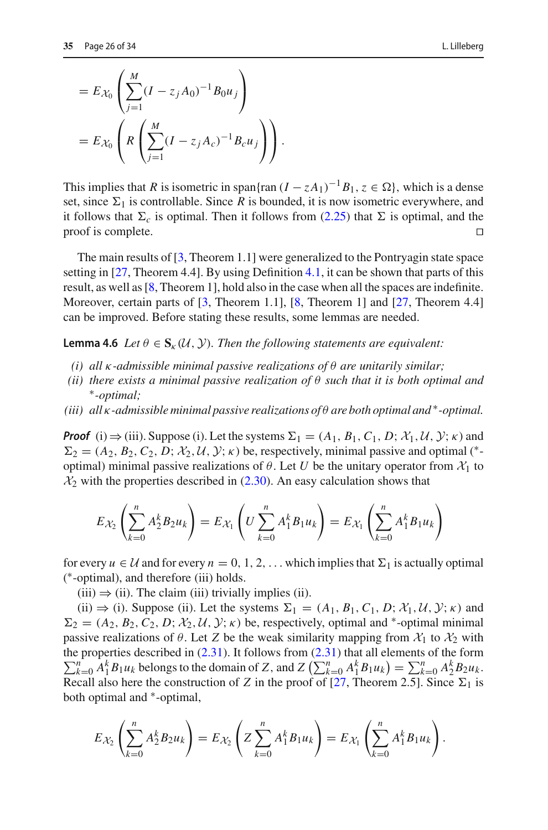$$
= E_{\mathcal{X}_0} \left( \sum_{j=1}^M (I - z_j A_0)^{-1} B_0 u_j \right)
$$
  
=  $E_{\mathcal{X}_0} \left( R \left( \sum_{j=1}^M (I - z_j A_c)^{-1} B_c u_j \right) \right).$ 

This implies that *R* is isometric in span{ran  $(I - zA_1)^{-1}B_1$ ,  $z \in \Omega$ }, which is a dense set, since  $\Sigma_1$  is controllable. Since *R* is bounded, it is now isometric everywhere, and it follows that  $\Sigma_c$  is optimal. Then it follows from [\(2.25\)](#page-9-0) that  $\Sigma$  is optimal, and the proof is complete.

The main results of [\[3,](#page-31-5) Theorem 1.1] were generalized to the Pontryagin state space setting in [\[27](#page-32-11), Theorem 4.4]. By using Definition [4.1,](#page-20-2) it can be shown that parts of this result, as well as [\[8](#page-32-2), Theorem 1], hold also in the case when all the spaces are indefinite. Moreover, certain parts of [\[3](#page-31-5), Theorem 1.1], [\[8](#page-32-2), Theorem 1] and [\[27,](#page-32-11) Theorem 4.4] can be improved. Before stating these results, some lemmas are needed.

<span id="page-25-0"></span>**Lemma 4.6** *Let*  $\theta \in S_{k}(U, Y)$ *. Then the following statements are equivalent:* 

- *(i) all* κ*-admissible minimal passive realizations of* θ *are unitarily similar;*
- *(ii) there exists a minimal passive realization of* θ *such that it is both optimal and* ∗*-optimal;*
- *(iii) all* κ*-admissible minimal passive realizations of* θ *are both optimal and* ∗*-optimal.*

*Proof* (i)  $\Rightarrow$  (iii). Suppose (i). Let the systems  $\Sigma_1 = (A_1, B_1, C_1, D; \mathcal{X}_1, \mathcal{U}, \mathcal{Y}; \kappa)$  and  $\Sigma_2 = (A_2, B_2, C_2, D; \mathcal{X}_2, \mathcal{U}, \mathcal{Y}; \kappa)$  be, respectively, minimal passive and optimal (\*optimal) minimal passive realizations of  $\theta$ . Let *U* be the unitary operator from  $\mathcal{X}_1$  to  $\mathcal{X}_2$  with the properties described in [\(2.30\)](#page-11-2). An easy calculation shows that

$$
E_{\mathcal{X}_2}\left(\sum_{k=0}^n A_2^k B_2 u_k\right) = E_{\mathcal{X}_1}\left(U\sum_{k=0}^n A_1^k B_1 u_k\right) = E_{\mathcal{X}_1}\left(\sum_{k=0}^n A_1^k B_1 u_k\right)
$$

for every  $u \in \mathcal{U}$  and for every  $n = 0, 1, 2, \ldots$  which implies that  $\Sigma_1$  is actually optimal ( ∗-optimal), and therefore (iii) holds.

 $(iii) \Rightarrow (ii)$ . The claim (iii) trivially implies (ii).

(ii)  $\Rightarrow$  (i). Suppose (ii). Let the systems  $\Sigma_1 = (A_1, B_1, C_1, D; \mathcal{X}_1, \mathcal{U}, \mathcal{Y}; \kappa)$  and  $\Sigma_2 = (A_2, B_2, C_2, D; \mathcal{X}_2, \mathcal{U}, \mathcal{Y}; \kappa)$  be, respectively, optimal and <sup>\*</sup>-optimal minimal passive realizations of  $\theta$ . Let *Z* be the weak similarity mapping from  $\mathcal{X}_1$  to  $\mathcal{X}_2$  with  $\sum_{k=0}^{n} A_1^k B_1 u_k$  belongs to the domain of *Z*, and *Z*  $\left( \sum_{k=0}^{n} A_1^k B_1 u_k \right) = \sum_{k=0}^{n} A_2^k B_2 u_k$ . the properties described in [\(2.31\)](#page-11-3). It follows from [\(2.31\)](#page-11-3) that all elements of the form *<sup>n</sup>* Recall also here the construction of *Z* in the proof of  $[27,$  Theorem 2.5]. Since  $\Sigma_1$  is both optimal and ∗-optimal,

$$
E_{\mathcal{X}_2} \left( \sum_{k=0}^n A_2^k B_2 u_k \right) = E_{\mathcal{X}_2} \left( Z \sum_{k=0}^n A_1^k B_1 u_k \right) = E_{\mathcal{X}_1} \left( \sum_{k=0}^n A_1^k B_1 u_k \right).
$$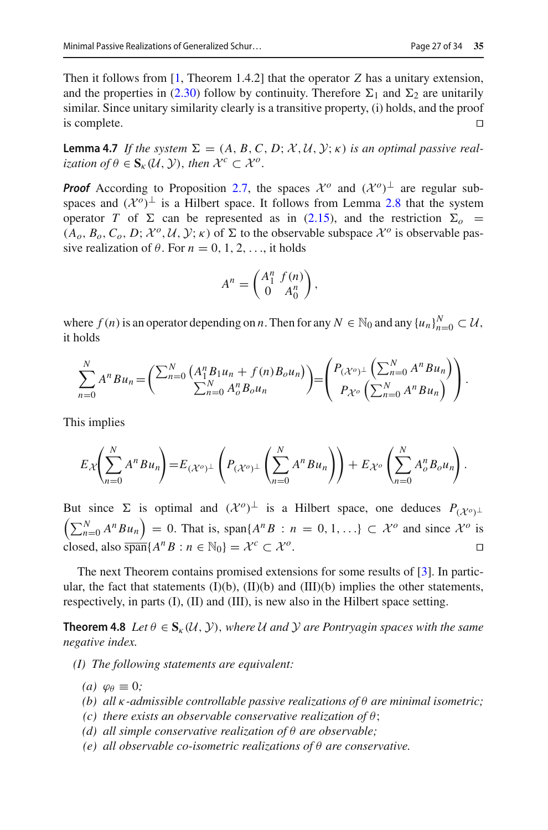Then it follows from [\[1,](#page-31-1) Theorem 1.4.2] that the operator *Z* has a unitary extension, and the properties in [\(2.30\)](#page-11-2) follow by continuity. Therefore  $\Sigma_1$  and  $\Sigma_2$  are unitarily similar. Since unitary similarity clearly is a transitive property, (i) holds, and the proof is complete.  $\Box$ 

<span id="page-26-1"></span>**Lemma 4.7** *If the system*  $\Sigma = (A, B, C, D; \mathcal{X}, \mathcal{U}, \mathcal{Y}; \kappa)$  *is an optimal passive realization of*  $\theta \in \mathbf{S}_{\kappa}(\mathcal{U}, \mathcal{Y})$ , *then*  $\mathcal{X}^c \subset \mathcal{X}^o$ .

*Proof* According to Proposition [2.7,](#page-7-1) the spaces  $\mathcal{X}^o$  and  $(\mathcal{X}^o)^\perp$  are regular subspaces and  $({\cal X}^o)^\perp$  is a Hilbert space. It follows from Lemma [2.8](#page-8-0) that the system operator *T* of  $\Sigma$  can be represented as in [\(2.15\)](#page-8-1), and the restriction  $\Sigma_o$  =  $(A_o, B_o, C_o, D; \mathcal{X}^o, \mathcal{U}, \mathcal{Y}; \kappa)$  of  $\Sigma$  to the observable subspace  $\mathcal{X}^o$  is observable passive realization of  $\theta$ . For  $n = 0, 1, 2, \ldots$ , it holds

$$
A^n = \begin{pmatrix} A_1^n & f(n) \\ 0 & A_0^n \end{pmatrix},
$$

where  $f(n)$  is an operator depending on *n*. Then for any  $N \in \mathbb{N}_0$  and any  $\{u_n\}_{n=0}^N \subset \mathcal{U}$ , it holds

$$
\sum_{n=0}^{N} A^{n} B u_{n} = \left( \frac{\sum_{n=0}^{N} (A_{1}^{n} B_{1} u_{n} + f(n) B_{o} u_{n})}{\sum_{n=0}^{N} A_{o}^{n} B_{o} u_{n}} \right) = \left( \frac{P_{(\mathcal{X}^{o})^{\perp}} \left( \sum_{n=0}^{N} A^{n} B u_{n} \right)}{P_{\mathcal{X}^{o}} \left( \sum_{n=0}^{N} A^{n} B u_{n} \right)} \right).
$$

This implies

$$
E_{\mathcal{X}}\left(\sum_{n=0}^N A^n B u_n\right) = E_{(\mathcal{X}^o)^{\perp}}\left(P_{(\mathcal{X}^o)^{\perp}}\left(\sum_{n=0}^N A^n B u_n\right)\right) + E_{\mathcal{X}^o}\left(\sum_{n=0}^N A^n B_o u_n\right).
$$

But since  $\Sigma$  is optimal and  $({\cal X}^o)^{\perp}$  is a Hilbert space, one deduces  $P_{({\cal X}^o)^{\perp}}$ But since  $\Sigma$  is optimal and  $({\cal X}^o)^{\perp}$  is a Hilbert space, one deduces  $P_{({\cal X}^o)^{\perp}}$ <br> $\left(\sum_{n=0}^N A^n B u_n\right) = 0$ . That is, span $\{A^n B : n = 0, 1, ...\} \subset {\cal X}^o$  and since  ${\cal X}^o$  is closed, also  $\overline{\text{span}}\{A^nB : n \in \mathbb{N}_0\} = \mathcal{X}^c \subset \mathcal{X}^o$ .

The next Theorem contains promised extensions for some results of [\[3\]](#page-31-5). In particular, the fact that statements  $(I)(b)$ ,  $(II)(b)$  and  $(III)(b)$  implies the other statements, respectively, in parts (I), (II) and (III), is new also in the Hilbert space setting.

<span id="page-26-0"></span>**Theorem 4.8** Let  $\theta \in S_{k}(\mathcal{U}, \mathcal{Y})$ , where U and Y are Pontryagin spaces with the same *negative index.*

- *(I) The following statements are equivalent:*
	- *(a)*  $\varphi_{\theta} \equiv 0$ *;*
	- *(b) all* κ*-admissible controllable passive realizations of* θ *are minimal isometric;*
	- *(c) there exists an observable conservative realization of* θ;
	- *(d) all simple conservative realization of* θ *are observable;*
	- *(e) all observable co-isometric realizations of* θ *are conservative.*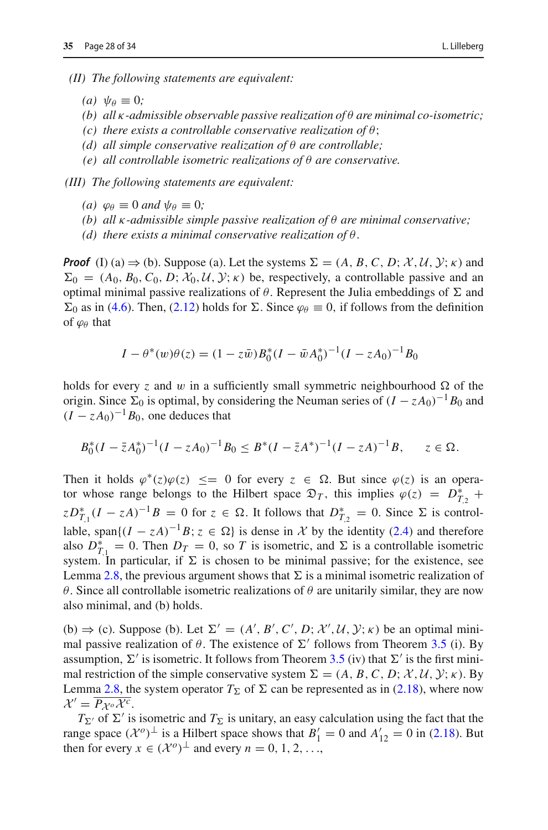*(II) The following statements are equivalent:*

- *(a)*  $\psi_{\theta} \equiv 0$ ;
- *(b) all* κ*-admissible observable passive realization of* θ *are minimal co-isometric;*
- *(c) there exists a controllable conservative realization of* θ;
- *(d) all simple conservative realization of* θ *are controllable;*
- *(e) all controllable isometric realizations of* θ *are conservative.*

*(III) The following statements are equivalent:*

- *(a)*  $\varphi_{\theta} \equiv 0$  *and*  $\psi_{\theta} \equiv 0$ *;*
- *(b) all* κ*-admissible simple passive realization of* θ *are minimal conservative;*
- *(d) there exists a minimal conservative realization of* θ.

*Proof* (I) (a)  $\Rightarrow$  (b). Suppose (a). Let the systems  $\Sigma = (A, B, C, D; \mathcal{X}, \mathcal{U}, \mathcal{Y}; \kappa)$  and  $\Sigma_0 = (A_0, B_0, C_0, D; \mathcal{X}_0, \mathcal{U}, \mathcal{Y}; \kappa)$  be, respectively, a controllable passive and an optimal minimal passive realizations of  $\theta$ . Represent the Julia embeddings of  $\Sigma$  and  $\Sigma_0$  as in [\(4.6\)](#page-20-0). Then, [\(2.12\)](#page-6-5) holds for  $\Sigma$ . Since  $\varphi_\theta \equiv 0$ , if follows from the definition of  $\varphi_{\theta}$  that

$$
I - \theta^*(w)\theta(z) = (1 - z\bar{w})B_0^*(I - \bar{w}A_0^*)^{-1}(I - zA_0)^{-1}B_0
$$

holds for every *z* and w in a sufficiently small symmetric neighbourhood  $\Omega$  of the origin. Since  $\Sigma_0$  is optimal, by considering the Neuman series of  $(I - zA_0)^{-1}B_0$  and  $(I - zA_0)^{-1}B_0$ , one deduces that

$$
B_0^*(I - \bar{z}A_0^*)^{-1}(I - zA_0)^{-1}B_0 \le B^*(I - \bar{z}A^*)^{-1}(I - zA)^{-1}B, \quad z \in \Omega.
$$

Then it holds  $\varphi^*(z)\varphi(z) \leq 0$  for every  $z \in \Omega$ . But since  $\varphi(z)$  is an operator whose range belongs to the Hilbert space  $\mathfrak{D}_T$ , this implies  $\varphi(z) = D_{T,2}^*$  +  $ZD_{T,1}^*(I - zA)^{-1}B = 0$  for  $z \in \Omega$ . It follows that  $D_{T,2}^* = 0$ . Since  $\Sigma$  is controllable, span $\{(I - zA)^{-1}B: z \in \Omega\}$  is dense in X by the identity [\(2.4\)](#page-4-8) and therefore also  $D_{T,1}^* = 0$ . Then  $D_T = 0$ , so *T* is isometric, and  $\Sigma$  is a controllable isometric system. In particular, if  $\Sigma$  is chosen to be minimal passive; for the existence, see Lemma [2.8,](#page-8-0) the previous argument shows that  $\Sigma$  is a minimal isometric realization of θ. Since all controllable isometric realizations of θ are unitarily similar, they are now also minimal, and (b) holds.

(b)  $\Rightarrow$  (c). Suppose (b). Let  $\Sigma' = (A', B', C', D; \mathcal{X}', \mathcal{U}, \mathcal{Y}; \kappa)$  be an optimal minimal passive realization of  $\theta$ . The existence of  $\Sigma'$  follows from Theorem [3.5](#page-15-0) (i). By assumption,  $\Sigma'$  is isometric. It follows from Theorem [3.5](#page-15-0) (iv) that  $\Sigma'$  is the first minimal restriction of the simple conservative system  $\Sigma = (A, B, C, D; \mathcal{X}, \mathcal{U}, \mathcal{Y}; \kappa)$ . By Lemma [2.8,](#page-8-0) the system operator  $T_{\Sigma}$  of  $\Sigma$  can be represented as in [\(2.18\)](#page-8-1), where now  $\mathcal{X}' = \overline{P_{\mathcal{X}^o}\mathcal{X}^c}.$ 

 $T_{\Sigma}$  of  $\Sigma'$  is isometric and  $T_{\Sigma}$  is unitary, an easy calculation using the fact that the range space  $(\mathcal{X}^o)^\perp$  is a Hilbert space shows that  $B'_1 = 0$  and  $A'_{12} = 0$  in [\(2.18\)](#page-8-1). But then for every  $x \in (\mathcal{X}^o)^\perp$  and every  $n = 0, 1, 2, \ldots$ ,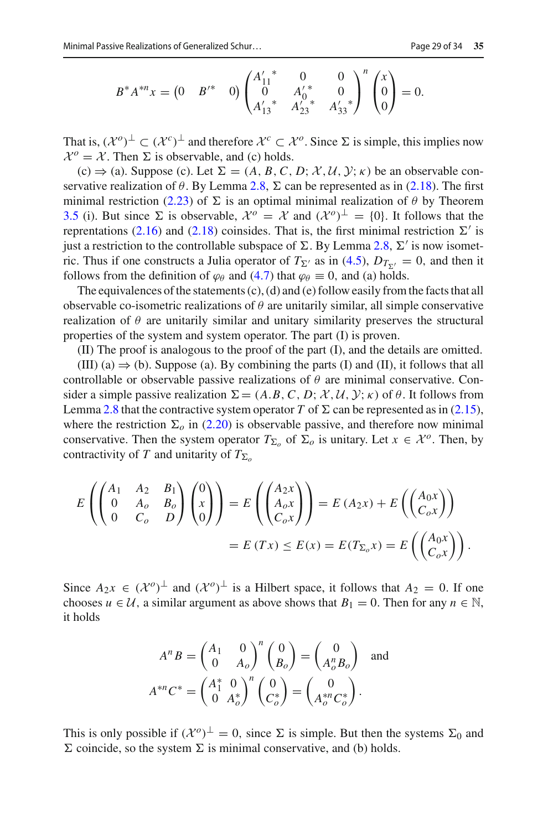$$
B^* A^{*n} x = \begin{pmatrix} 0 & B'^* & 0 \end{pmatrix} \begin{pmatrix} A'_{11}^* & 0 & 0 \\ 0 & A'_0^* & 0 \\ A'_{13}^* & A'_{23}^* & A'_{33}^* \end{pmatrix}^n \begin{pmatrix} x \\ 0 \\ 0 \end{pmatrix} = 0.
$$

That is,  $({\cal X}^o)^\perp \subset ({\cal X}^c)^\perp$  and therefore  ${\cal X}^c \subset {\cal X}^o$ . Since  $\Sigma$  is simple, this implies now  $\mathcal{X}^o = \mathcal{X}$ . Then  $\Sigma$  is observable, and (c) holds.

(c)  $\Rightarrow$  (a). Suppose (c). Let  $\Sigma = (A, B, C, D; \mathcal{X}, \mathcal{U}, \mathcal{Y}; \kappa)$  be an observable conservative realization of  $\theta$ . By Lemma [2.8,](#page-8-0)  $\Sigma$  can be represented as in [\(2.18\)](#page-8-1). The first minimal restriction [\(2.23\)](#page-9-5) of  $\Sigma$  is an optimal minimal realization of  $\theta$  by Theorem [3.5](#page-15-0) (i). But since  $\Sigma$  is observable,  $\mathcal{X}^o = \mathcal{X}$  and  $(\mathcal{X}^o)^{\perp} = \{0\}$ . It follows that the reprentations [\(2.16\)](#page-8-1) and [\(2.18\)](#page-8-1) coinsides. That is, the first minimal restriction  $\Sigma'$  is just a restriction to the controllable subspace of  $\Sigma$ . By Lemma [2.8,](#page-8-0)  $\Sigma'$  is now isometric. Thus if one constructs a Julia operator of  $T_{\Sigma'}$  as in [\(4.5\)](#page-20-3),  $D_{T_{\Sigma'}} = 0$ , and then it follows from the definition of  $\varphi_\theta$  and [\(4.7\)](#page-20-1) that  $\varphi_\theta \equiv 0$ , and (a) holds.

The equivalences of the statements (c), (d) and (e) follow easily from the facts that all observable co-isometric realizations of  $\theta$  are unitarily similar, all simple conservative realization of  $\theta$  are unitarily similar and unitary similarity preserves the structural properties of the system and system operator. The part (I) is proven.

(II) The proof is analogous to the proof of the part (I), and the details are omitted.

(III) (a)  $\Rightarrow$  (b). Suppose (a). By combining the parts (I) and (II), it follows that all controllable or observable passive realizations of  $\theta$  are minimal conservative. Consider a simple passive realization  $\Sigma = (A.B, C, D; \mathcal{X}, \mathcal{U}, \mathcal{Y}; \kappa)$  of  $\theta$ . It follows from Lemma [2.8](#page-8-0) that the contractive system operator *T* of  $\Sigma$  can be represented as in [\(2.15\)](#page-8-1), where the restriction  $\Sigma_o$  in [\(2.20\)](#page-9-6) is observable passive, and therefore now minimal conservative. Then the system operator  $T_{\Sigma_o}$  of  $\Sigma_o$  is unitary. Let  $x \in \mathcal{X}^o$ . Then, by contractivity of *T* and unitarity of  $T_{\Sigma_o}$ 

$$
E\left(\begin{pmatrix} A_1 & A_2 & B_1 \ 0 & A_o & B_o \ 0 & C_o & D \end{pmatrix} \begin{pmatrix} 0 \ x \ 0 \end{pmatrix}\right) = E\left(\begin{pmatrix} A_2x \ A_ox \ C_ox \end{pmatrix}\right) = E(A_2x) + E\left(\begin{pmatrix} A_0x \ C_ox \end{pmatrix}\right)
$$
  
=  $E(Tx) \le E(x) = E(T_{\Sigma_o}x) = E\left(\begin{pmatrix} A_0x \ C_ox \end{pmatrix}\right).$ 

Since  $A_2x \in (\mathcal{X}^o)^\perp$  and  $(\mathcal{X}^o)^\perp$  is a Hilbert space, it follows that  $A_2 = 0$ . If one chooses  $u \in \mathcal{U}$ , a similar argument as above shows that  $B_1 = 0$ . Then for any  $n \in \mathbb{N}$ , it holds

$$
A^n B = \begin{pmatrix} A_1 & 0 \\ 0 & A_o \end{pmatrix}^n \begin{pmatrix} 0 \\ B_o \end{pmatrix} = \begin{pmatrix} 0 \\ A_o^n B_o \end{pmatrix}
$$
 and  

$$
A^{*n} C^* = \begin{pmatrix} A_1^* & 0 \\ 0 & A_o^* \end{pmatrix}^n \begin{pmatrix} 0 \\ C_o^* \end{pmatrix} = \begin{pmatrix} 0 \\ A_o^{*n} C_o^* \end{pmatrix}.
$$

This is only possible if  $({\cal X}^0)^{\perp} = 0$ , since  $\Sigma$  is simple. But then the systems  $\Sigma_0$  and  $\Sigma$  coincide, so the system  $\Sigma$  is minimal conservative, and (b) holds.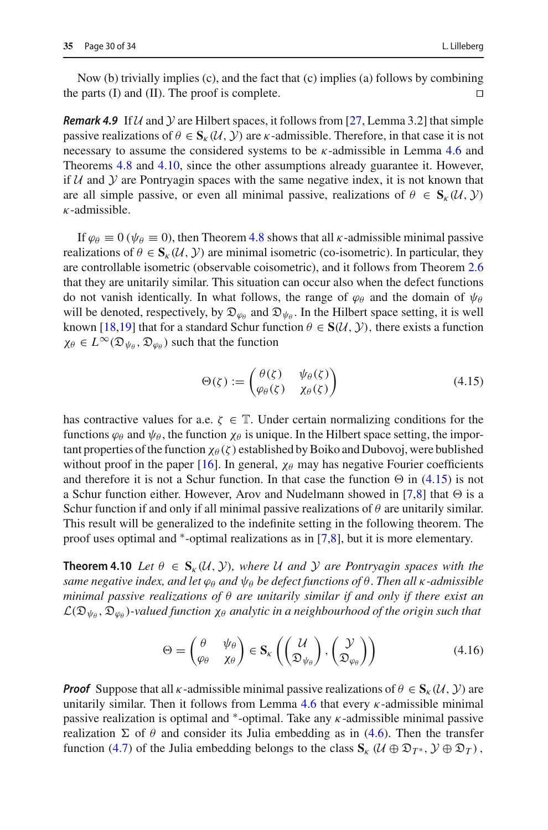*Remark 4.9* If  $U$  and  $Y$  are Hilbert spaces, it follows from [\[27](#page-32-11), Lemma 3.2] that simple passive realizations of  $\theta \in S_k(\mathcal{U}, \mathcal{Y})$  are *k*-admissible. Therefore, in that case it is not necessary to assume the considered systems to be  $\kappa$ -admissible in Lemma [4.6](#page-25-0) and Theorems [4.8](#page-26-0) and [4.10,](#page-29-0) since the other assumptions already guarantee it. However, if  $U$  and  $Y$  are Pontryagin spaces with the same negative index, it is not known that are all simple passive, or even all minimal passive, realizations of  $\theta \in S_{\kappa}(\mathcal{U}, \mathcal{Y})$  $\kappa$ -admissible.

If  $\varphi_{\theta} \equiv 0$  ( $\psi_{\theta} \equiv 0$ ), then Theorem [4.8](#page-26-0) shows that all *κ*-admissible minimal passive realizations of  $\theta \in S_{k}(U, V)$  are minimal isometric (co-isometric). In particular, they are controllable isometric (observable coisometric), and it follows from Theorem [2.6](#page-7-0) that they are unitarily similar. This situation can occur also when the defect functions do not vanish identically. In what follows, the range of  $\varphi_{\theta}$  and the domain of  $\psi_{\theta}$ will be denoted, respectively, by  $\mathfrak{D}_{\varphi_{\theta}}$  and  $\mathfrak{D}_{\psi_{\theta}}$ . In the Hilbert space setting, it is well known [\[18](#page-32-19)[,19\]](#page-32-13) that for a standard Schur function  $\theta \in S(\mathcal{U}, \mathcal{Y})$ , there exists a function  $\chi_{\theta} \in L^{\infty}(\mathfrak{D}_{\psi_{\theta}}, \mathfrak{D}_{\varphi_{\theta}})$  such that the function

<span id="page-29-1"></span>
$$
\Theta(\zeta) := \begin{pmatrix} \theta(\zeta) & \psi_{\theta}(\zeta) \\ \varphi_{\theta}(\zeta) & \chi_{\theta}(\zeta) \end{pmatrix}
$$
(4.15)

has contractive values for a.e.  $\zeta \in \mathbb{T}$ . Under certain normalizing conditions for the functions  $\varphi_\theta$  and  $\psi_\theta$ , the function  $\chi_\theta$  is unique. In the Hilbert space setting, the important properties of the function  $\chi_{\theta}(\zeta)$  established by Boiko and Dubovoj, were bublished without proof in the paper [\[16\]](#page-32-20). In general,  $\chi_{\theta}$  may has negative Fourier coefficients and therefore it is not a Schur function. In that case the function  $\Theta$  in [\(4.15\)](#page-29-1) is not a Schur function either. However, Arov and Nudelmann showed in [\[7](#page-32-15)[,8\]](#page-32-2) that  $\Theta$  is a Schur function if and only if all minimal passive realizations of  $\theta$  are unitarily similar. This result will be generalized to the indefinite setting in the following theorem. The proof uses optimal and ∗-optimal realizations as in [\[7](#page-32-15)[,8](#page-32-2)], but it is more elementary.

<span id="page-29-0"></span>**Theorem 4.10** Let  $\theta \in \mathbf{S}_{k}(U, V)$ , where U and Y are Pontryagin spaces with the *same negative index, and let*  $\varphi_{\theta}$  *and*  $\psi_{\theta}$  *be defect functions of*  $\theta$ *. Then all*  $\kappa$ *-admissible minimal passive realizations of* θ *are unitarily similar if and only if there exist an*  $\mathcal{L}(\mathfrak{D}_{\psi_{\theta}}, \mathfrak{D}_{\varphi_{\theta}})$ -valued function  $\chi_{\theta}$  analytic in a neighbourhood of the origin such that

<span id="page-29-2"></span>
$$
\Theta = \begin{pmatrix} \theta & \psi_{\theta} \\ \varphi_{\theta} & \chi_{\theta} \end{pmatrix} \in \mathbf{S}_{\kappa} \left( \begin{pmatrix} \mathcal{U} \\ \mathfrak{D}_{\psi_{\theta}} \end{pmatrix}, \begin{pmatrix} \mathcal{Y} \\ \mathfrak{D}_{\varphi_{\theta}} \end{pmatrix} \right)
$$
(4.16)

*Proof* Suppose that all  $\kappa$ -admissible minimal passive realizations of  $\theta \in S_{\kappa}(\mathcal{U}, \mathcal{Y})$  are unitarily similar. Then it follows from Lemma [4.6](#page-25-0) that every  $\kappa$ -admissible minimal passive realization is optimal and  $*$ -optimal. Take any  $\kappa$ -admissible minimal passive realization  $\Sigma$  of  $\theta$  and consider its Julia embedding as in [\(4.6\)](#page-20-0). Then the transfer function [\(4.7\)](#page-20-1) of the Julia embedding belongs to the class  $\mathbf{S}_{k}$  ( $\mathcal{U} \oplus \mathfrak{D}_{T^*}$ ,  $\mathcal{Y} \oplus \mathfrak{D}_T$ ),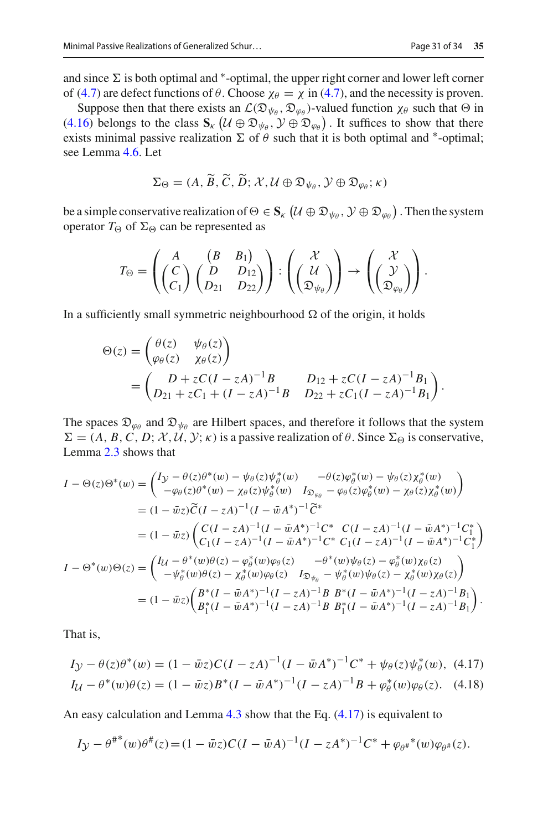and since  $\Sigma$  is both optimal and  $^*$ -optimal, the upper right corner and lower left corner of [\(4.7\)](#page-20-1) are defect functions of  $\theta$ . Choose  $\chi_{\theta} = \chi$  in (4.7), and the necessity is proven.

Suppose then that there exists an  $\mathcal{L}(\mathfrak{D}_{\psi_{\beta}}, \mathfrak{D}_{\omega_{\beta}})$ -valued function  $\chi_{\beta}$  such that  $\Theta$  in [\(4.16\)](#page-29-2) belongs to the class  $\mathbf{S}_{k}$  ( $\mathcal{U} \oplus \mathfrak{D}_{\psi_{\theta}}, \mathcal{Y} \oplus \mathfrak{D}_{\varphi_{\theta}}$ ). It suffices to show that there exists minimal passive realization  $\Sigma$  of  $\theta$  such that it is both optimal and  $*$ -optimal; see Lemma [4.6.](#page-25-0) Let

$$
\Sigma_{\Theta} = (A, \widetilde{B}, \widetilde{C}, \widetilde{D}; \mathcal{X}, \mathcal{U} \oplus \mathfrak{D}_{\psi_{\theta}}, \mathcal{Y} \oplus \mathfrak{D}_{\varphi_{\theta}}; \kappa)
$$

be a simple conservative realization of  $\Theta \in \mathbf{S}_{\kappa}$  ( $\mathcal{U} \oplus \mathfrak{D}_{\psi_{\theta}}, \mathcal{Y} \oplus \mathfrak{D}_{\varphi_{\theta}}$ ). Then the system operator  $T_{\Theta}$  of  $\Sigma_{\Theta}$  can be represented as

$$
T_{\Theta} = \left( \begin{pmatrix} A & (B & B_1) \\ (C & D & D_{12} \\ C_1 \end{pmatrix} \begin{pmatrix} B & B_1 \\ D_{21} & D_{22} \end{pmatrix} \right) : \left( \begin{pmatrix} \mathcal{X} \\ \mathcal{U} \\ \mathfrak{D}_{\psi_{\theta}} \end{pmatrix} \right) \rightarrow \left( \begin{pmatrix} \mathcal{X} \\ \mathcal{Y} \\ \mathfrak{D}_{\varphi_{\theta}} \end{pmatrix} \right).
$$

In a sufficiently small symmetric neighbourhood  $\Omega$  of the origin, it holds

$$
\Theta(z) = \begin{pmatrix} \theta(z) & \psi_{\theta}(z) \\ \varphi_{\theta}(z) & \chi_{\theta}(z) \end{pmatrix}
$$
  
= 
$$
\begin{pmatrix} D + zC(I - zA)^{-1}B & D_{12} + zC(I - zA)^{-1}B_1 \\ D_{21} + zC_1 + (I - zA)^{-1}B & D_{22} + zC_1(I - zA)^{-1}B_1 \end{pmatrix}.
$$

The spaces  $\mathfrak{D}_{\varphi_{\theta}}$  and  $\mathfrak{D}_{\psi_{\theta}}$  are Hilbert spaces, and therefore it follows that the system  $\Sigma = (A, B, C, D; \mathcal{X}, \mathcal{U}, \mathcal{Y}; \kappa)$  is a passive realization of  $\theta$ . Since  $\Sigma_{\Theta}$  is conservative, Lemma [2.3](#page-6-1) shows that

$$
I - \Theta(z)\Theta^*(w) = \begin{pmatrix} I_{\mathcal{Y}} - \theta(z)\theta^*(w) - \psi_{\theta}(z)\psi_{\theta}^*(w) & -\theta(z)\phi_{\theta}^*(w) - \psi_{\theta}(z)\chi_{\theta}^*(w) \\ -\varphi_{\theta}(z)\theta^*(w) - \chi_{\theta}(z)\psi_{\theta}^*(w) & I_{\mathfrak{D}_{\varphi_{\theta}}} - \varphi_{\theta}(z)\phi_{\theta}^*(w) - \chi_{\theta}(z)\chi_{\theta}^*(w) \end{pmatrix}
$$
  
\n
$$
= (1 - \bar{w}z)\widetilde{C}(I - zA)^{-1}(I - \bar{w}A^*)^{-1}\widetilde{C}^*
$$
  
\n
$$
= (1 - \bar{w}z)\begin{pmatrix} C(I - zA)^{-1}(I - \bar{w}A^*)^{-1}C^* & C(I - zA)^{-1}(I - \bar{w}A^*)^{-1}C_1^* \\ C_1(I - zA)^{-1}(I - \bar{w}A^*)^{-1}C^* & C_1(I - zA)^{-1}(I - \bar{w}A^*)^{-1}C_1^* \end{pmatrix}
$$
  
\n
$$
I - \Theta^*(w)\Theta(z) = \begin{pmatrix} I_U - \theta^*(w)\theta(z) - \varphi_{\theta}^*(w)\varphi_{\theta}(z) & -\theta^*(w)\psi_{\theta}(z) - \varphi_{\theta}^*(w)\chi_{\theta}(z) \\ -\psi_{\theta}^*(w)\theta(z) - \chi_{\theta}^*(w)\varphi_{\theta}(z) & I_{\mathfrak{D}_{\psi_{\theta}}} - \psi_{\theta}^*(w)\psi_{\theta}(z) - \chi_{\theta}^*(w)\chi_{\theta}(z) \end{pmatrix}
$$
  
\n
$$
= (1 - \bar{w}z)\begin{pmatrix} B^*(I - \bar{w}A^*)^{-1}(I - zA)^{-1}B & B^*(I - \bar{w}A^*)^{-1}(I - zA)^{-1}B_1 \\ B_1^*(I - \bar{w}A^*)^{-1}(I - zA)^{-1}B & B_1^*(I - \bar{w}A^*)^{-1}(I - zA)^{-1}B_1 \end{pmatrix}.
$$

That is,

<span id="page-30-0"></span>
$$
I_{\mathcal{Y}} - \theta(z)\theta^*(w) = (1 - \bar{w}z)C(I - zA)^{-1}(I - \bar{w}A^*)^{-1}C^* + \psi_\theta(z)\psi_\theta^*(w), \tag{4.17}
$$

$$
I_{\mathcal{U}} - \theta^*(w)\theta(z) = (1 - \bar{w}z)B^*(I - \bar{w}A^*)^{-1}(I - zA)^{-1}B + \varphi^*_{\theta}(w)\varphi_{\theta}(z). \tag{4.18}
$$

An easy calculation and Lemma [4.3](#page-21-0) show that the Eq. [\(4.17\)](#page-30-0) is equivalent to

$$
I_{\mathcal{Y}} - \theta^{\#*}(w)\theta^{\#}(z) = (1 - \bar{w}z)C(I - \bar{w}A)^{-1}(I - zA^*)^{-1}C^* + \varphi_{\theta^*}^*(w)\varphi_{\theta^*}(z).
$$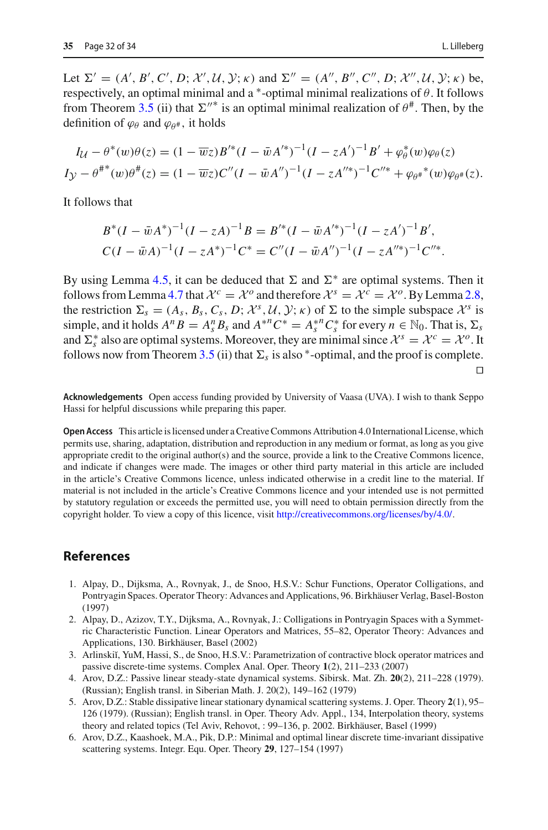Let  $\Sigma' = (A', B', C', D; \mathcal{X}', \mathcal{U}, \mathcal{Y}; \kappa)$  and  $\Sigma'' = (A'', B'', C'', D; \mathcal{X}'', \mathcal{U}, \mathcal{Y}; \kappa)$  be, respectively, an optimal minimal and a  $*$ -optimal minimal realizations of  $\theta$ . It follows from Theorem [3.5](#page-15-0) (ii) that  $\Sigma''^*$  is an optimal minimal realization of  $\theta^*$ . Then, by the definition of  $\varphi_{\theta}$  and  $\varphi_{\theta^*}$ , it holds

$$
I_{\mathcal{U}} - \theta^*(w)\theta(z) = (1 - \overline{w}z)B'^*(I - \overline{w}A'^*)^{-1}(I - zA')^{-1}B' + \varphi_{\theta}^*(w)\varphi_{\theta}(z)
$$
  
\n
$$
I_{\mathcal{Y}} - \theta^{**}(w)\theta^*(z) = (1 - \overline{w}z)C''(I - \overline{w}A'')^{-1}(I - zA''^*)^{-1}C''^* + \varphi_{\theta^*}^*(w)\varphi_{\theta^*}(z).
$$

It follows that

$$
B^*(I - \bar{w}A^*)^{-1}(I - zA)^{-1}B = B'^*(I - \bar{w}A'^*)^{-1}(I - zA')^{-1}B',
$$
  

$$
C(I - \bar{w}A)^{-1}(I - zA^*)^{-1}C^* = C''(I - \bar{w}A'')^{-1}(I - zA''^*)^{-1}C''^*.
$$

By using Lemma [4.5,](#page-24-1) it can be deduced that  $\Sigma$  and  $\Sigma^*$  are optimal systems. Then it follows from Lemma [4.7](#page-26-1) that  $\mathcal{X}^c = \mathcal{X}^o$  and therefore  $\mathcal{X}^s = \mathcal{X}^c = \mathcal{X}^o$ . By Lemma [2.8,](#page-8-0) the restriction  $\Sigma_s = (A_s, B_s, C_s, D; \mathcal{X}^s, \mathcal{U}, \mathcal{Y}; \kappa)$  of  $\Sigma$  to the simple subspace  $\mathcal{X}^s$  is simple, and it holds  $A^n B = A_s^n B_s$  and  $A^{*n} C^* = A_s^{*n} C_s^*$  for every  $n \in \mathbb{N}_0$ . That is,  $\Sigma_s$ and  $\Sigma_s^*$  also are optimal systems. Moreover, they are minimal since  $\mathcal{X}^s = \mathcal{X}^c = \mathcal{X}^o$ . It follows now from Theorem [3.5](#page-15-0) (ii) that  $\Sigma_s$  is also  $^*$ -optimal, and the proof is complete.  $\Box$ 

**Acknowledgements** Open access funding provided by University of Vaasa (UVA). I wish to thank Seppo Hassi for helpful discussions while preparing this paper.

**Open Access** This article is licensed under a Creative Commons Attribution 4.0 International License, which permits use, sharing, adaptation, distribution and reproduction in any medium or format, as long as you give appropriate credit to the original author(s) and the source, provide a link to the Creative Commons licence, and indicate if changes were made. The images or other third party material in this article are included in the article's Creative Commons licence, unless indicated otherwise in a credit line to the material. If material is not included in the article's Creative Commons licence and your intended use is not permitted by statutory regulation or exceeds the permitted use, you will need to obtain permission directly from the copyright holder. To view a copy of this licence, visit [http://creativecommons.org/licenses/by/4.0/.](http://creativecommons.org/licenses/by/4.0/)

#### **References**

- <span id="page-31-1"></span>1. Alpay, D., Dijksma, A., Rovnyak, J., de Snoo, H.S.V.: Schur Functions, Operator Colligations, and Pontryagin Spaces. Operator Theory: Advances and Applications, 96. Birkhäuser Verlag, Basel-Boston (1997)
- <span id="page-31-4"></span>2. Alpay, D., Azizov, T.Y., Dijksma, A., Rovnyak, J.: Colligations in Pontryagin Spaces with a Symmetric Characteristic Function. Linear Operators and Matrices, 55–82, Operator Theory: Advances and Applications, 130. Birkhäuser, Basel (2002)
- <span id="page-31-5"></span>3. Arlinskiĭ, YuM, Hassi, S., de Snoo, H.S.V.: Parametrization of contractive block operator matrices and passive discrete-time systems. Complex Anal. Oper. Theory **1**(2), 211–233 (2007)
- <span id="page-31-0"></span>4. Arov, D.Z.: Passive linear steady-state dynamical systems. Sibirsk. Mat. Zh. **20**(2), 211–228 (1979). (Russian); English transl. in Siberian Math. J. 20(2), 149–162 (1979)
- <span id="page-31-2"></span>5. Arov, D.Z.: Stable dissipative linear stationary dynamical scattering systems. J. Oper. Theory **2**(1), 95– 126 (1979). (Russian); English transl. in Oper. Theory Adv. Appl., 134, Interpolation theory, systems theory and related topics (Tel Aviv, Rehovot, : 99–136, p. 2002. Birkhäuser, Basel (1999)
- <span id="page-31-3"></span>6. Arov, D.Z., Kaashoek, M.A., Pik, D.P.: Minimal and optimal linear discrete time-invariant dissipative scattering systems. Integr. Equ. Oper. Theory **29**, 127–154 (1997)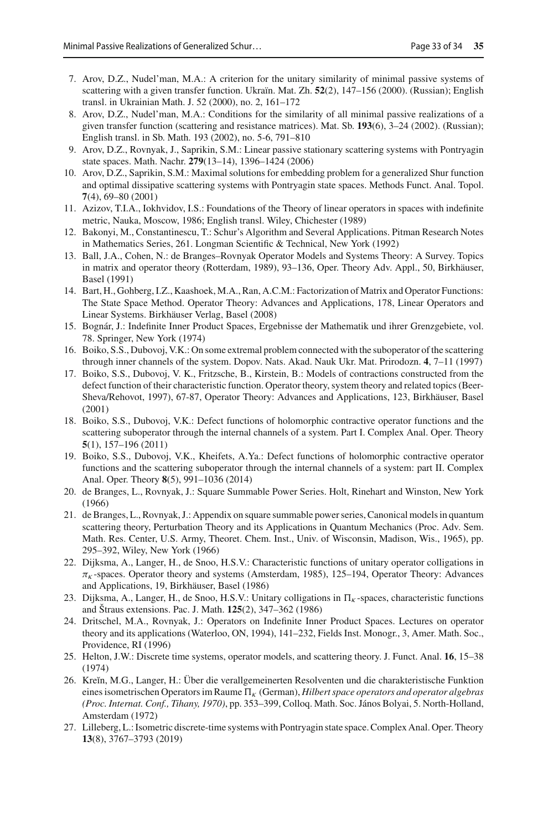- <span id="page-32-15"></span>7. Arov, D.Z., Nudel'man, M.A.: A criterion for the unitary similarity of minimal passive systems of scattering with a given transfer function. Ukraïn. Mat. Zh. **52**(2), 147–156 (2000). (Russian); English transl. in Ukrainian Math. J. 52 (2000), no. 2, 161–172
- <span id="page-32-2"></span>8. Arov, D.Z., Nudel'man, M.A.: Conditions for the similarity of all minimal passive realizations of a given transfer function (scattering and resistance matrices). Mat. Sb. **193**(6), 3–24 (2002). (Russian); English transl. in Sb. Math. 193 (2002), no. 5-6, 791–810
- <span id="page-32-10"></span>9. Arov, D.Z., Rovnyak, J., Saprikin, S.M.: Linear passive stationary scattering systems with Pontryagin state spaces. Math. Nachr. **279**(13–14), 1396–1424 (2006)
- <span id="page-32-9"></span>10. Arov, D.Z., Saprikin, S.M.: Maximal solutions for embedding problem for a generalized Shur function and optimal dissipative scattering systems with Pontryagin state spaces. Methods Funct. Anal. Topol. **7**(4), 69–80 (2001)
- <span id="page-32-16"></span>11. Azizov, T.I.A., Iokhvidov, I.S.: Foundations of the Theory of linear operators in spaces with indefinite metric, Nauka, Moscow, 1986; English transl. Wiley, Chichester (1989)
- <span id="page-32-14"></span>12. Bakonyi, M., Constantinescu, T.: Schur's Algorithm and Several Applications. Pitman Research Notes in Mathematics Series, 261. Longman Scientific & Technical, New York (1992)
- <span id="page-32-3"></span>13. Ball, J.A., Cohen, N.: de Branges–Rovnyak Operator Models and Systems Theory: A Survey. Topics in matrix and operator theory (Rotterdam, 1989), 93–136, Oper. Theory Adv. Appl., 50, Birkhäuser, Basel (1991)
- <span id="page-32-18"></span>14. Bart, H., Gohberg, I.Z., Kaashoek, M.A., Ran, A.C.M.: Factorization of Matrix and Operator Functions: The State Space Method. Operator Theory: Advances and Applications, 178, Linear Operators and Linear Systems. Birkhäuser Verlag, Basel (2008)
- <span id="page-32-17"></span>15. Bognár, J.: Indefinite Inner Product Spaces, Ergebnisse der Mathematik und ihrer Grenzgebiete, vol. 78. Springer, New York (1974)
- <span id="page-32-20"></span>16. Boiko, S.S., Dubovoj, V.K.: On some extremal problem connected with the suboperator of the scattering through inner channels of the system. Dopov. Nats. Akad. Nauk Ukr. Mat. Prirodozn. **4**, 7–11 (1997)
- <span id="page-32-12"></span>17. Boiko, S.S., Dubovoj, V. K., Fritzsche, B., Kirstein, B.: Models of contractions constructed from the defect function of their characteristic function. Operator theory, system theory and related topics (Beer-Sheva/Rehovot, 1997), 67-87, Operator Theory: Advances and Applications, 123, Birkhäuser, Basel (2001)
- <span id="page-32-19"></span>18. Boiko, S.S., Dubovoj, V.K.: Defect functions of holomorphic contractive operator functions and the scattering suboperator through the internal channels of a system. Part I. Complex Anal. Oper. Theory **5**(1), 157–196 (2011)
- <span id="page-32-13"></span>19. Boiko, S.S., Dubovoj, V.K., Kheifets, A.Ya.: Defect functions of holomorphic contractive operator functions and the scattering suboperator through the internal channels of a system: part II. Complex Anal. Oper. Theory **8**(5), 991–1036 (2014)
- <span id="page-32-4"></span>20. de Branges, L., Rovnyak, J.: Square Summable Power Series. Holt, Rinehart and Winston, New York (1966)
- <span id="page-32-5"></span>21. de Branges, L., Rovnyak, J.: Appendix on square summable power series, Canonical models in quantum scattering theory, Perturbation Theory and its Applications in Quantum Mechanics (Proc. Adv. Sem. Math. Res. Center, U.S. Army, Theoret. Chem. Inst., Univ. of Wisconsin, Madison, Wis., 1965), pp. 295–392, Wiley, New York (1966)
- <span id="page-32-7"></span>22. Dijksma, A., Langer, H., de Snoo, H.S.V.: Characteristic functions of unitary operator colligations in  $\pi_K$ -spaces. Operator theory and systems (Amsterdam, 1985), 125–194, Operator Theory: Advances and Applications, 19, Birkhäuser, Basel (1986)
- <span id="page-32-8"></span>23. Dijksma, A., Langer, H., de Snoo, H.S.V.: Unitary colligations in  $\Pi_K$ -spaces, characteristic functions and Štraus extensions. Pac. J. Math. **125**(2), 347–362 (1986)
- <span id="page-32-0"></span>24. Dritschel, M.A., Rovnyak, J.: Operators on Indefinite Inner Product Spaces. Lectures on operator theory and its applications (Waterloo, ON, 1994), 141–232, Fields Inst. Monogr., 3, Amer. Math. Soc., Providence, RI (1996)
- <span id="page-32-6"></span>25. Helton, J.W.: Discrete time systems, operator models, and scattering theory. J. Funct. Anal. **16**, 15–38 (1974)
- <span id="page-32-1"></span>26. Kre˘ın, M.G., Langer, H.: Über die verallgemeinerten Resolventen und die charakteristische Funktion eines isometrischen Operators im Raume  $\Pi_K$  (German), *Hilbert space operators and operator algebras (Proc. Internat. Conf., Tihany, 1970)*, pp. 353–399, Colloq. Math. Soc. János Bolyai, 5. North-Holland, Amsterdam (1972)
- <span id="page-32-11"></span>27. Lilleberg, L.: Isometric discrete-time systems with Pontryagin state space. Complex Anal. Oper. Theory **13**(8), 3767–3793 (2019)